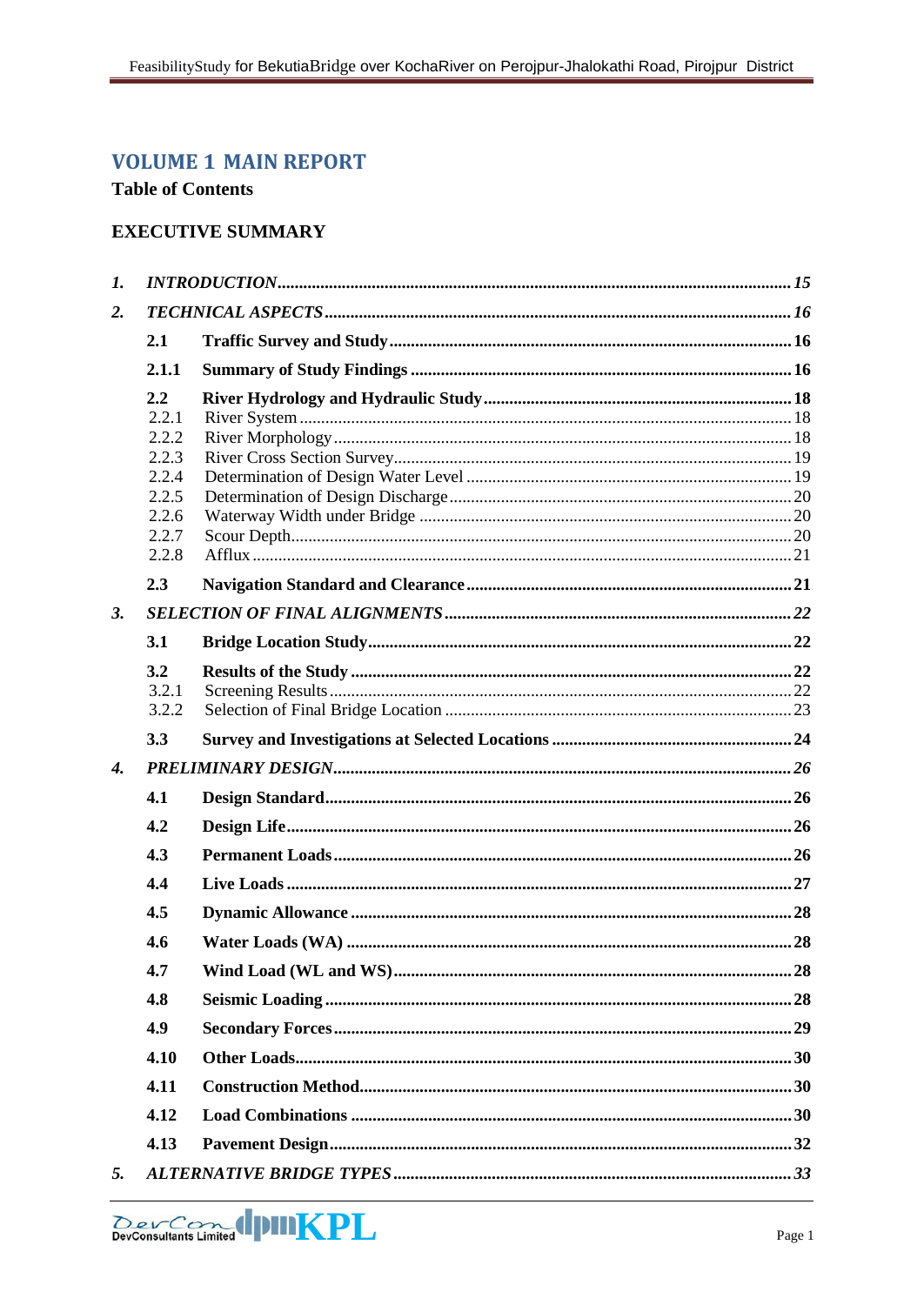# **VOLUME 1 MAIN REPORT**

# **Table of Contents**

# **EXECUTIVE SUMMARY**

| $\mathbf{I}$ .     |                |  |  |  |  |
|--------------------|----------------|--|--|--|--|
| 2.                 |                |  |  |  |  |
|                    | 2.1            |  |  |  |  |
|                    | 2.1.1          |  |  |  |  |
|                    | 2.2            |  |  |  |  |
|                    | 2.2.1          |  |  |  |  |
|                    | 2.2.2          |  |  |  |  |
|                    | 2.2.3          |  |  |  |  |
|                    | 2.2.4          |  |  |  |  |
|                    | 2.2.5          |  |  |  |  |
|                    | 2.2.6          |  |  |  |  |
|                    | 2.2.7<br>2.2.8 |  |  |  |  |
|                    | 2.3            |  |  |  |  |
|                    |                |  |  |  |  |
| 3.                 |                |  |  |  |  |
|                    | 3.1            |  |  |  |  |
|                    | 3.2            |  |  |  |  |
|                    | 3.2.1          |  |  |  |  |
|                    | 3.2.2          |  |  |  |  |
|                    | 3.3            |  |  |  |  |
| $\boldsymbol{4}$ . |                |  |  |  |  |
|                    | 4.1            |  |  |  |  |
|                    | 4.2            |  |  |  |  |
|                    | 4.3            |  |  |  |  |
|                    | 4.4            |  |  |  |  |
|                    | 4.5            |  |  |  |  |
|                    | 4.6            |  |  |  |  |
|                    | 4.7            |  |  |  |  |
|                    | 4.8            |  |  |  |  |
|                    | 4.9            |  |  |  |  |
|                    | 4.10           |  |  |  |  |
|                    | 4.11           |  |  |  |  |
|                    | 4.12           |  |  |  |  |
|                    | 4.13           |  |  |  |  |
| 5.                 |                |  |  |  |  |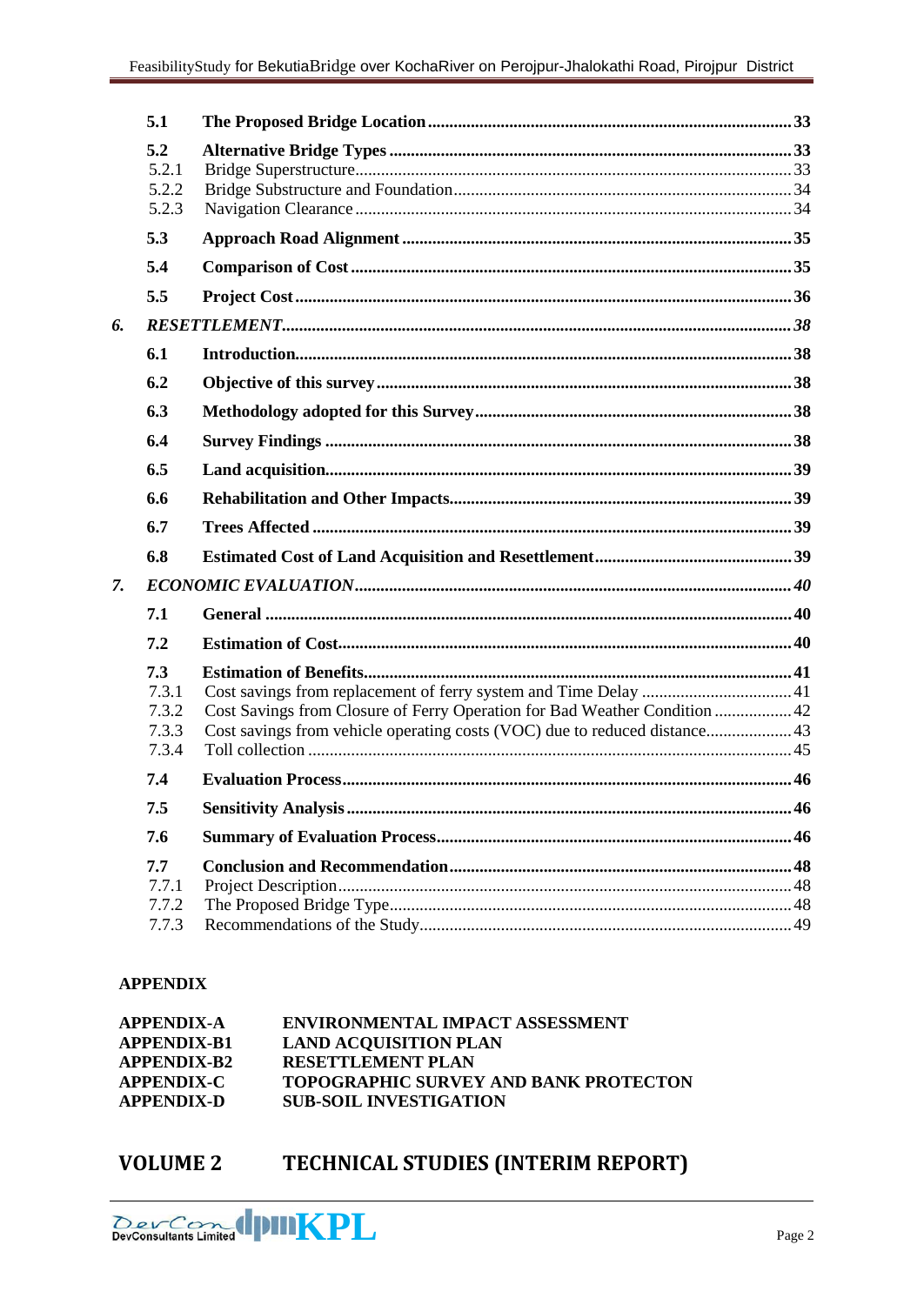|    | 5.1            |                                                                            |  |
|----|----------------|----------------------------------------------------------------------------|--|
|    | 5.2            |                                                                            |  |
|    | 5.2.1          |                                                                            |  |
|    | 5.2.2          |                                                                            |  |
|    | 5.2.3          |                                                                            |  |
|    | 5.3            |                                                                            |  |
|    | 5.4            |                                                                            |  |
|    | 5.5            |                                                                            |  |
| 6. |                |                                                                            |  |
|    | 6.1            |                                                                            |  |
|    | 6.2            |                                                                            |  |
|    | 6.3            |                                                                            |  |
|    | 6.4            |                                                                            |  |
|    | 6.5            |                                                                            |  |
|    | 6.6            |                                                                            |  |
|    | 6.7            |                                                                            |  |
|    | 6.8            |                                                                            |  |
| 7. |                |                                                                            |  |
|    | 7.1            |                                                                            |  |
|    | 7.2            |                                                                            |  |
|    | 7.3            |                                                                            |  |
|    | 7.3.1          |                                                                            |  |
|    | 7.3.2          | Cost Savings from Closure of Ferry Operation for Bad Weather Condition  42 |  |
|    | 7.3.3<br>7.3.4 | Cost savings from vehicle operating costs (VOC) due to reduced distance43  |  |
|    | 7.4            |                                                                            |  |
|    | 7.5            |                                                                            |  |
|    | 7.6            |                                                                            |  |
|    | 7.7            |                                                                            |  |
|    | 7.7.1          |                                                                            |  |
|    | 7.7.2          |                                                                            |  |
|    | 7.7.3          |                                                                            |  |

# **APPENDIX**

| <b>APPENDIX-A</b>  | <b>ENVIRONMENTAL IMPACT ASSESSMENT</b>       |
|--------------------|----------------------------------------------|
| <b>APPENDIX-B1</b> | <b>LAND ACOUISITION PLAN</b>                 |
| <b>APPENDIX-B2</b> | <b>RESETTLEMENT PLAN</b>                     |
| <b>APPENDIX-C</b>  | <b>TOPOGRAPHIC SURVEY AND BANK PROTECTON</b> |
| <b>APPENDIX-D</b>  | <b>SUB-SOIL INVESTIGATION</b>                |

TECHNICAL STUDIES (INTERIM REPORT) **VOLUME 2** 

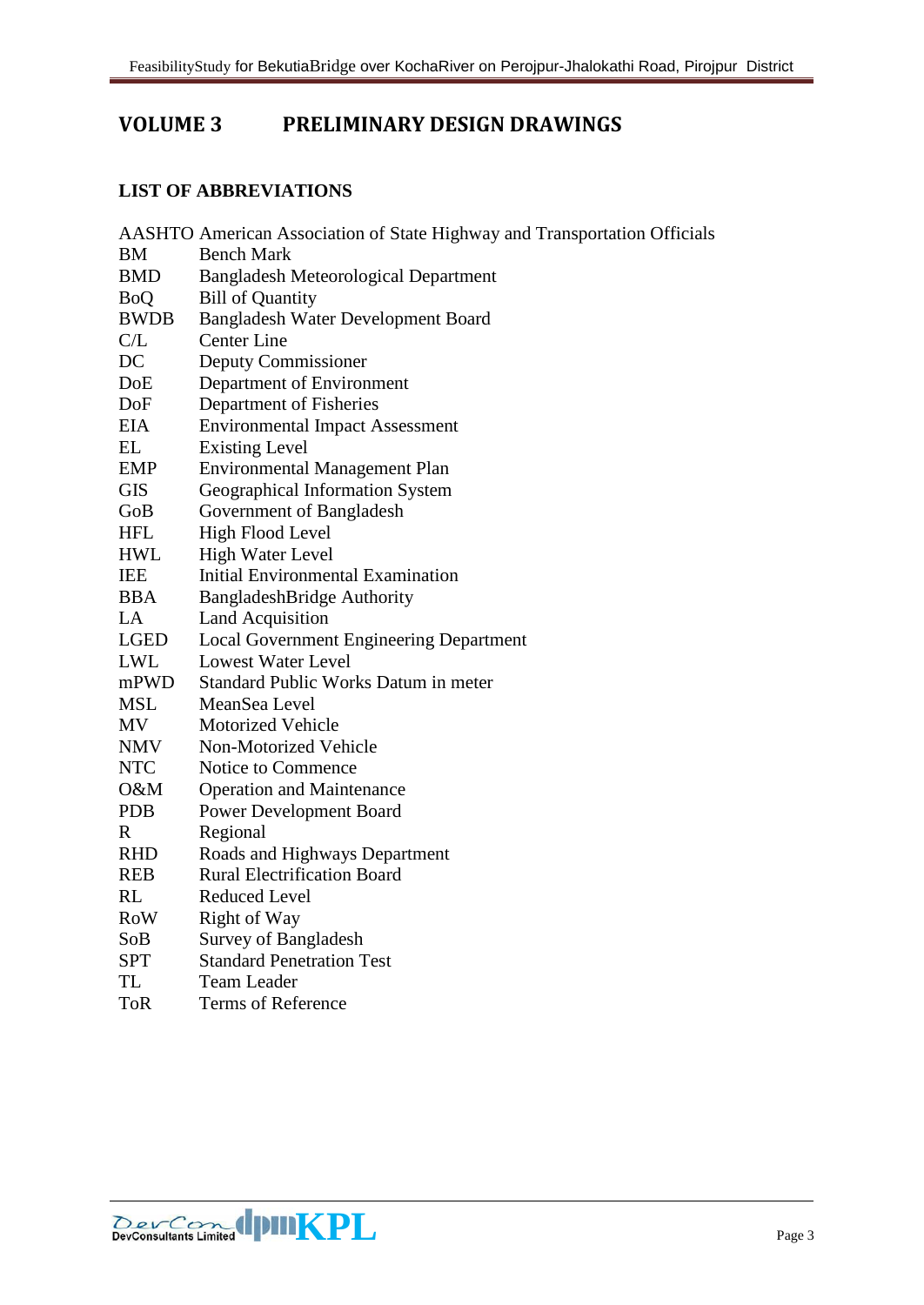# **VOLUME 3 PRELIMINARY DESIGN DRAWINGS**

#### **LIST OF ABBREVIATIONS**

| AASHTO American Association of State Highway and Transportation Officials |              |                                                |
|---------------------------------------------------------------------------|--------------|------------------------------------------------|
|                                                                           | ΒM           | <b>Bench Mark</b>                              |
|                                                                           | <b>BMD</b>   | <b>Bangladesh Meteorological Department</b>    |
|                                                                           | <b>BoQ</b>   | <b>Bill of Quantity</b>                        |
|                                                                           | <b>BWDB</b>  | Bangladesh Water Development Board             |
|                                                                           | C/L          | <b>Center Line</b>                             |
|                                                                           | DC           | Deputy Commissioner                            |
|                                                                           | DoE          | Department of Environment                      |
|                                                                           | DoF          | Department of Fisheries                        |
|                                                                           | <b>EIA</b>   | <b>Environmental Impact Assessment</b>         |
|                                                                           | EL           | <b>Existing Level</b>                          |
|                                                                           | <b>EMP</b>   | <b>Environmental Management Plan</b>           |
|                                                                           | <b>GIS</b>   | Geographical Information System                |
|                                                                           | GoB          | Government of Bangladesh                       |
|                                                                           | <b>HFL</b>   | High Flood Level                               |
|                                                                           | <b>HWL</b>   | <b>High Water Level</b>                        |
|                                                                           | <b>IEE</b>   | Initial Environmental Examination              |
|                                                                           | <b>BBA</b>   | <b>BangladeshBridge Authority</b>              |
|                                                                           | LA           | <b>Land Acquisition</b>                        |
|                                                                           | <b>LGED</b>  | <b>Local Government Engineering Department</b> |
|                                                                           | <b>LWL</b>   | <b>Lowest Water Level</b>                      |
|                                                                           | mPWD         | Standard Public Works Datum in meter           |
|                                                                           | <b>MSL</b>   | MeanSea Level                                  |
|                                                                           | <b>MV</b>    | <b>Motorized Vehicle</b>                       |
|                                                                           | <b>NMV</b>   | Non-Motorized Vehicle                          |
|                                                                           | <b>NTC</b>   | Notice to Commence                             |
|                                                                           | O&M          | <b>Operation and Maintenance</b>               |
|                                                                           | <b>PDB</b>   | <b>Power Development Board</b>                 |
|                                                                           | $\mathbf{R}$ | Regional                                       |
|                                                                           | <b>RHD</b>   | Roads and Highways Department                  |
|                                                                           | <b>REB</b>   | <b>Rural Electrification Board</b>             |
|                                                                           | <b>RL</b>    | <b>Reduced Level</b>                           |
|                                                                           | <b>RoW</b>   | Right of Way                                   |
|                                                                           | SoB          | Survey of Bangladesh                           |
|                                                                           | <b>SPT</b>   | <b>Standard Penetration Test</b>               |
|                                                                           | <b>TL</b>    | <b>Team Leader</b>                             |
|                                                                           | <b>ToR</b>   | <b>Terms of Reference</b>                      |
|                                                                           |              |                                                |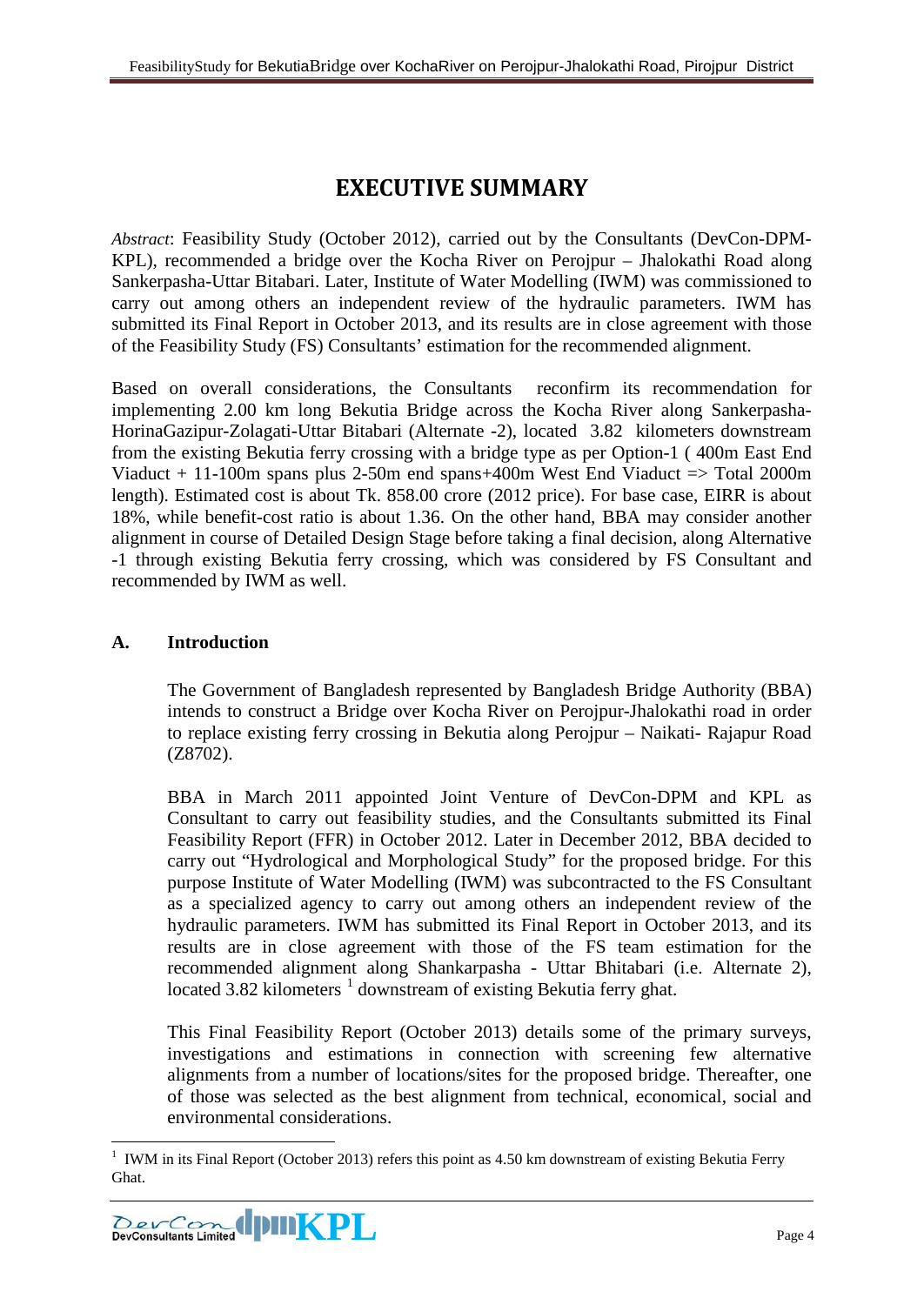# **EXECUTIVE SUMMARY**

*Abstract*: Feasibility Study (October 2012), carried out by the Consultants (DevCon-DPM-KPL), recommended a bridge over the Kocha River on Perojpur – Jhalokathi Road along Sankerpasha-Uttar Bitabari. Later, Institute of Water Modelling (IWM) was commissioned to carry out among others an independent review of the hydraulic parameters. IWM has submitted its Final Report in October 2013, and its results are in close agreement with those of the Feasibility Study (FS) Consultants' estimation for the recommended alignment.

Based on overall considerations, the Consultants reconfirm its recommendation for implementing 2.00 km long Bekutia Bridge across the Kocha River along Sankerpasha-HorinaGazipur-Zolagati-Uttar Bitabari (Alternate -2), located 3.82 kilometers downstream from the existing Bekutia ferry crossing with a bridge type as per Option-1 ( 400m East End Viaduct  $+$  11-100m spans plus 2-50m end spans+400m West End Viaduct  $\Rightarrow$  Total 2000m length). Estimated cost is about Tk. 858.00 crore (2012 price). For base case, EIRR is about 18%, while benefit-cost ratio is about 1.36. On the other hand, BBA may consider another alignment in course of Detailed Design Stage before taking a final decision, along Alternative -1 through existing Bekutia ferry crossing, which was considered by FS Consultant and recommended by IWM as well.

## **A. Introduction**

The Government of Bangladesh represented by Bangladesh Bridge Authority (BBA) intends to construct a Bridge over Kocha River on Perojpur-Jhalokathi road in order to replace existing ferry crossing in Bekutia along Perojpur – Naikati- Rajapur Road (Z8702).

BBA in March 2011 appointed Joint Venture of DevCon-DPM and KPL as Consultant to carry out feasibility studies, and the Consultants submitted its Final Feasibility Report (FFR) in October 2012. Later in December 2012, BBA decided to carry out "Hydrological and Morphological Study" for the proposed bridge. For this purpose Institute of Water Modelling (IWM) was subcontracted to the FS Consultant as a specialized agency to carry out among others an independent review of the hydraulic parameters. IWM has submitted its Final Report in October 2013, and its results are in close agreement with those of the FS team estimation for the recommended alignment along Shankarpasha - Uttar Bhitabari (i.e. Alternate 2), located 3.82 kilometers<sup>[1](#page-3-0)</sup> downstream of existing Bekutia ferry ghat.

This Final Feasibility Report (October 2013) details some of the primary surveys, investigations and estimations in connection with screening few alternative alignments from a number of locations/sites for the proposed bridge. Thereafter, one of those was selected as the best alignment from technical, economical, social and environmental considerations.

<span id="page-3-0"></span><sup>1</sup> IWM in its Final Report (October 2013) refers this point as 4.50 km downstream of existing Bekutia Ferry Ghat. -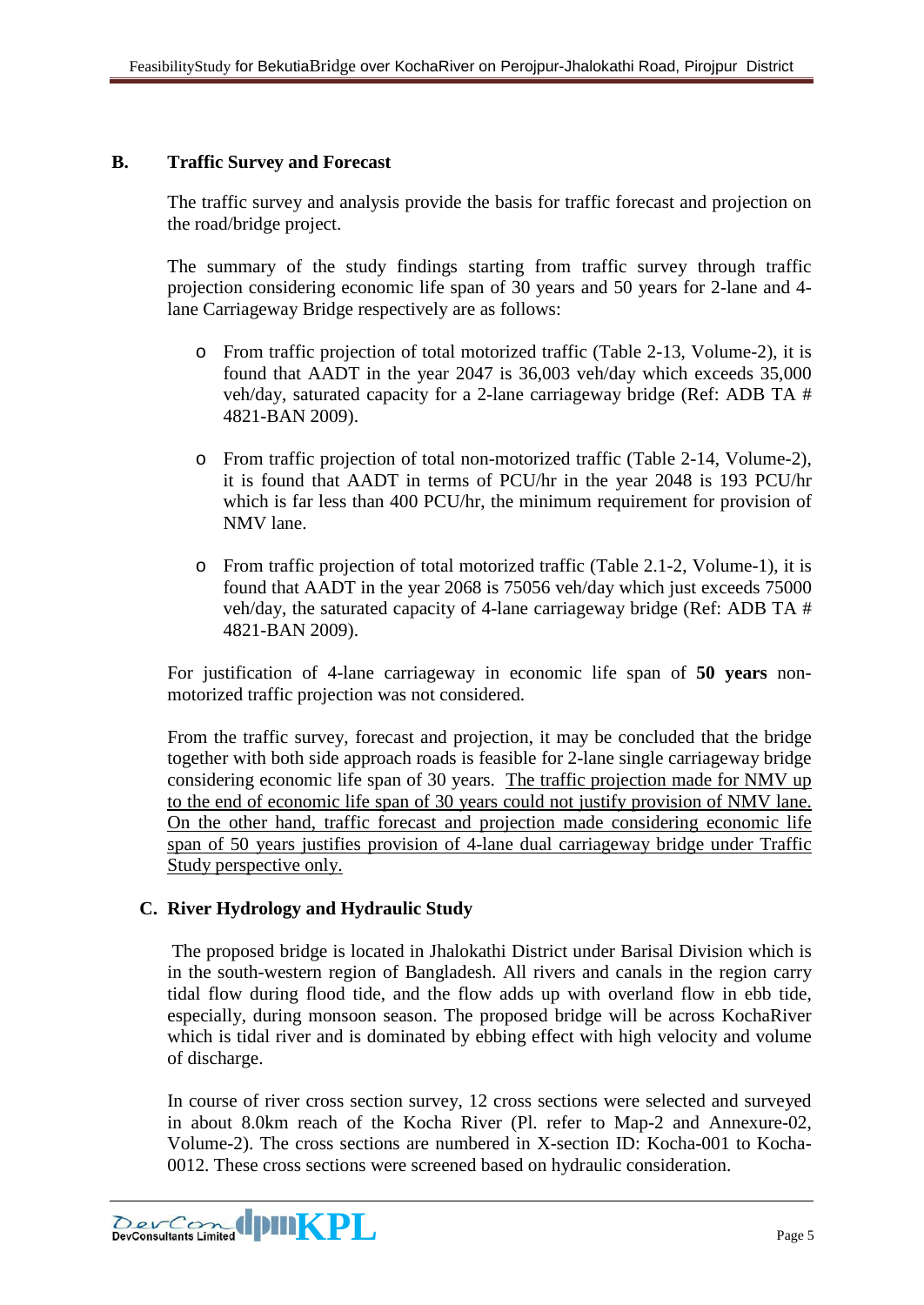## **B. Traffic Survey and Forecast**

The traffic survey and analysis provide the basis for traffic forecast and projection on the road/bridge project.

The summary of the study findings starting from traffic survey through traffic projection considering economic life span of 30 years and 50 years for 2-lane and 4 lane Carriageway Bridge respectively are as follows:

- o From traffic projection of total motorized traffic (Table 2-13, Volume-2), it is found that AADT in the year 2047 is 36,003 veh/day which exceeds 35,000 veh/day, saturated capacity for a 2-lane carriageway bridge (Ref: ADB TA # 4821-BAN 2009).
- o From traffic projection of total non-motorized traffic (Table 2-14, Volume-2), it is found that AADT in terms of PCU/hr in the year 2048 is 193 PCU/hr which is far less than 400 PCU/hr, the minimum requirement for provision of NMV lane.
- o From traffic projection of total motorized traffic (Table 2.1-2, Volume-1), it is found that AADT in the year 2068 is 75056 veh/day which just exceeds 75000 veh/day, the saturated capacity of 4-lane carriageway bridge (Ref: ADB TA # 4821-BAN 2009).

For justification of 4-lane carriageway in economic life span of **50 years** nonmotorized traffic projection was not considered.

From the traffic survey, forecast and projection, it may be concluded that the bridge together with both side approach roads is feasible for 2-lane single carriageway bridge considering economic life span of 30 years. The traffic projection made for NMV up to the end of economic life span of 30 years could not justify provision of NMV lane. On the other hand, traffic forecast and projection made considering economic life span of 50 years justifies provision of 4-lane dual carriageway bridge under Traffic Study perspective only.

## **C. River Hydrology and Hydraulic Study**

The proposed bridge is located in Jhalokathi District under Barisal Division which is in the south-western region of Bangladesh. All rivers and canals in the region carry tidal flow during flood tide, and the flow adds up with overland flow in ebb tide, especially, during monsoon season. The proposed bridge will be across KochaRiver which is tidal river and is dominated by ebbing effect with high velocity and volume of discharge.

In course of river cross section survey, 12 cross sections were selected and surveyed in about 8.0km reach of the Kocha River (Pl. refer to Map-2 and Annexure-02, Volume-2). The cross sections are numbered in X-section ID: Kocha-001 to Kocha-0012. These cross sections were screened based on hydraulic consideration.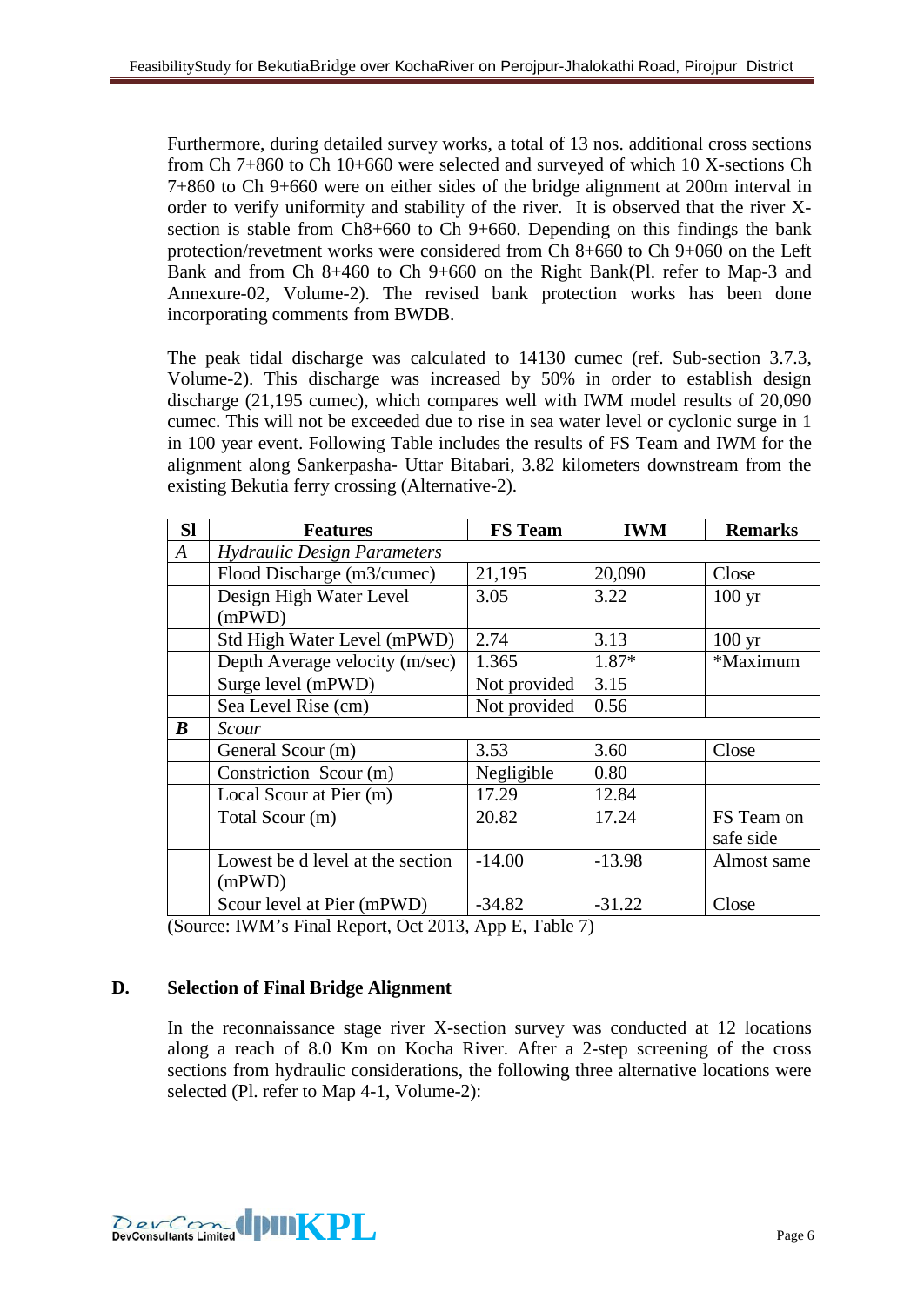Furthermore, during detailed survey works, a total of 13 nos. additional cross sections from Ch 7+860 to Ch 10+660 were selected and surveyed of which 10 X-sections Ch 7+860 to Ch 9+660 were on either sides of the bridge alignment at 200m interval in order to verify uniformity and stability of the river. It is observed that the river Xsection is stable from Ch8+660 to Ch 9+660. Depending on this findings the bank protection/revetment works were considered from Ch 8+660 to Ch 9+060 on the Left Bank and from Ch 8+460 to Ch 9+660 on the Right Bank(Pl. refer to Map-3 and Annexure-02, Volume-2). The revised bank protection works has been done incorporating comments from BWDB.

The peak tidal discharge was calculated to 14130 cumec (ref. Sub-section 3.7.3, Volume-2). This discharge was increased by 50% in order to establish design discharge (21,195 cumec), which compares well with IWM model results of 20,090 cumec. This will not be exceeded due to rise in sea water level or cyclonic surge in 1 in 100 year event. Following Table includes the results of FS Team and IWM for the alignment along Sankerpasha- Uttar Bitabari, 3.82 kilometers downstream from the existing Bekutia ferry crossing (Alternative-2).

| <b>SI</b>        | <b>Features</b>                    | <b>FS</b> Team | <b>IWM</b> | <b>Remarks</b>   |
|------------------|------------------------------------|----------------|------------|------------------|
| $\boldsymbol{A}$ | <b>Hydraulic Design Parameters</b> |                |            |                  |
|                  | Flood Discharge (m3/cumec)         | 21,195         | 20,090     | Close            |
|                  | Design High Water Level            | 3.05           | 3.22       | $100 \text{ yr}$ |
|                  | (mPWD)                             |                |            |                  |
|                  | Std High Water Level (mPWD)        | 2.74           | 3.13       | $100 \text{ yr}$ |
|                  | Depth Average velocity (m/sec)     | 1.365          | 1.87*      | *Maximum         |
|                  | Surge level (mPWD)                 | Not provided   | 3.15       |                  |
|                  | Sea Level Rise (cm)                | Not provided   | 0.56       |                  |
| $\boldsymbol{B}$ | Scour                              |                |            |                  |
|                  | General Scour (m)                  | 3.53           | 3.60       | Close            |
|                  | Constriction Scour (m)             | Negligible     | 0.80       |                  |
|                  | Local Scour at Pier (m)            | 17.29          | 12.84      |                  |
|                  | Total Scour (m)                    | 20.82          | 17.24      | FS Team on       |
|                  |                                    |                |            | safe side        |
|                  | Lowest be d level at the section   | $-14.00$       | $-13.98$   | Almost same      |
|                  | (mPWD)                             |                |            |                  |
|                  | Scour level at Pier (mPWD)         | $-34.82$       | $-31.22$   | Close            |

(Source: IWM's Final Report, Oct 2013, App E, Table 7)

## **D. Selection of Final Bridge Alignment**

In the reconnaissance stage river X-section survey was conducted at 12 locations along a reach of 8.0 Km on Kocha River. After a 2-step screening of the cross sections from hydraulic considerations, the following three alternative locations were selected (Pl. refer to Map 4-1, Volume-2):

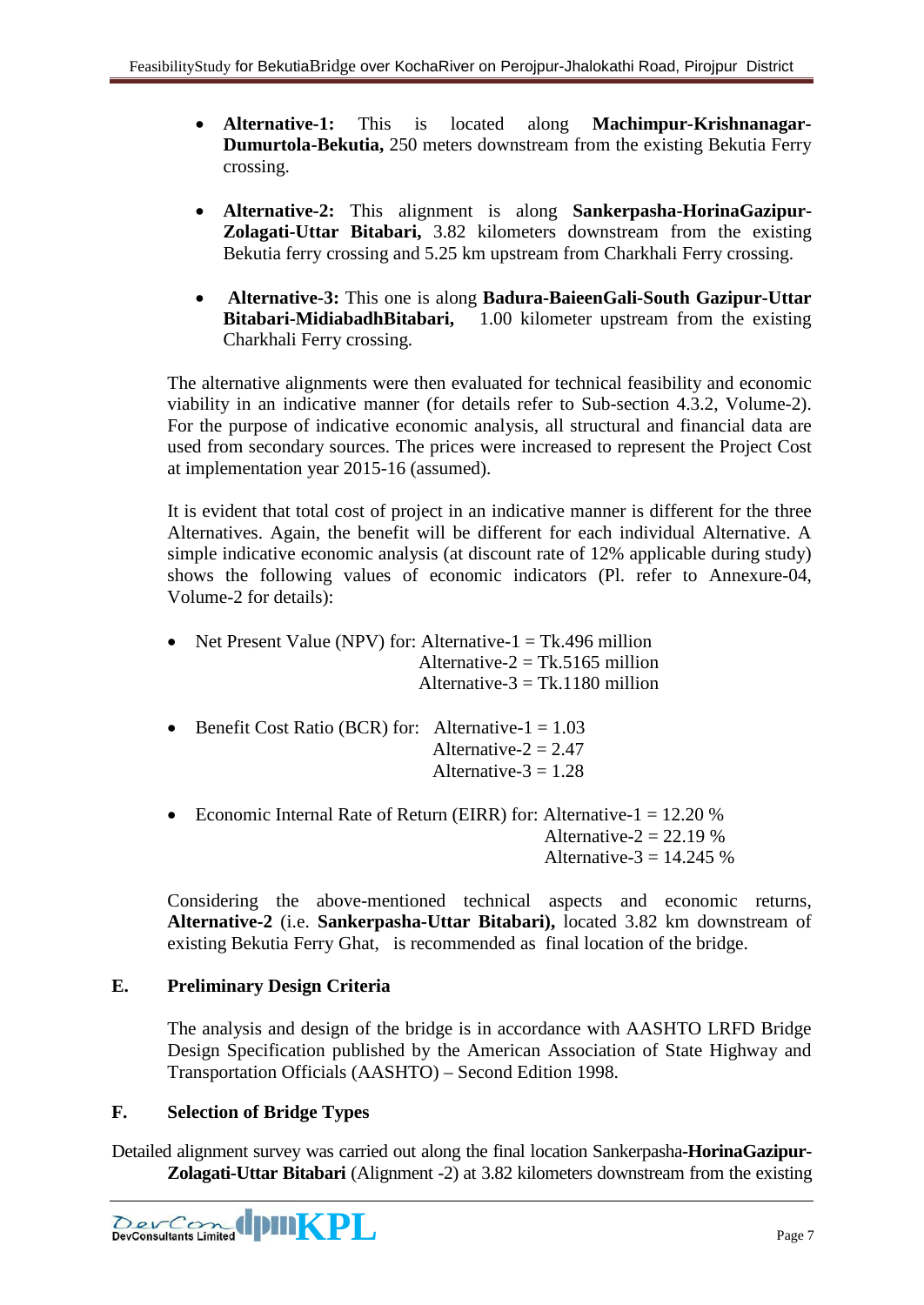- **Alternative-1:** This is located along **Machimpur-Krishnanagar-Dumurtola-Bekutia,** 250 meters downstream from the existing Bekutia Ferry crossing.
- **Alternative-2:** This alignment is along **Sankerpasha-HorinaGazipur-Zolagati-Uttar Bitabari,** 3.82 kilometers downstream from the existing Bekutia ferry crossing and 5.25 km upstream from Charkhali Ferry crossing.
- **Alternative-3:** This one is along **Badura-BaieenGali-South Gazipur-Uttar Bitabari-MidiabadhBitabari,** 1.00 kilometer upstream from the existing Charkhali Ferry crossing.

The alternative alignments were then evaluated for technical feasibility and economic viability in an indicative manner (for details refer to Sub-section 4.3.2, Volume-2). For the purpose of indicative economic analysis, all structural and financial data are used from secondary sources. The prices were increased to represent the Project Cost at implementation year 2015-16 (assumed).

It is evident that total cost of project in an indicative manner is different for the three Alternatives. Again, the benefit will be different for each individual Alternative. A simple indicative economic analysis (at discount rate of 12% applicable during study) shows the following values of economic indicators (Pl. refer to Annexure-04, Volume-2 for details):

- Net Present Value (NPV) for: Alternative-1 = Tk.496 million Alternative- $2 = Tk.5165$  million Alternative- $3 = Tk.1180$  million
- Benefit Cost Ratio (BCR) for: Alternative- $1 = 1.03$ Alternative- $2 = 2.47$ Alternative- $3 = 1.28$
- Economic Internal Rate of Return (EIRR) for: Alternative- $1 = 12.20\%$ Alternative- $2 = 22.19\%$ Alternative- $3 = 14.245\%$

Considering the above-mentioned technical aspects and economic returns, **Alternative-2** (i.e. **Sankerpasha-Uttar Bitabari),** located 3.82 km downstream of existing Bekutia Ferry Ghat, is recommended as final location of the bridge.

# **E. Preliminary Design Criteria**

The analysis and design of the bridge is in accordance with AASHTO LRFD Bridge Design Specification published by the American Association of State Highway and Transportation Officials (AASHTO) – Second Edition 1998.

# **F. Selection of Bridge Types**

Detailed alignment survey was carried out along the final location Sankerpasha**-HorinaGazipur-Zolagati-Uttar Bitabari** (Alignment -2) at 3.82 kilometers downstream from the existing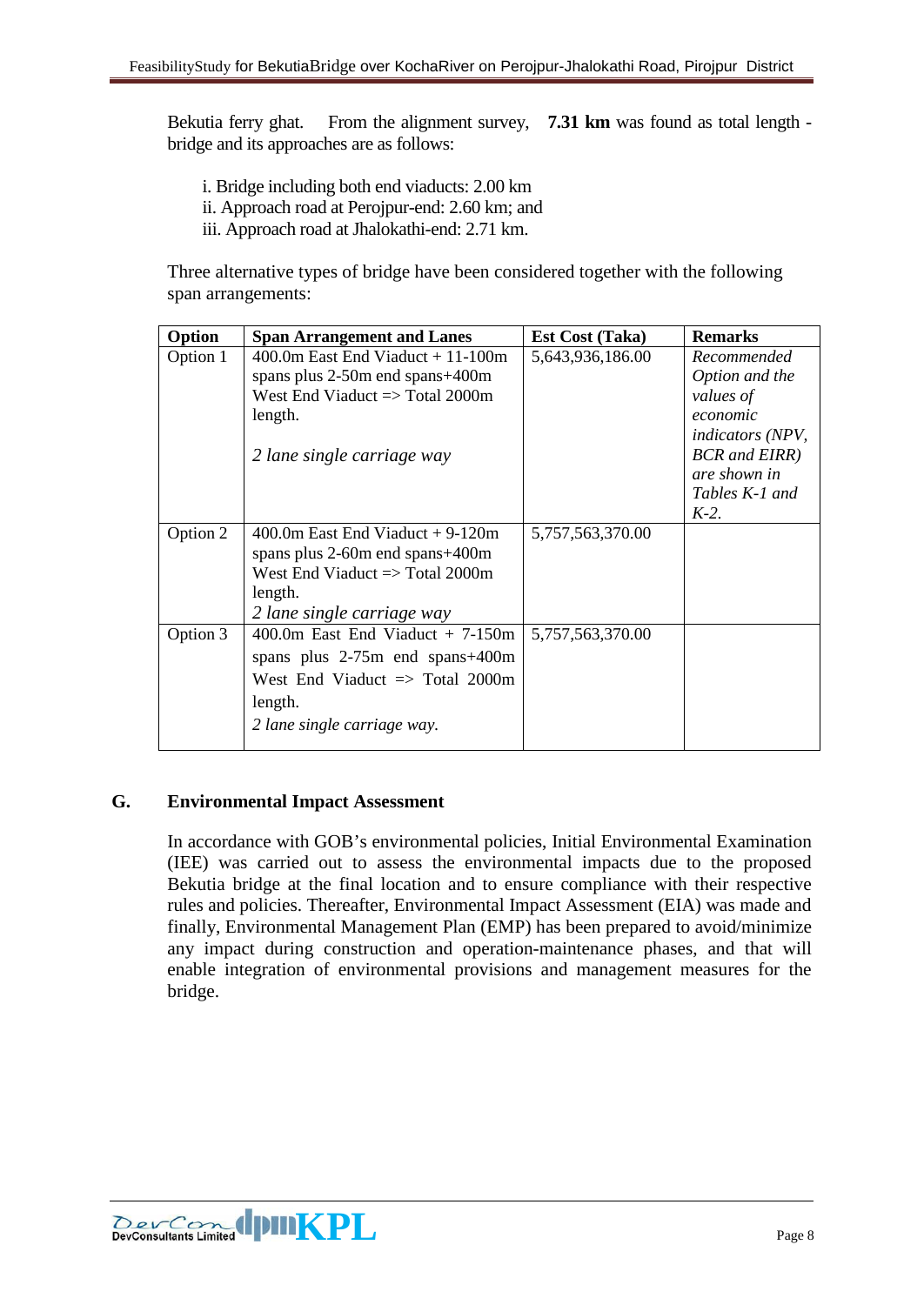Bekutia ferry ghat. From the alignment survey, **7.31 km** was found as total length bridge and its approaches are as follows:

- i. Bridge including both end viaducts: 2.00 km
- ii. Approach road at Perojpur-end: 2.60 km; and
- iii. Approach road at Jhalokathi-end: 2.71 km.

Three alternative types of bridge have been considered together with the following span arrangements:

| Option   | <b>Span Arrangement and Lanes</b>          | <b>Est Cost (Taka)</b> | <b>Remarks</b>               |
|----------|--------------------------------------------|------------------------|------------------------------|
| Option 1 | $400.0$ m East End Viaduct + 11-100m       | 5,643,936,186.00       | Recommended                  |
|          | spans plus 2-50m end spans+400m            |                        | Option and the               |
|          | West End Viaduct $\Rightarrow$ Total 2000m |                        | values of                    |
|          | length.                                    |                        | economic                     |
|          |                                            |                        | <i>indicators (NPV,</i>      |
|          | 2 lane single carriage way                 |                        | <b>BCR</b> and <b>EIRR</b> ) |
|          |                                            |                        | are shown in                 |
|          |                                            |                        | Tables K-1 and               |
|          |                                            |                        | $K-2$ .                      |
| Option 2 | $400.0$ m East End Viaduct + 9-120m        | 5,757,563,370.00       |                              |
|          | spans plus 2-60m end spans+400m            |                        |                              |
|          | West End Viaduct $\Rightarrow$ Total 2000m |                        |                              |
|          | length.                                    |                        |                              |
|          | 2 lane single carriage way                 |                        |                              |
| Option 3 | 400.0m East End Viaduct $+ 7-150m$         | 5,757,563,370.00       |                              |
|          | spans plus $2-75m$ end spans $+400m$       |                        |                              |
|          | West End Viaduct $\Rightarrow$ Total 2000m |                        |                              |
|          | length.                                    |                        |                              |
|          | 2 lane single carriage way.                |                        |                              |
|          |                                            |                        |                              |

## **G. Environmental Impact Assessment**

In accordance with GOB's environmental policies, Initial Environmental Examination (IEE) was carried out to assess the environmental impacts due to the proposed Bekutia bridge at the final location and to ensure compliance with their respective rules and policies. Thereafter, Environmental Impact Assessment (EIA) was made and finally, Environmental Management Plan (EMP) has been prepared to avoid/minimize any impact during construction and operation-maintenance phases, and that will enable integration of environmental provisions and management measures for the bridge.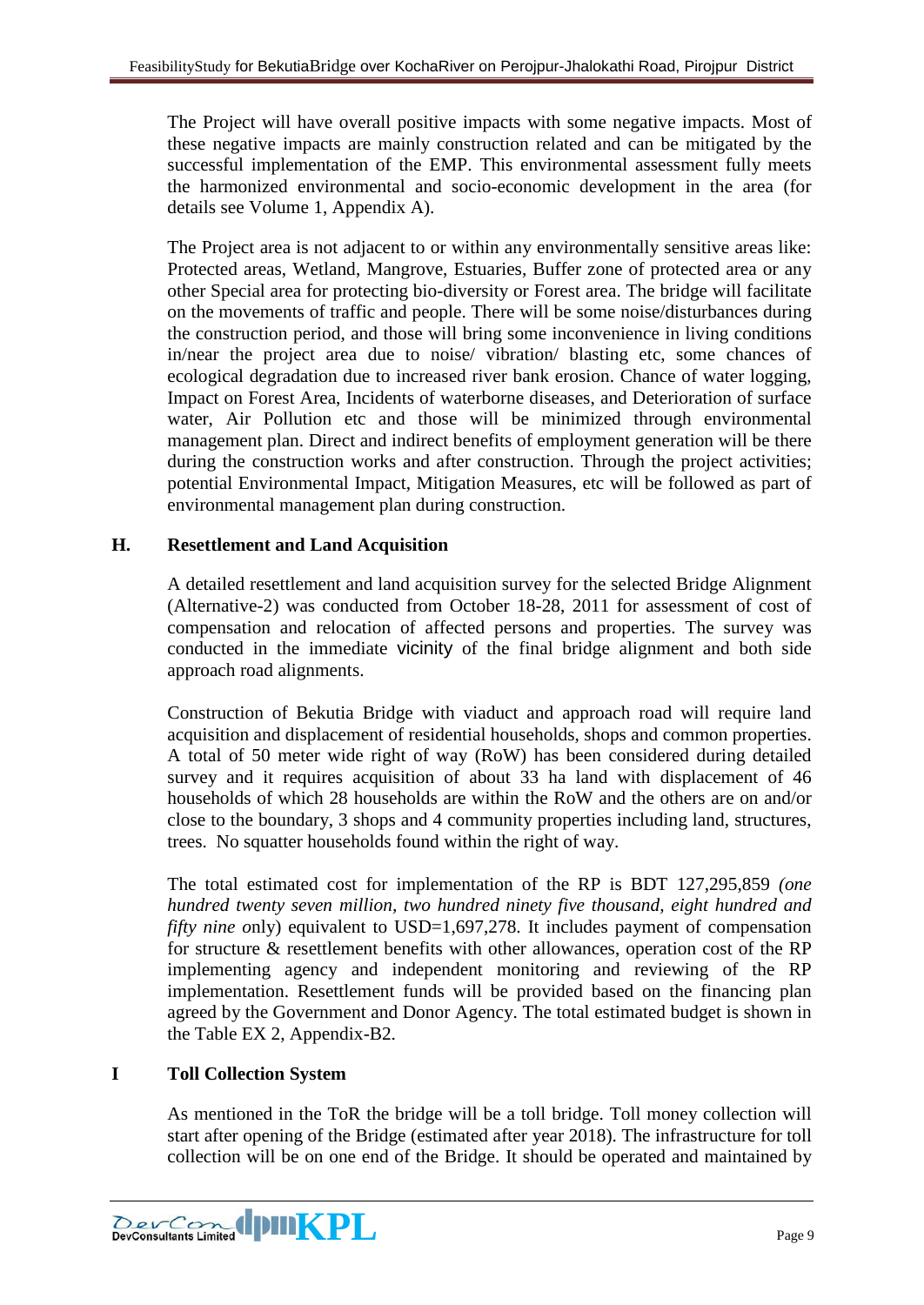The Project will have overall positive impacts with some negative impacts. Most of these negative impacts are mainly construction related and can be mitigated by the successful implementation of the EMP. This environmental assessment fully meets the harmonized environmental and socio-economic development in the area (for details see Volume 1, Appendix A).

The Project area is not adjacent to or within any environmentally sensitive areas like: Protected areas, Wetland, Mangrove, Estuaries, Buffer zone of protected area or any other Special area for protecting bio-diversity or Forest area. The bridge will facilitate on the movements of traffic and people. There will be some noise/disturbances during the construction period, and those will bring some inconvenience in living conditions in/near the project area due to noise/ vibration/ blasting etc, some chances of ecological degradation due to increased river bank erosion. Chance of water logging, Impact on Forest Area, Incidents of waterborne diseases, and Deterioration of surface water, Air Pollution etc and those will be minimized through environmental management plan. Direct and indirect benefits of employment generation will be there during the construction works and after construction. Through the project activities; potential Environmental Impact, Mitigation Measures, etc will be followed as part of environmental management plan during construction.

# **H. Resettlement and Land Acquisition**

A detailed resettlement and land acquisition survey for the selected Bridge Alignment (Alternative-2) was conducted from October 18-28, 2011 for assessment of cost of compensation and relocation of affected persons and properties. The survey was conducted in the immediate vicinity of the final bridge alignment and both side approach road alignments.

Construction of Bekutia Bridge with viaduct and approach road will require land acquisition and displacement of residential households, shops and common properties. A total of 50 meter wide right of way (RoW) has been considered during detailed survey and it requires acquisition of about 33 ha land with displacement of 46 households of which 28 households are within the RoW and the others are on and/or close to the boundary, 3 shops and 4 community properties including land, structures, trees. No squatter households found within the right of way.

The total estimated cost for implementation of the RP is BDT 127,295,859 *(one hundred twenty seven million, two hundred ninety five thousand, eight hundred and fifty nine only*) equivalent to USD=1,697,278. It includes payment of compensation for structure & resettlement benefits with other allowances, operation cost of the RP implementing agency and independent monitoring and reviewing of the RP implementation. Resettlement funds will be provided based on the financing plan agreed by the Government and Donor Agency. The total estimated budget is shown in the Table EX 2, Appendix-B2.

# **I Toll Collection System**

As mentioned in the ToR the bridge will be a toll bridge. Toll money collection will start after opening of the Bridge (estimated after year 2018). The infrastructure for toll collection will be on one end of the Bridge. It should be operated and maintained by

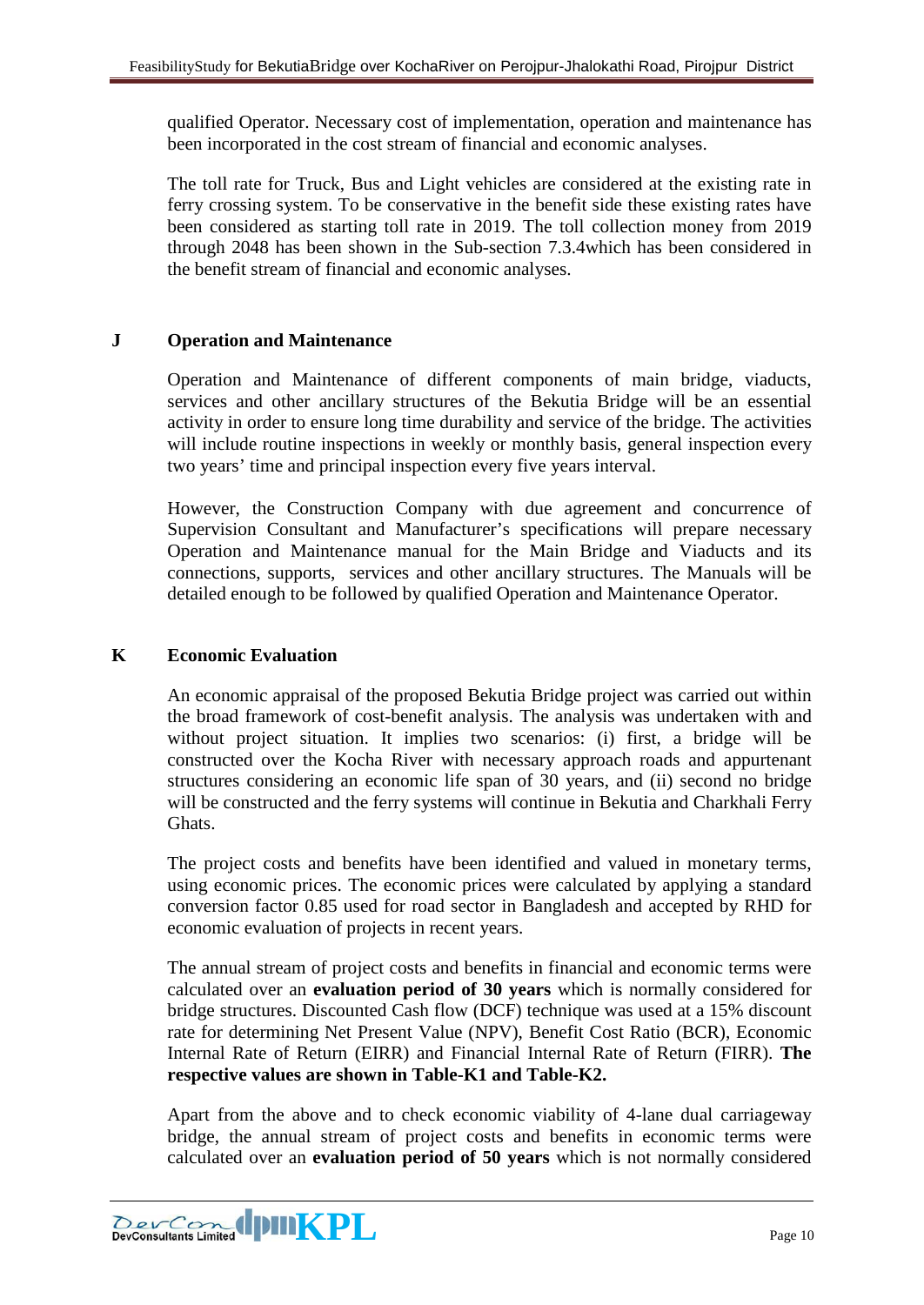qualified Operator. Necessary cost of implementation, operation and maintenance has been incorporated in the cost stream of financial and economic analyses.

The toll rate for Truck, Bus and Light vehicles are considered at the existing rate in ferry crossing system. To be conservative in the benefit side these existing rates have been considered as starting toll rate in 2019. The toll collection money from 2019 through 2048 has been shown in the Sub-section 7.3.4which has been considered in the benefit stream of financial and economic analyses.

# **J Operation and Maintenance**

Operation and Maintenance of different components of main bridge, viaducts, services and other ancillary structures of the Bekutia Bridge will be an essential activity in order to ensure long time durability and service of the bridge. The activities will include routine inspections in weekly or monthly basis, general inspection every two years' time and principal inspection every five years interval.

However, the Construction Company with due agreement and concurrence of Supervision Consultant and Manufacturer's specifications will prepare necessary Operation and Maintenance manual for the Main Bridge and Viaducts and its connections, supports, services and other ancillary structures. The Manuals will be detailed enough to be followed by qualified Operation and Maintenance Operator.

## **K Economic Evaluation**

An economic appraisal of the proposed Bekutia Bridge project was carried out within the broad framework of cost-benefit analysis. The analysis was undertaken with and without project situation. It implies two scenarios: (i) first, a bridge will be constructed over the Kocha River with necessary approach roads and appurtenant structures considering an economic life span of 30 years, and (ii) second no bridge will be constructed and the ferry systems will continue in Bekutia and Charkhali Ferry Ghats.

The project costs and benefits have been identified and valued in monetary terms, using economic prices. The economic prices were calculated by applying a standard conversion factor 0.85 used for road sector in Bangladesh and accepted by RHD for economic evaluation of projects in recent years.

The annual stream of project costs and benefits in financial and economic terms were calculated over an **evaluation period of 30 years** which is normally considered for bridge structures. Discounted Cash flow (DCF) technique was used at a 15% discount rate for determining Net Present Value (NPV), Benefit Cost Ratio (BCR), Economic Internal Rate of Return (EIRR) and Financial Internal Rate of Return (FIRR). **The respective values are shown in Table-K1 and Table-K2.**

Apart from the above and to check economic viability of 4-lane dual carriageway bridge, the annual stream of project costs and benefits in economic terms were calculated over an **evaluation period of 50 years** which is not normally considered

**EXECONDER IN THE PLAN PLAN PROPERTY AND RELATED PAGE 10**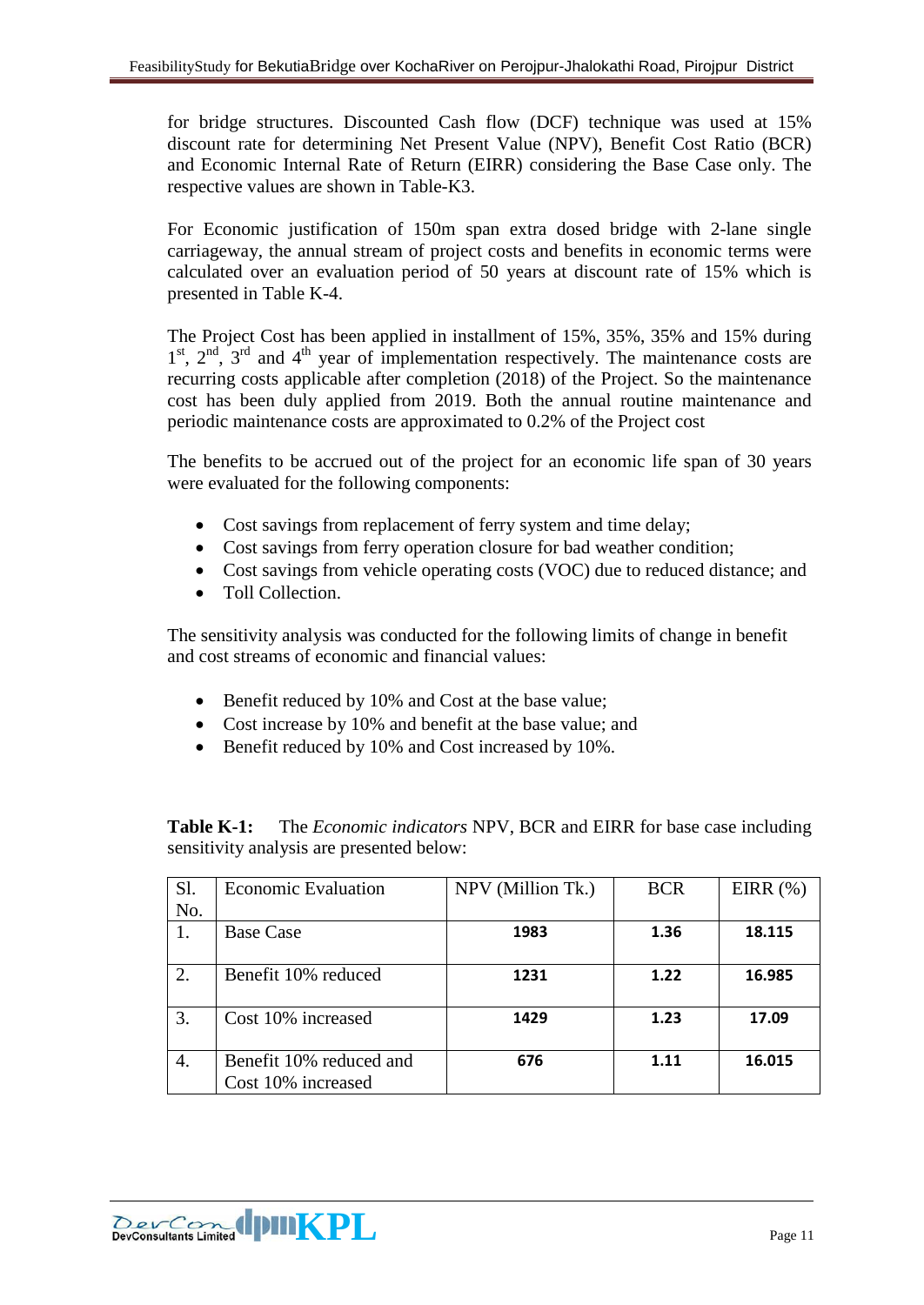for bridge structures. Discounted Cash flow (DCF) technique was used at 15% discount rate for determining Net Present Value (NPV), Benefit Cost Ratio (BCR) and Economic Internal Rate of Return (EIRR) considering the Base Case only. The respective values are shown in Table-K3.

For Economic justification of 150m span extra dosed bridge with 2-lane single carriageway, the annual stream of project costs and benefits in economic terms were calculated over an evaluation period of 50 years at discount rate of 15% which is presented in Table K-4.

The Project Cost has been applied in installment of 15%, 35%, 35% and 15% during  $1<sup>st</sup>$ ,  $2<sup>nd</sup>$ ,  $3<sup>rd</sup>$  and  $4<sup>th</sup>$  year of implementation respectively. The maintenance costs are recurring costs applicable after completion (2018) of the Project. So the maintenance cost has been duly applied from 2019. Both the annual routine maintenance and periodic maintenance costs are approximated to 0.2% of the Project cost

The benefits to be accrued out of the project for an economic life span of 30 years were evaluated for the following components:

- Cost savings from replacement of ferry system and time delay;
- Cost savings from ferry operation closure for bad weather condition;
- Cost savings from vehicle operating costs (VOC) due to reduced distance; and
- Toll Collection.

The sensitivity analysis was conducted for the following limits of change in benefit and cost streams of economic and financial values:

- Benefit reduced by 10% and Cost at the base value;
- Cost increase by 10% and benefit at the base value; and
- Benefit reduced by 10% and Cost increased by 10%.

**Table K-1:** The *Economic indicators* NPV, BCR and EIRR for base case including sensitivity analysis are presented below:

| Sl. | <b>Economic Evaluation</b>                    | NPV (Million Tk.) | <b>BCR</b> | EIRR $(\%)$ |
|-----|-----------------------------------------------|-------------------|------------|-------------|
| No. |                                               |                   |            |             |
|     | <b>Base Case</b>                              | 1983              | 1.36       | 18.115      |
| 2.  | Benefit 10% reduced                           | 1231              | 1.22       | 16.985      |
| 3.  | Cost 10% increased                            | 1429              | 1.23       | 17.09       |
| 4.  | Benefit 10% reduced and<br>Cost 10% increased | 676               | 1.11       | 16.015      |

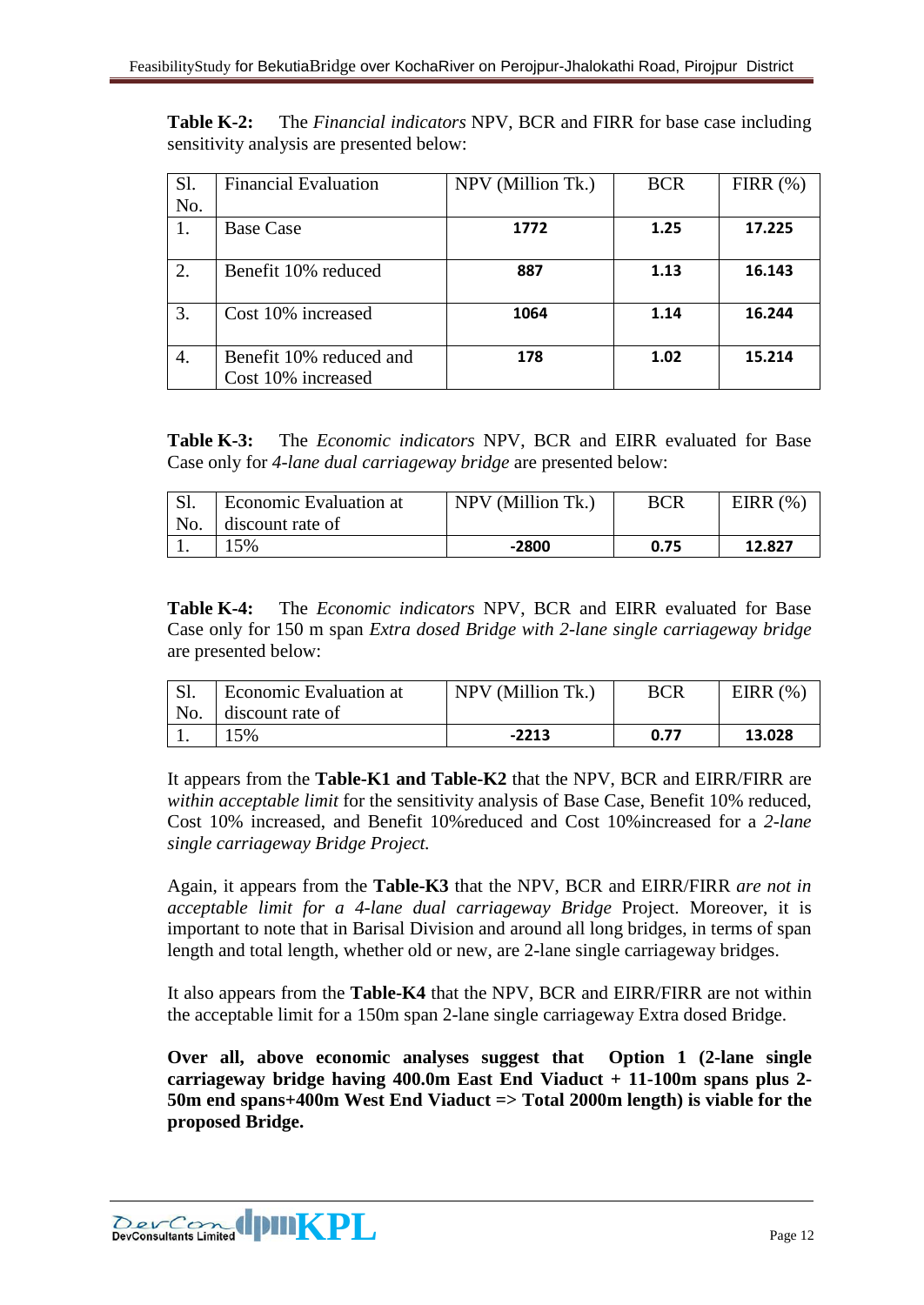**Table K-2:** The *Financial indicators* NPV, BCR and FIRR for base case including sensitivity analysis are presented below:

| Sl. | <b>Financial Evaluation</b> | NPV (Million Tk.) | <b>BCR</b> | FIRR $(\%)$ |
|-----|-----------------------------|-------------------|------------|-------------|
| No. |                             |                   |            |             |
| 1.  | <b>Base Case</b>            | 1772              | 1.25       | 17.225      |
|     |                             |                   |            |             |
| 2.  | Benefit 10% reduced         | 887               | 1.13       | 16.143      |
| 3.  | Cost 10% increased          | 1064              | 1.14       | 16.244      |
| 4.  | Benefit 10% reduced and     | 178               | 1.02       | 15.214      |
|     | Cost 10% increased          |                   |            |             |

**Table K-3:** The *Economic indicators* NPV, BCR and EIRR evaluated for Base Case only for *4-lane dual carriageway bridge* are presented below:

| $\sqrt{C}$ | <b>Economic Evaluation at</b> | NPV (Million Tk.) | BCR  | EIRR $(% )$ |
|------------|-------------------------------|-------------------|------|-------------|
| No.        | discount rate of              |                   |      |             |
|            | 5%                            | $-2800$           | 0.75 | 12.827      |

**Table K-4:** The *Economic indicators* NPV, BCR and EIRR evaluated for Base Case only for 150 m span *Extra dosed Bridge with 2-lane single carriageway bridge*  are presented below:

|     | <b>Economic Evaluation at</b> | NPV (Million Tk.) | <b>BCR</b> | EIRR $(\% )$ |
|-----|-------------------------------|-------------------|------------|--------------|
| No. | discount rate of              |                   |            |              |
|     | 5%                            | $-2213$           | 0.77       | 13.028       |

It appears from the **Table-K1 and Table-K2** that the NPV, BCR and EIRR/FIRR are *within acceptable limit* for the sensitivity analysis of Base Case, Benefit 10% reduced, Cost 10% increased, and Benefit 10%reduced and Cost 10%increased for a *2-lane single carriageway Bridge Project.*

Again, it appears from the **Table-K3** that the NPV, BCR and EIRR/FIRR *are not in acceptable limit for a 4-lane dual carriageway Bridge* Project. Moreover, it is important to note that in Barisal Division and around all long bridges, in terms of span length and total length, whether old or new, are 2-lane single carriageway bridges.

It also appears from the **Table-K4** that the NPV, BCR and EIRR/FIRR are not within the acceptable limit for a 150m span 2-lane single carriageway Extra dosed Bridge.

**Over all, above economic analyses suggest that Option 1 (2-lane single carriageway bridge having 400.0m East End Viaduct + 11-100m spans plus 2- 50m end spans+400m West End Viaduct => Total 2000m length) is viable for the proposed Bridge.**

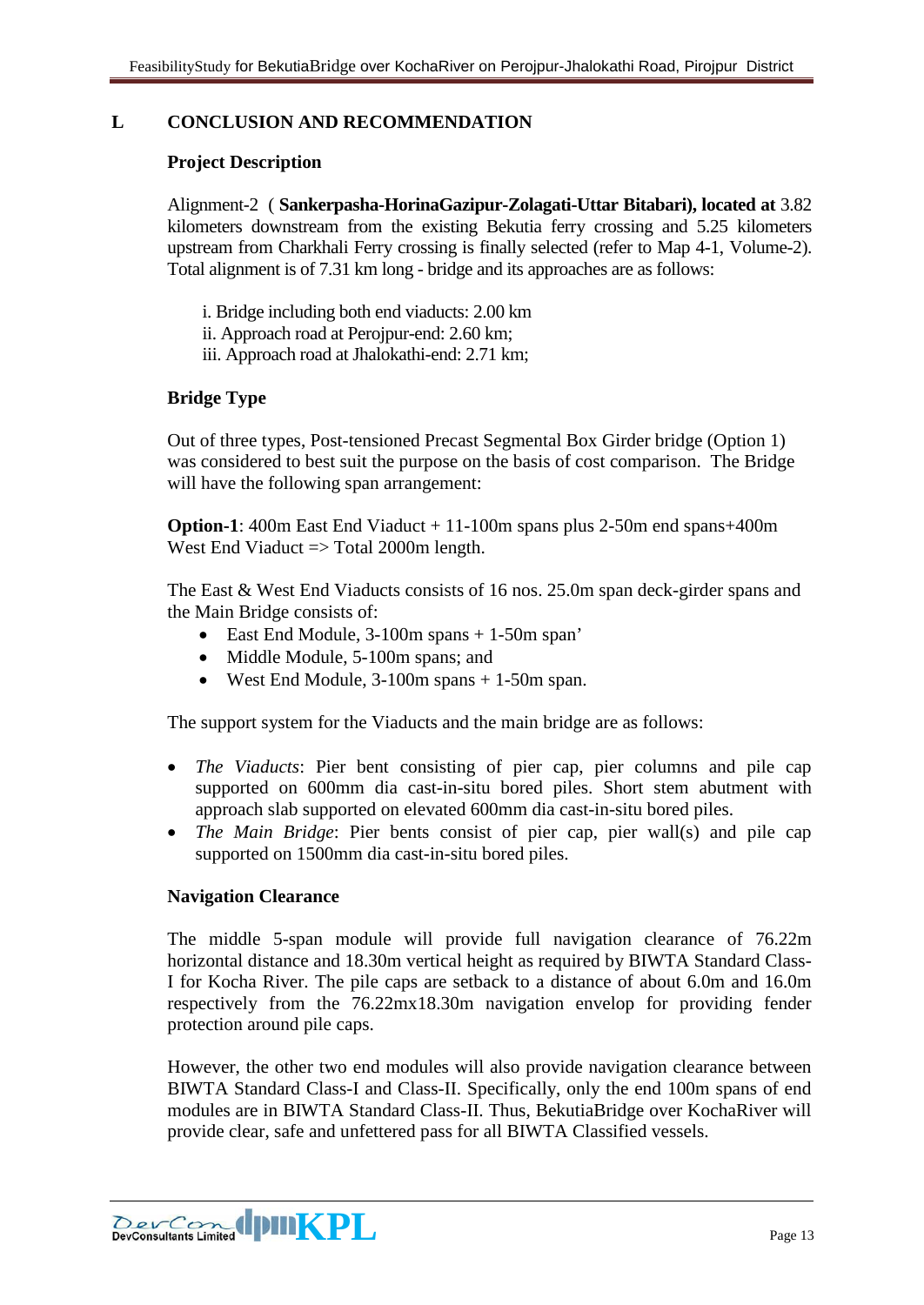# **L CONCLUSION AND RECOMMENDATION**

#### **Project Description**

Alignment-2 ( **Sankerpasha-HorinaGazipur-Zolagati-Uttar Bitabari), located at** 3.82 kilometers downstream from the existing Bekutia ferry crossing and 5.25 kilometers upstream from Charkhali Ferry crossing is finally selected (refer to Map 4-1, Volume-2). Total alignment is of 7.31 km long - bridge and its approaches are as follows:

- i. Bridge including both end viaducts: 2.00 km
- ii. Approach road at Perojpur-end: 2.60 km;
- iii. Approach road at Jhalokathi-end: 2.71 km;

## **Bridge Type**

Out of three types, Post-tensioned Precast Segmental Box Girder bridge (Option 1) was considered to best suit the purpose on the basis of cost comparison. The Bridge will have the following span arrangement:

**Option-1**: 400m East End Viaduct + 11-100m spans plus 2-50m end spans+400m West End Viaduct  $\Rightarrow$  Total 2000m length.

The East & West End Viaducts consists of 16 nos. 25.0m span deck-girder spans and the Main Bridge consists of:

- East End Module, 3-100m spans + 1-50m span'
- Middle Module, 5-100m spans; and
- West End Module, 3-100m spans + 1-50m span.

The support system for the Viaducts and the main bridge are as follows:

- *The Viaducts*: Pier bent consisting of pier cap, pier columns and pile cap supported on 600mm dia cast-in-situ bored piles. Short stem abutment with approach slab supported on elevated 600mm dia cast-in-situ bored piles.
- *The Main Bridge*: Pier bents consist of pier cap, pier wall(s) and pile cap supported on 1500mm dia cast-in-situ bored piles.

#### **Navigation Clearance**

The middle 5-span module will provide full navigation clearance of 76.22m horizontal distance and 18.30m vertical height as required by BIWTA Standard Class-I for Kocha River. The pile caps are setback to a distance of about 6.0m and 16.0m respectively from the 76.22mx18.30m navigation envelop for providing fender protection around pile caps.

However, the other two end modules will also provide navigation clearance between BIWTA Standard Class-I and Class-II. Specifically, only the end 100m spans of end modules are in BIWTA Standard Class-II. Thus, BekutiaBridge over KochaRiver will provide clear, safe and unfettered pass for all BIWTA Classified vessels.

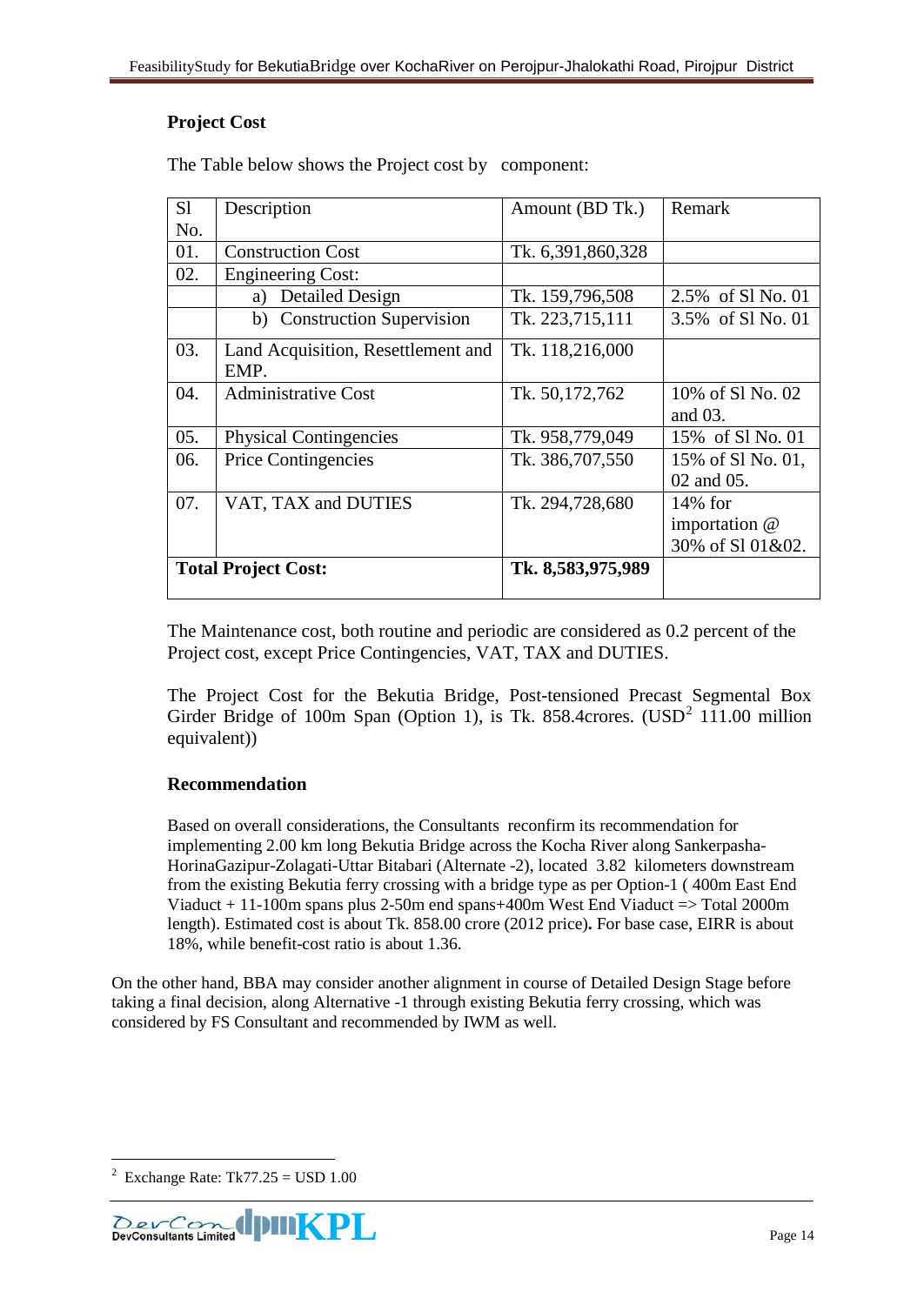# **Project Cost**

The Table below shows the Project cost by component:

| S1  | Description                                | Amount (BD Tk.)   | Remark                                         |
|-----|--------------------------------------------|-------------------|------------------------------------------------|
| No. |                                            |                   |                                                |
| 01. | <b>Construction Cost</b>                   | Tk. 6,391,860,328 |                                                |
| 02. | <b>Engineering Cost:</b>                   |                   |                                                |
|     | <b>Detailed Design</b><br>a)               | Tk. 159,796,508   | 2.5% of Sl No. 01                              |
|     | b) Construction Supervision                | Tk. 223,715,111   | 3.5% of S1 No. 01                              |
| 03. | Land Acquisition, Resettlement and<br>EMP. | Tk. 118,216,000   |                                                |
| 04. | <b>Administrative Cost</b>                 | Tk. 50,172,762    | 10% of S1 No. 02<br>and $03$ .                 |
| 05. | <b>Physical Contingencies</b>              | Tk. 958,779,049   | 15% of Sl No. 01                               |
| 06. | <b>Price Contingencies</b>                 | Tk. 386,707,550   | 15% of Sl No. 01,<br>02 and 05.                |
| 07. | VAT, TAX and DUTIES                        | Tk. 294,728,680   | $14\%$ for<br>importation @<br>30% of S101&02. |
|     | <b>Total Project Cost:</b>                 | Tk. 8,583,975,989 |                                                |

The Maintenance cost, both routine and periodic are considered as 0.2 percent of the Project cost, except Price Contingencies, VAT, TAX and DUTIES.

The Project Cost for the Bekutia Bridge, Post-tensioned Precast Segmental Box Girder Bridge of 100m Span (Option 1), is Tk. 858.4crores.  $(USD<sup>2</sup> 111.00$  $(USD<sup>2</sup> 111.00$  $(USD<sup>2</sup> 111.00$  million equivalent))

## **Recommendation**

Based on overall considerations, the Consultants reconfirm its recommendation for implementing 2.00 km long Bekutia Bridge across the Kocha River along Sankerpasha-HorinaGazipur-Zolagati-Uttar Bitabari (Alternate -2), located 3.82 kilometers downstream from the existing Bekutia ferry crossing with a bridge type as per Option-1 ( 400m East End Viaduct + 11-100m spans plus 2-50m end spans+400m West End Viaduct => Total 2000m length). Estimated cost is about Tk. 858.00 crore (2012 price)**.** For base case, EIRR is about 18%, while benefit-cost ratio is about 1.36.

On the other hand, BBA may consider another alignment in course of Detailed Design Stage before taking a final decision, along Alternative -1 through existing Bekutia ferry crossing, which was considered by FS Consultant and recommended by IWM as well.

<u>.</u>

<span id="page-13-0"></span><sup>2</sup> Exchange Rate: Tk77.25 = USD 1.00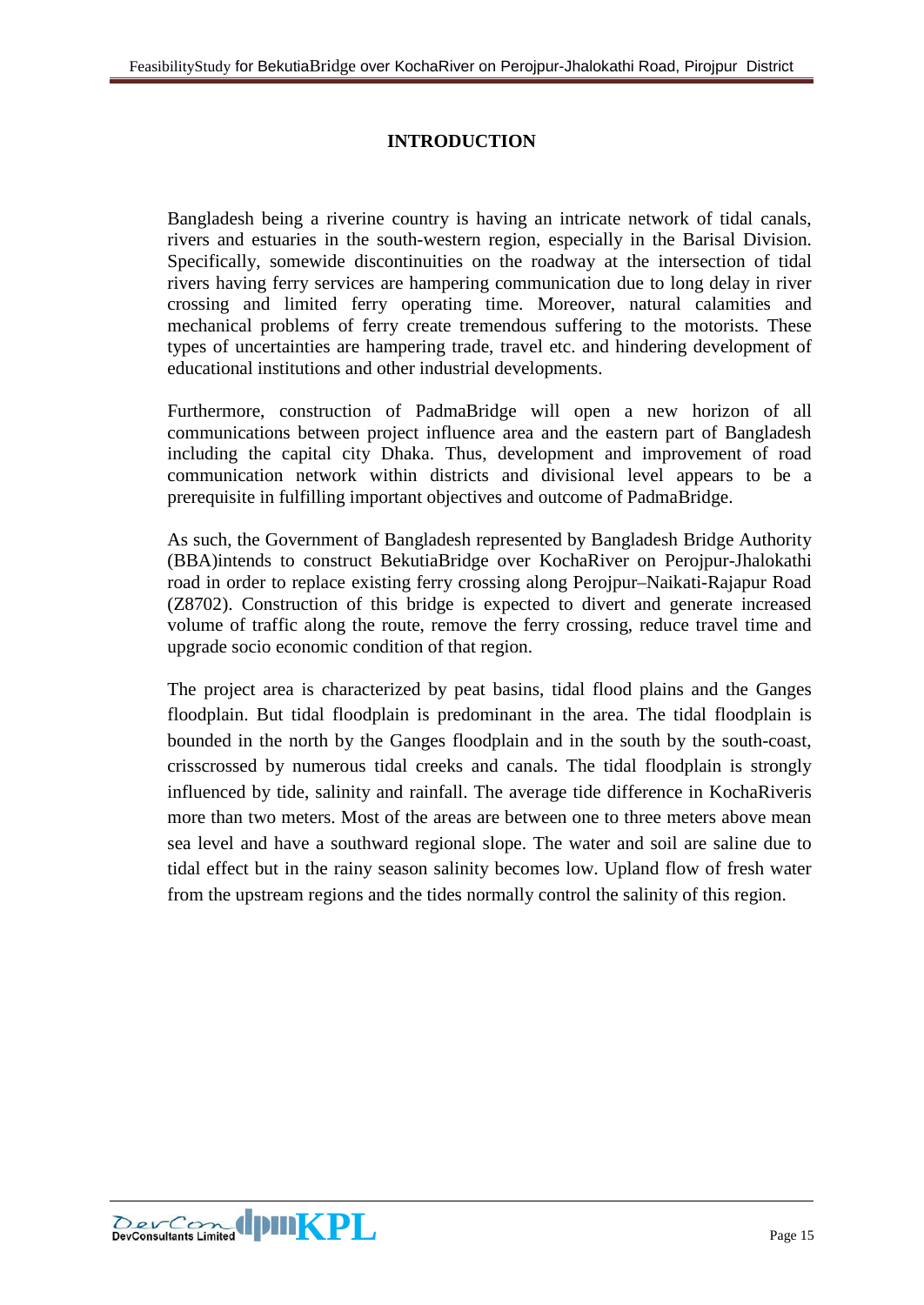# **INTRODUCTION**

<span id="page-14-0"></span>Bangladesh being a riverine country is having an intricate network of tidal canals, rivers and estuaries in the south-western region, especially in the Barisal Division. Specifically, somewide discontinuities on the roadway at the intersection of tidal rivers having ferry services are hampering communication due to long delay in river crossing and limited ferry operating time. Moreover, natural calamities and mechanical problems of ferry create tremendous suffering to the motorists. These types of uncertainties are hampering trade, travel etc. and hindering development of educational institutions and other industrial developments.

Furthermore, construction of PadmaBridge will open a new horizon of all communications between project influence area and the eastern part of Bangladesh including the capital city Dhaka. Thus, development and improvement of road communication network within districts and divisional level appears to be a prerequisite in fulfilling important objectives and outcome of PadmaBridge.

As such, the Government of Bangladesh represented by Bangladesh Bridge Authority (BBA)intends to construct BekutiaBridge over KochaRiver on Perojpur-Jhalokathi road in order to replace existing ferry crossing along Perojpur–Naikati-Rajapur Road (Z8702). Construction of this bridge is expected to divert and generate increased volume of traffic along the route, remove the ferry crossing, reduce travel time and upgrade socio economic condition of that region.

The project area is characterized by peat basins, tidal flood plains and the Ganges floodplain. But tidal floodplain is predominant in the area. The tidal floodplain is bounded in the north by the Ganges floodplain and in the south by the south-coast, crisscrossed by numerous tidal creeks and canals. The tidal floodplain is strongly influenced by tide, salinity and rainfall. The average tide difference in KochaRiveris more than two meters. Most of the areas are between one to three meters above mean sea level and have a southward regional slope. The water and soil are saline due to tidal effect but in the rainy season salinity becomes low. Upland flow of fresh water from the upstream regions and the tides normally control the salinity of this region.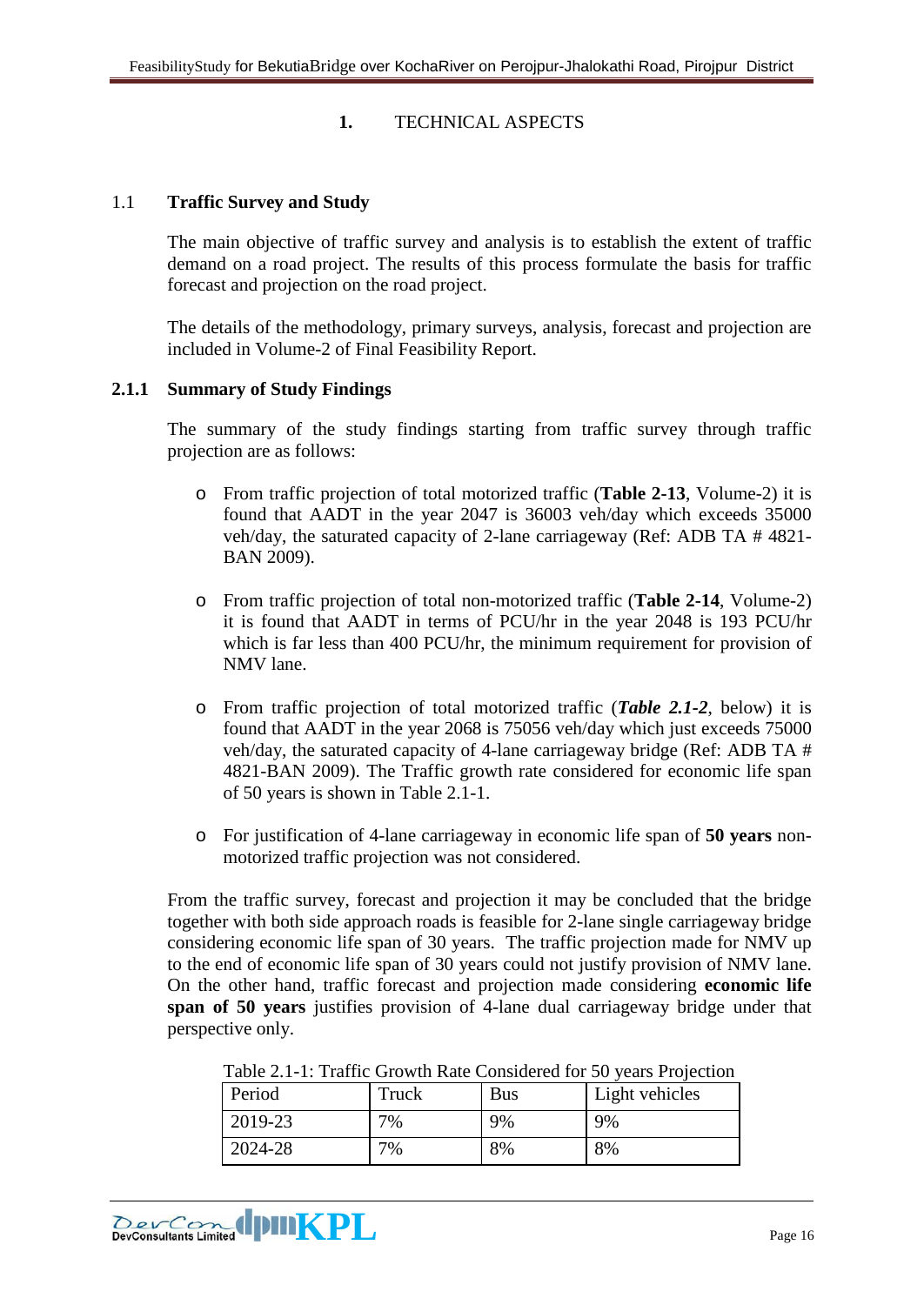#### **1.** TECHNICAL ASPECTS

#### <span id="page-15-1"></span><span id="page-15-0"></span>1.1 **Traffic Survey and Study**

The main objective of traffic survey and analysis is to establish the extent of traffic demand on a road project. The results of this process formulate the basis for traffic forecast and projection on the road project.

The details of the methodology, primary surveys, analysis, forecast and projection are included in Volume-2 of Final Feasibility Report.

#### <span id="page-15-2"></span>**2.1.1 Summary of Study Findings**

The summary of the study findings starting from traffic survey through traffic projection are as follows:

- o From traffic projection of total motorized traffic (**Table 2-13**, Volume-2) it is found that AADT in the year 2047 is 36003 veh/day which exceeds 35000 veh/day, the saturated capacity of 2-lane carriageway (Ref: ADB TA # 4821- BAN 2009).
- o From traffic projection of total non-motorized traffic (**Table 2-14**, Volume-2) it is found that AADT in terms of PCU/hr in the year 2048 is 193 PCU/hr which is far less than 400 PCU/hr, the minimum requirement for provision of NMV lane.
- o From traffic projection of total motorized traffic (*Table 2.1-2*, below) it is found that AADT in the year 2068 is 75056 veh/day which just exceeds 75000 veh/day, the saturated capacity of 4-lane carriageway bridge (Ref: ADB TA # 4821-BAN 2009). The Traffic growth rate considered for economic life span of 50 years is shown in Table 2.1-1.
- o For justification of 4-lane carriageway in economic life span of **50 years** nonmotorized traffic projection was not considered.

From the traffic survey, forecast and projection it may be concluded that the bridge together with both side approach roads is feasible for 2-lane single carriageway bridge considering economic life span of 30 years. The traffic projection made for NMV up to the end of economic life span of 30 years could not justify provision of NMV lane. On the other hand, traffic forecast and projection made considering **economic life span of 50 years** justifies provision of 4-lane dual carriageway bridge under that perspective only.

| Tuble 2.1 T. Trulle Stowart Rate Considered for 30 years I rejection |       |     |                |  |  |
|----------------------------------------------------------------------|-------|-----|----------------|--|--|
| Period                                                               | Truck | Bus | Light vehicles |  |  |
| 2019-23                                                              | 7%    | 9%  | 9%             |  |  |
| 2024-28                                                              | 7%    | 8%  | 8%             |  |  |

Table 2.1-1: Traffic Growth Rate Considered for 50 years Projection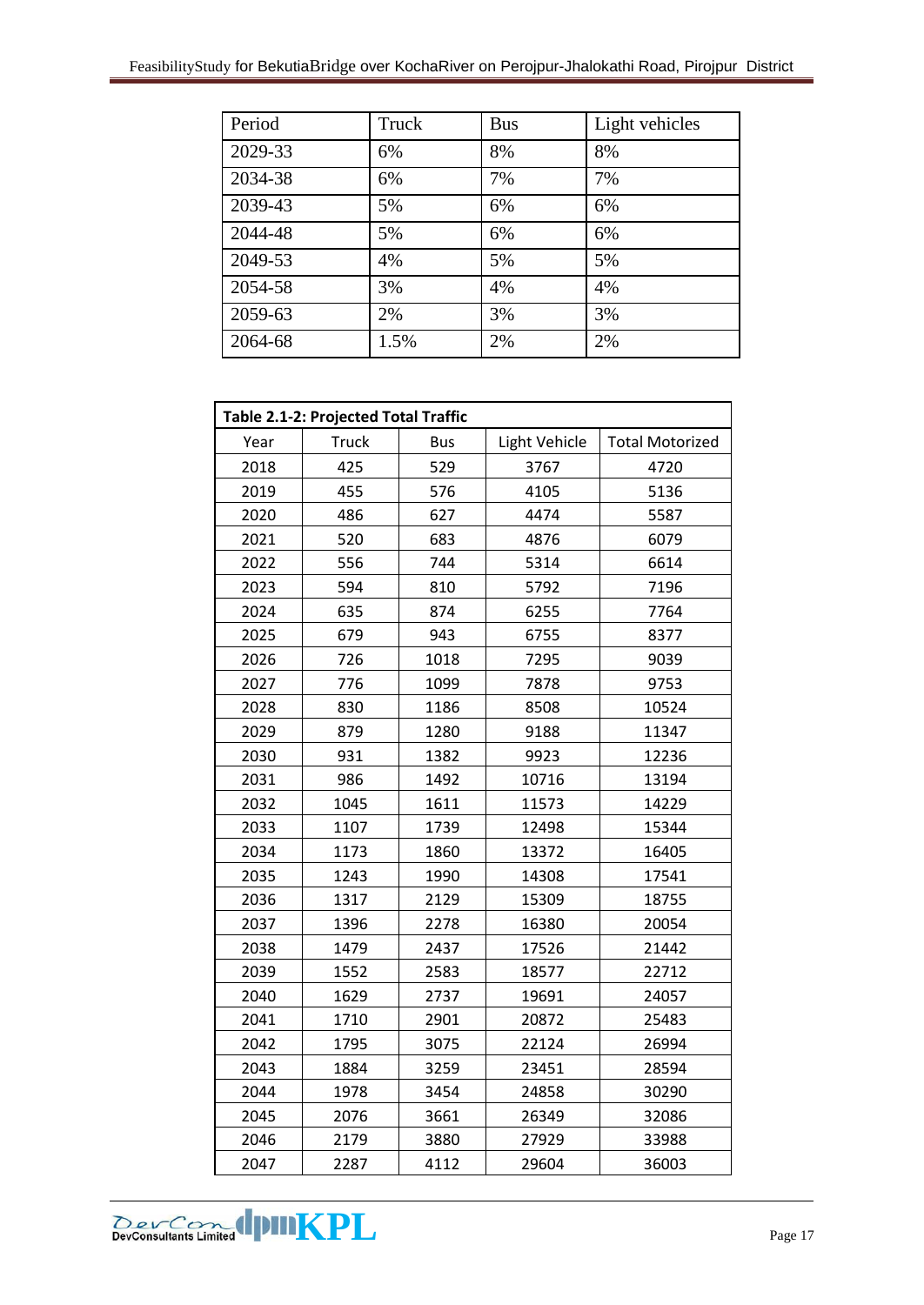| Period  | Truck | <b>Bus</b> | Light vehicles |
|---------|-------|------------|----------------|
| 2029-33 | 6%    | 8%         | 8%             |
| 2034-38 | 6%    | 7%         | 7%             |
| 2039-43 | 5%    | 6%         | 6%             |
| 2044-48 | 5%    | 6%         | 6%             |
| 2049-53 | 4%    | 5%         | 5%             |
| 2054-58 | 3%    | 4%         | 4%             |
| 2059-63 | 2%    | 3%         | 3%             |
| 2064-68 | 1.5%  | 2%         | 2%             |

| Table 2.1-2: Projected Total Traffic |              |            |               |                        |  |  |  |
|--------------------------------------|--------------|------------|---------------|------------------------|--|--|--|
| Year                                 | <b>Truck</b> | <b>Bus</b> | Light Vehicle | <b>Total Motorized</b> |  |  |  |
| 2018                                 | 425          | 529        | 3767          | 4720                   |  |  |  |
| 2019                                 | 455          | 576        | 4105          | 5136                   |  |  |  |
| 2020                                 | 486          | 627        | 4474          | 5587                   |  |  |  |
| 2021                                 | 520          | 683        | 4876          | 6079                   |  |  |  |
| 2022                                 | 556          | 744        | 5314          | 6614                   |  |  |  |
| 2023                                 | 594          | 810        | 5792          | 7196                   |  |  |  |
| 2024                                 | 635          | 874        | 6255          | 7764                   |  |  |  |
| 2025                                 | 679          | 943        | 6755          | 8377                   |  |  |  |
| 2026                                 | 726          | 1018       | 7295          | 9039                   |  |  |  |
| 2027                                 | 776          | 1099       | 7878          | 9753                   |  |  |  |
| 2028                                 | 830          | 1186       | 8508          | 10524                  |  |  |  |
| 2029                                 | 879          | 1280       | 9188          | 11347                  |  |  |  |
| 2030                                 | 931          | 1382       | 9923          | 12236                  |  |  |  |
| 2031                                 | 986          | 1492       | 10716         | 13194                  |  |  |  |
| 2032                                 | 1045         | 1611       | 11573         | 14229                  |  |  |  |
| 2033                                 | 1107         | 1739       | 12498         | 15344                  |  |  |  |
| 2034                                 | 1173         | 1860       | 13372         | 16405                  |  |  |  |
| 2035                                 | 1243         | 1990       | 14308         | 17541                  |  |  |  |
| 2036                                 | 1317         | 2129       | 15309         | 18755                  |  |  |  |
| 2037                                 | 1396         | 2278       | 16380         | 20054                  |  |  |  |
| 2038                                 | 1479         | 2437       | 17526         | 21442                  |  |  |  |
| 2039                                 | 1552         | 2583       | 18577         | 22712                  |  |  |  |
| 2040                                 | 1629         | 2737       | 19691         | 24057                  |  |  |  |
| 2041                                 | 1710         | 2901       | 20872         | 25483                  |  |  |  |
| 2042                                 | 1795         | 3075       | 22124         | 26994                  |  |  |  |
| 2043                                 | 1884         | 3259       | 23451         | 28594                  |  |  |  |
| 2044                                 | 1978         | 3454       | 24858         | 30290                  |  |  |  |
| 2045                                 | 2076         | 3661       | 26349         | 32086                  |  |  |  |
| 2046                                 | 2179         | 3880       | 27929         | 33988                  |  |  |  |
| 2047                                 | 2287         | 4112       | 29604         | 36003                  |  |  |  |

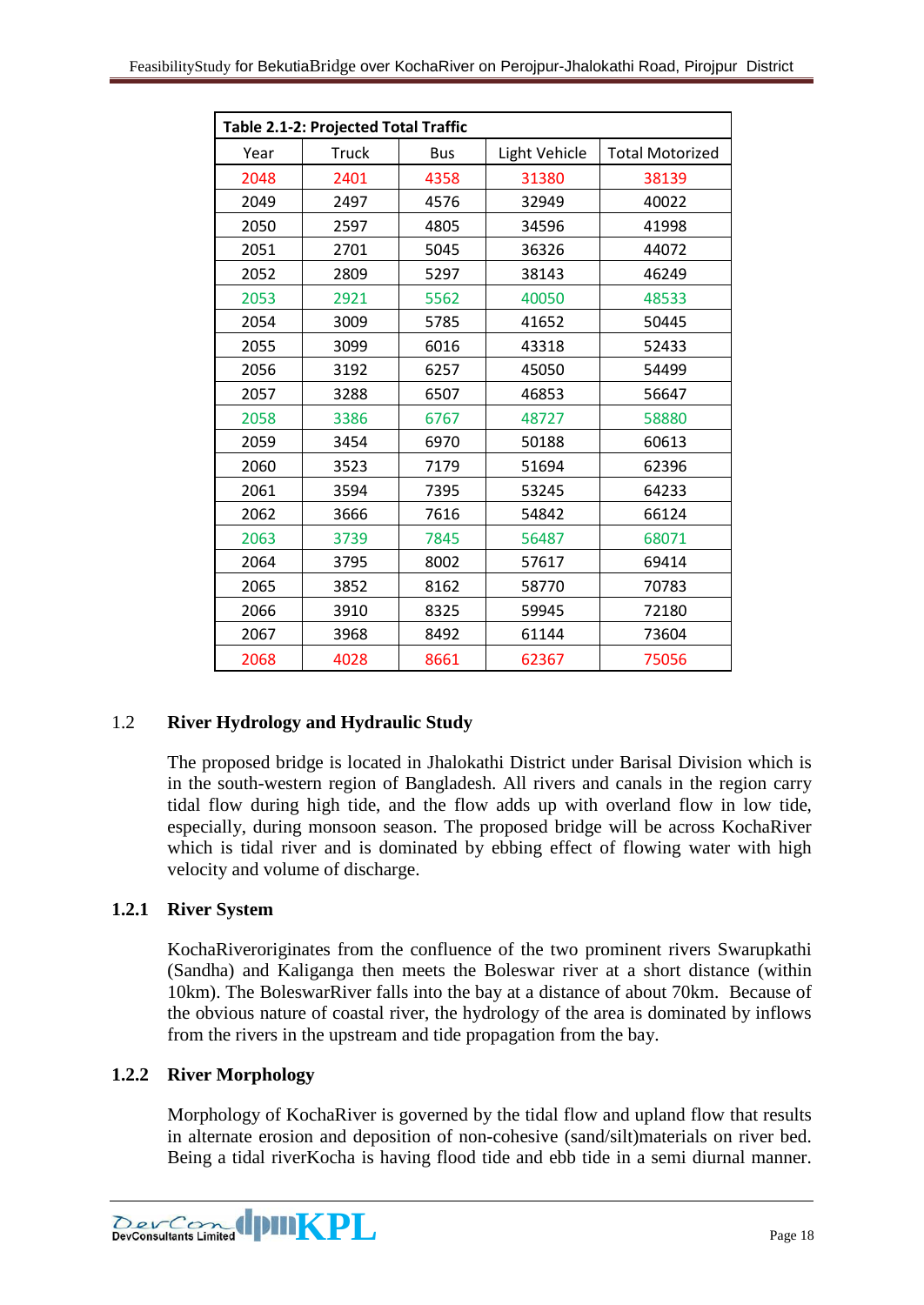| Table 2.1-2: Projected Total Traffic |              |            |               |                        |  |  |  |  |
|--------------------------------------|--------------|------------|---------------|------------------------|--|--|--|--|
| Year                                 | <b>Truck</b> | <b>Bus</b> | Light Vehicle | <b>Total Motorized</b> |  |  |  |  |
| 2048                                 | 2401         | 4358       | 31380         | 38139                  |  |  |  |  |
| 2049                                 | 2497         | 4576       | 32949         | 40022                  |  |  |  |  |
| 2050                                 | 2597         | 4805       | 34596         | 41998                  |  |  |  |  |
| 2051                                 | 2701         | 5045       | 36326         | 44072                  |  |  |  |  |
| 2052                                 | 2809         | 5297       | 38143         | 46249                  |  |  |  |  |
| 2053                                 | 2921         | 5562       | 40050         | 48533                  |  |  |  |  |
| 2054                                 | 3009         | 5785       | 41652         | 50445                  |  |  |  |  |
| 2055                                 | 3099         | 6016       | 43318         | 52433                  |  |  |  |  |
| 2056                                 | 3192         | 6257       | 45050         | 54499                  |  |  |  |  |
| 2057                                 | 3288         | 6507       | 46853         | 56647                  |  |  |  |  |
| 2058                                 | 3386         | 6767       | 48727         | 58880                  |  |  |  |  |
| 2059                                 | 3454         | 6970       | 50188         | 60613                  |  |  |  |  |
| 2060                                 | 3523         | 7179       | 51694         | 62396                  |  |  |  |  |
| 2061                                 | 3594         | 7395       | 53245         | 64233                  |  |  |  |  |
| 2062                                 | 3666         | 7616       | 54842         | 66124                  |  |  |  |  |
| 2063                                 | 3739         | 7845       | 56487         | 68071                  |  |  |  |  |
| 2064                                 | 3795         | 8002       | 57617         | 69414                  |  |  |  |  |
| 2065                                 | 3852         | 8162       | 58770         | 70783                  |  |  |  |  |
| 2066                                 | 3910         | 8325       | 59945         | 72180                  |  |  |  |  |
| 2067                                 | 3968         | 8492       | 61144         | 73604                  |  |  |  |  |
| 2068                                 | 4028         | 8661       | 62367         | 75056                  |  |  |  |  |

## <span id="page-17-0"></span>1.2 **River Hydrology and Hydraulic Study**

The proposed bridge is located in Jhalokathi District under Barisal Division which is in the south-western region of Bangladesh. All rivers and canals in the region carry tidal flow during high tide, and the flow adds up with overland flow in low tide, especially, during monsoon season. The proposed bridge will be across KochaRiver which is tidal river and is dominated by ebbing effect of flowing water with high velocity and volume of discharge.

## <span id="page-17-1"></span>**1.2.1 River System**

KochaRiveroriginates from the confluence of the two prominent rivers Swarupkathi (Sandha) and Kaliganga then meets the Boleswar river at a short distance (within 10km). The BoleswarRiver falls into the bay at a distance of about 70km. Because of the obvious nature of coastal river, the hydrology of the area is dominated by inflows from the rivers in the upstream and tide propagation from the bay.

## <span id="page-17-2"></span>**1.2.2 River Morphology**

Morphology of KochaRiver is governed by the tidal flow and upland flow that results in alternate erosion and deposition of non-cohesive (sand/silt)materials on river bed. Being a tidal riverKocha is having flood tide and ebb tide in a semi diurnal manner.

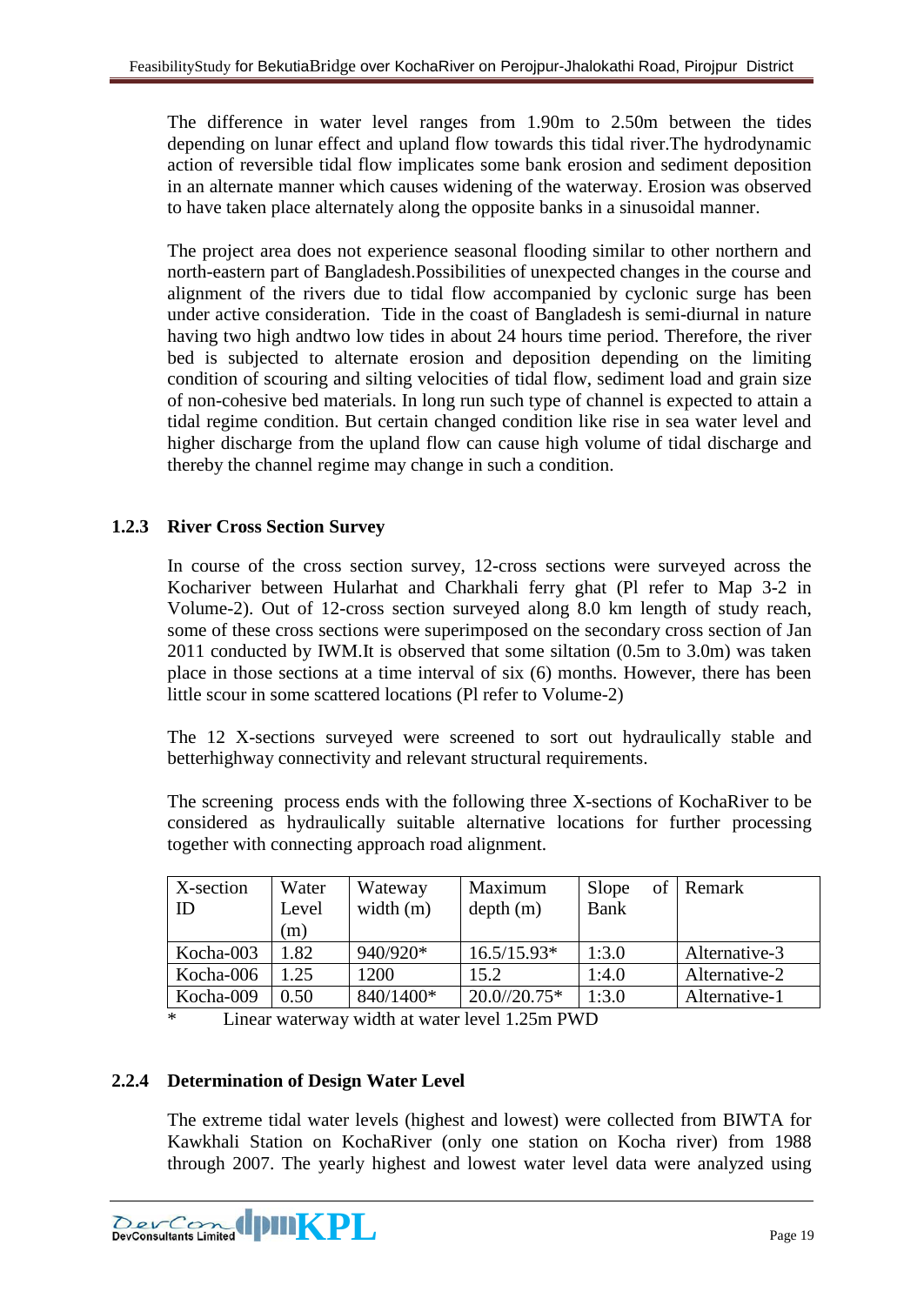The difference in water level ranges from 1.90m to 2.50m between the tides depending on lunar effect and upland flow towards this tidal river.The hydrodynamic action of reversible tidal flow implicates some bank erosion and sediment deposition in an alternate manner which causes widening of the waterway. Erosion was observed to have taken place alternately along the opposite banks in a sinusoidal manner.

The project area does not experience seasonal flooding similar to other northern and north-eastern part of Bangladesh.Possibilities of unexpected changes in the course and alignment of the rivers due to tidal flow accompanied by cyclonic surge has been under active consideration. Tide in the coast of Bangladesh is semi-diurnal in nature having two high andtwo low tides in about 24 hours time period. Therefore, the river bed is subjected to alternate erosion and deposition depending on the limiting condition of scouring and silting velocities of tidal flow, sediment load and grain size of non-cohesive bed materials. In long run such type of channel is expected to attain a tidal regime condition. But certain changed condition like rise in sea water level and higher discharge from the upland flow can cause high volume of tidal discharge and thereby the channel regime may change in such a condition.

# <span id="page-18-0"></span>**1.2.3 River Cross Section Survey**

In course of the cross section survey, 12-cross sections were surveyed across the Kochariver between Hularhat and Charkhali ferry ghat (Pl refer to Map 3-2 in Volume-2). Out of 12-cross section surveyed along 8.0 km length of study reach, some of these cross sections were superimposed on the secondary cross section of Jan 2011 conducted by IWM.It is observed that some siltation (0.5m to 3.0m) was taken place in those sections at a time interval of six (6) months. However, there has been little scour in some scattered locations (Pl refer to Volume-2)

The 12 X-sections surveyed were screened to sort out hydraulically stable and betterhighway connectivity and relevant structural requirements.

The screening process ends with the following three X-sections of KochaRiver to be considered as hydraulically suitable alternative locations for further processing together with connecting approach road alignment.

| X-section<br>ID | Water<br>Level<br>(m) | Wateway<br>width $(m)$ | Maximum<br>depth(m) | Slope<br><b>Bank</b> | of Remark     |
|-----------------|-----------------------|------------------------|---------------------|----------------------|---------------|
| Kocha-003       | 1.82                  | 940/920*               | $16.5/15.93*$       | 1:3.0                | Alternative-3 |
| Kocha-006       | 1.25                  | 1200                   | 15.2                | 1:4.0                | Alternative-2 |
| Kocha-009       | 0.50                  | 840/1400*              | $20.0/20.75*$       | 1:3.0                | Alternative-1 |

\* Linear waterway width at water level 1.25m PWD

## <span id="page-18-1"></span>**2.2.4 Determination of Design Water Level**

The extreme tidal water levels (highest and lowest) were collected from BIWTA for Kawkhali Station on KochaRiver (only one station on Kocha river) from 1988 through 2007. The yearly highest and lowest water level data were analyzed using

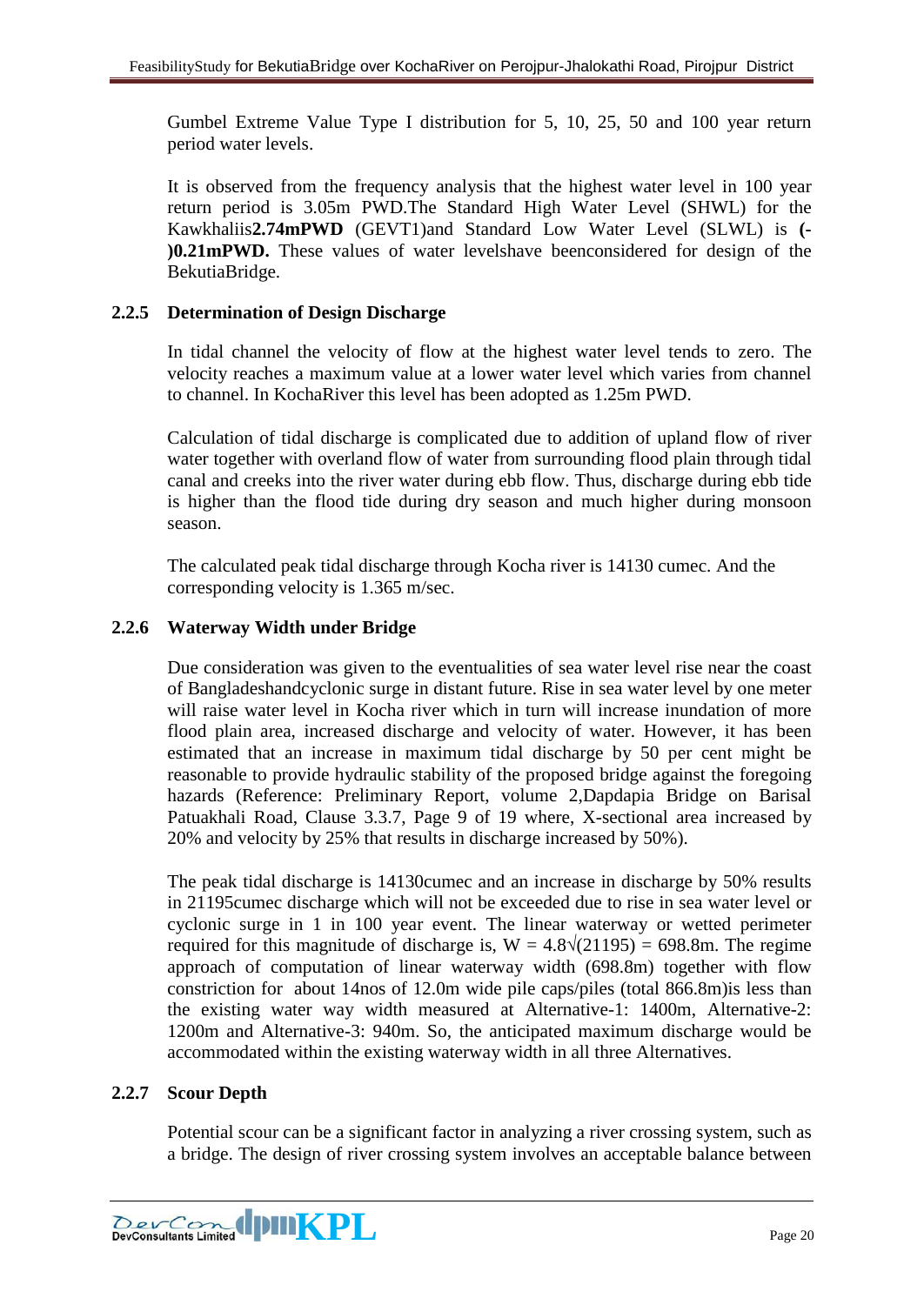Gumbel Extreme Value Type I distribution for 5, 10, 25, 50 and 100 year return period water levels.

It is observed from the frequency analysis that the highest water level in 100 year return period is 3.05m PWD.The Standard High Water Level (SHWL) for the Kawkhaliis**2.74mPWD** (GEVT1)and Standard Low Water Level (SLWL) is **(- )0.21mPWD.** These values of water levelshave beenconsidered for design of the BekutiaBridge.

# <span id="page-19-0"></span>**2.2.5 Determination of Design Discharge**

In tidal channel the velocity of flow at the highest water level tends to zero. The velocity reaches a maximum value at a lower water level which varies from channel to channel. In KochaRiver this level has been adopted as 1.25m PWD.

Calculation of tidal discharge is complicated due to addition of upland flow of river water together with overland flow of water from surrounding flood plain through tidal canal and creeks into the river water during ebb flow. Thus, discharge during ebb tide is higher than the flood tide during dry season and much higher during monsoon season.

The calculated peak tidal discharge through Kocha river is 14130 cumec. And the corresponding velocity is 1.365 m/sec.

# <span id="page-19-1"></span>**2.2.6 Waterway Width under Bridge**

Due consideration was given to the eventualities of sea water level rise near the coast of Bangladeshandcyclonic surge in distant future. Rise in sea water level by one meter will raise water level in Kocha river which in turn will increase inundation of more flood plain area, increased discharge and velocity of water. However, it has been estimated that an increase in maximum tidal discharge by 50 per cent might be reasonable to provide hydraulic stability of the proposed bridge against the foregoing hazards (Reference: Preliminary Report, volume 2,Dapdapia Bridge on Barisal Patuakhali Road, Clause 3.3.7, Page 9 of 19 where, X-sectional area increased by 20% and velocity by 25% that results in discharge increased by 50%).

The peak tidal discharge is 14130cumec and an increase in discharge by 50% results in 21195cumec discharge which will not be exceeded due to rise in sea water level or cyclonic surge in 1 in 100 year event. The linear waterway or wetted perimeter required for this magnitude of discharge is,  $W = 4.8\sqrt{(21195)} = 698.8$ m. The regime approach of computation of linear waterway width (698.8m) together with flow constriction for about 14nos of 12.0m wide pile caps/piles (total 866.8m)is less than the existing water way width measured at Alternative-1: 1400m, Alternative-2: 1200m and Alternative-3: 940m. So, the anticipated maximum discharge would be accommodated within the existing waterway width in all three Alternatives.

## <span id="page-19-2"></span>**2.2.7 Scour Depth**

Potential scour can be a significant factor in analyzing a river crossing system, such as a bridge. The design of river crossing system involves an acceptable balance between

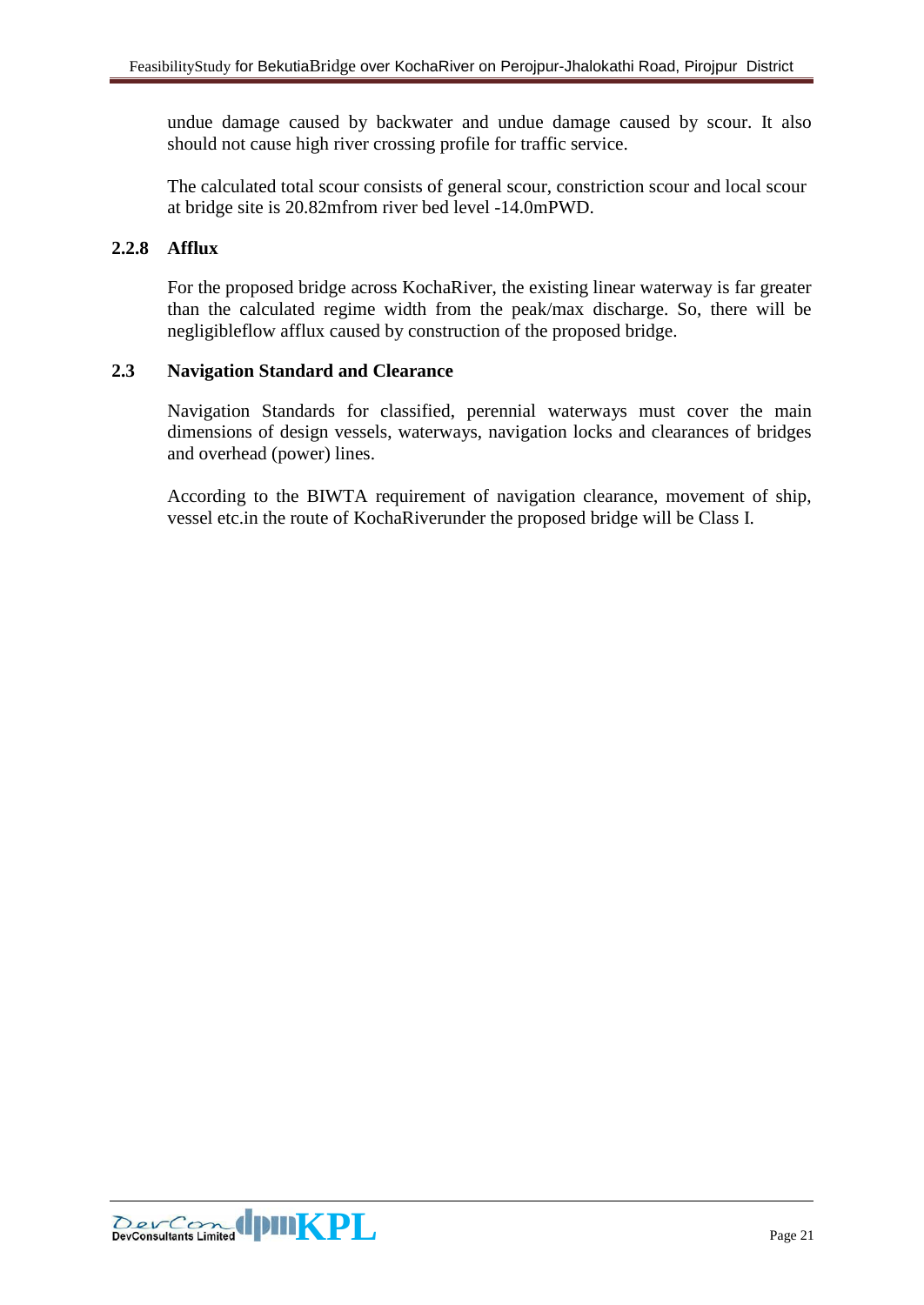undue damage caused by backwater and undue damage caused by scour. It also should not cause high river crossing profile for traffic service.

The calculated total scour consists of general scour, constriction scour and local scour at bridge site is 20.82mfrom river bed level -14.0mPWD.

# <span id="page-20-0"></span>**2.2.8 Afflux**

For the proposed bridge across KochaRiver, the existing linear waterway is far greater than the calculated regime width from the peak/max discharge. So, there will be negligibleflow afflux caused by construction of the proposed bridge.

## <span id="page-20-1"></span>**2.3 Navigation Standard and Clearance**

Navigation Standards for classified, perennial waterways must cover the main dimensions of design vessels, waterways, navigation locks and clearances of bridges and overhead (power) lines.

According to the BIWTA requirement of navigation clearance, movement of ship, vessel etc.in the route of KochaRiverunder the proposed bridge will be Class I.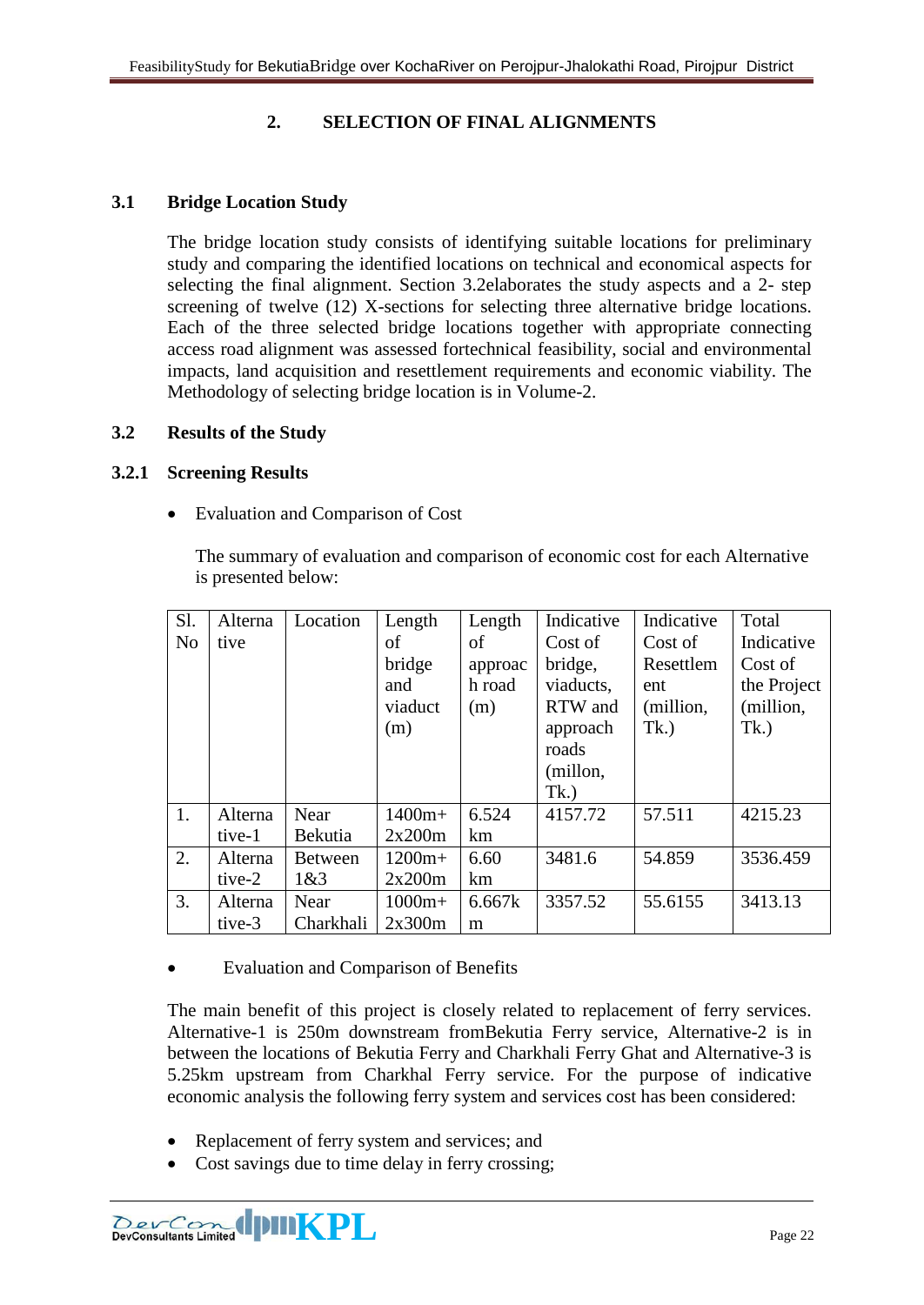# **2. SELECTION OF FINAL ALIGNMENTS**

#### <span id="page-21-1"></span><span id="page-21-0"></span>**3.1 Bridge Location Study**

The bridge location study consists of identifying suitable locations for preliminary study and comparing the identified locations on technical and economical aspects for selecting the final alignment. Section 3.2elaborates the study aspects and a 2- step screening of twelve (12) X-sections for selecting three alternative bridge locations. Each of the three selected bridge locations together with appropriate connecting access road alignment was assessed fortechnical feasibility, social and environmental impacts, land acquisition and resettlement requirements and economic viability. The Methodology of selecting bridge location is in Volume-2.

#### <span id="page-21-2"></span>**3.2 Results of the Study**

#### <span id="page-21-3"></span>**3.2.1 Screening Results**

• Evaluation and Comparison of Cost

The summary of evaluation and comparison of economic cost for each Alternative is presented below:

| Sl.            | Alterna | Location       | Length   | Length  | Indicative | Indicative | Total       |
|----------------|---------|----------------|----------|---------|------------|------------|-------------|
| N <sub>o</sub> | tive    |                | of       | οf      | Cost of    | Cost of    | Indicative  |
|                |         |                | bridge   | approac | bridge,    | Resettlem  | Cost of     |
|                |         |                | and      | h road  | viaducts,  | ent        | the Project |
|                |         |                | viaduct  | (m)     | RTW and    | (million,  | (million,   |
|                |         |                | (m)      |         | approach   | Tk.)       | Tk.)        |
|                |         |                |          |         | roads      |            |             |
|                |         |                |          |         | (millon,   |            |             |
|                |         |                |          |         | Tk.)       |            |             |
| 1.             | Alterna | Near           | $1400m+$ | 6.524   | 4157.72    | 57.511     | 4215.23     |
|                | tive-1  | Bekutia        | 2x200m   | km      |            |            |             |
| 2.             | Alterna | <b>Between</b> | $1200m+$ | 6.60    | 3481.6     | 54.859     | 3536.459    |
|                | tive-2  | 1&83           | 2x200m   | km      |            |            |             |
| 3.             | Alterna | Near           | $1000m+$ | 6.667k  | 3357.52    | 55.6155    | 3413.13     |
|                | tive-3  | Charkhali      | 2x300m   | m       |            |            |             |

• Evaluation and Comparison of Benefits

The main benefit of this project is closely related to replacement of ferry services. Alternative-1 is 250m downstream fromBekutia Ferry service, Alternative-2 is in between the locations of Bekutia Ferry and Charkhali Ferry Ghat and Alternative-3 is 5.25km upstream from Charkhal Ferry service. For the purpose of indicative economic analysis the following ferry system and services cost has been considered:

- Replacement of ferry system and services; and
- Cost savings due to time delay in ferry crossing;

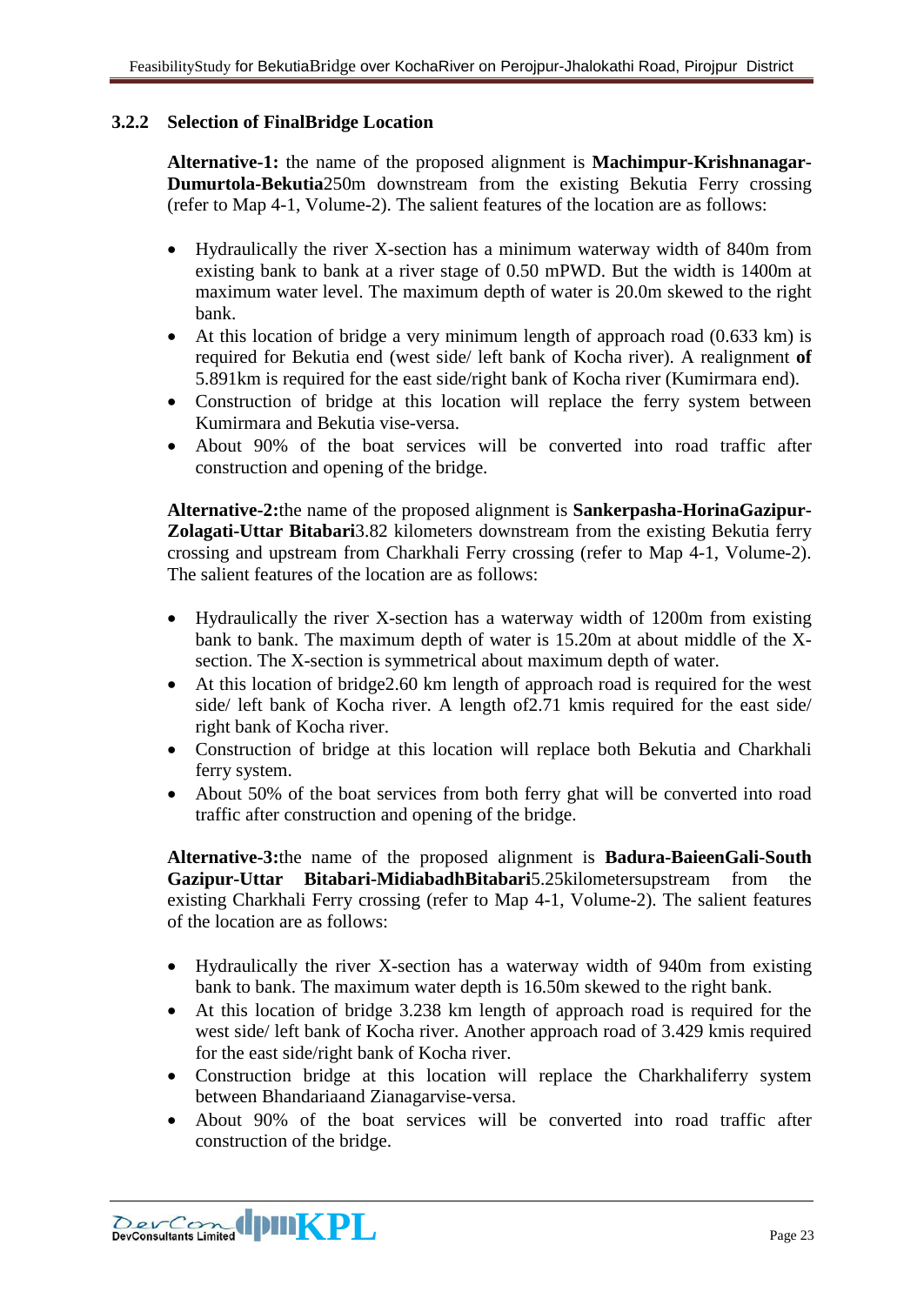# <span id="page-22-0"></span>**3.2.2 Selection of FinalBridge Location**

**Alternative-1:** the name of the proposed alignment is **Machimpur-Krishnanagar-Dumurtola-Bekutia**250m downstream from the existing Bekutia Ferry crossing (refer to Map 4-1, Volume-2). The salient features of the location are as follows:

- Hydraulically the river X-section has a minimum waterway width of 840m from existing bank to bank at a river stage of 0.50 mPWD. But the width is 1400m at maximum water level. The maximum depth of water is 20.0m skewed to the right bank.
- At this location of bridge a very minimum length of approach road (0.633 km) is required for Bekutia end (west side/ left bank of Kocha river). A realignment **of**  5.891km is required for the east side/right bank of Kocha river (Kumirmara end).
- Construction of bridge at this location will replace the ferry system between Kumirmara and Bekutia vise-versa.
- About 90% of the boat services will be converted into road traffic after construction and opening of the bridge.

**Alternative-2:**the name of the proposed alignment is **Sankerpasha-HorinaGazipur-Zolagati-Uttar Bitabari**3.82 kilometers downstream from the existing Bekutia ferry crossing and upstream from Charkhali Ferry crossing (refer to Map 4-1, Volume-2). The salient features of the location are as follows:

- Hydraulically the river X-section has a waterway width of 1200m from existing bank to bank. The maximum depth of water is 15.20m at about middle of the Xsection. The X-section is symmetrical about maximum depth of water.
- At this location of bridge 2.60 km length of approach road is required for the west side/ left bank of Kocha river. A length of2.71 kmis required for the east side/ right bank of Kocha river.
- Construction of bridge at this location will replace both Bekutia and Charkhali ferry system.
- About 50% of the boat services from both ferry ghat will be converted into road traffic after construction and opening of the bridge.

**Alternative-3:**the name of the proposed alignment is **Badura-BaieenGali-South Gazipur-Uttar Bitabari-MidiabadhBitabari**5.25kilometersupstream from the existing Charkhali Ferry crossing (refer to Map 4-1, Volume-2). The salient features of the location are as follows:

- Hydraulically the river X-section has a waterway width of 940m from existing bank to bank. The maximum water depth is 16.50m skewed to the right bank.
- At this location of bridge 3.238 km length of approach road is required for the west side/ left bank of Kocha river. Another approach road of 3.429 kmis required for the east side/right bank of Kocha river.
- Construction bridge at this location will replace the Charkhaliferry system between Bhandariaand Zianagarvise-versa.
- About 90% of the boat services will be converted into road traffic after construction of the bridge.

**EXECUTE IN THE PLAN PLAN PLAN PRESSURING THE PRESSURING PAGE 23**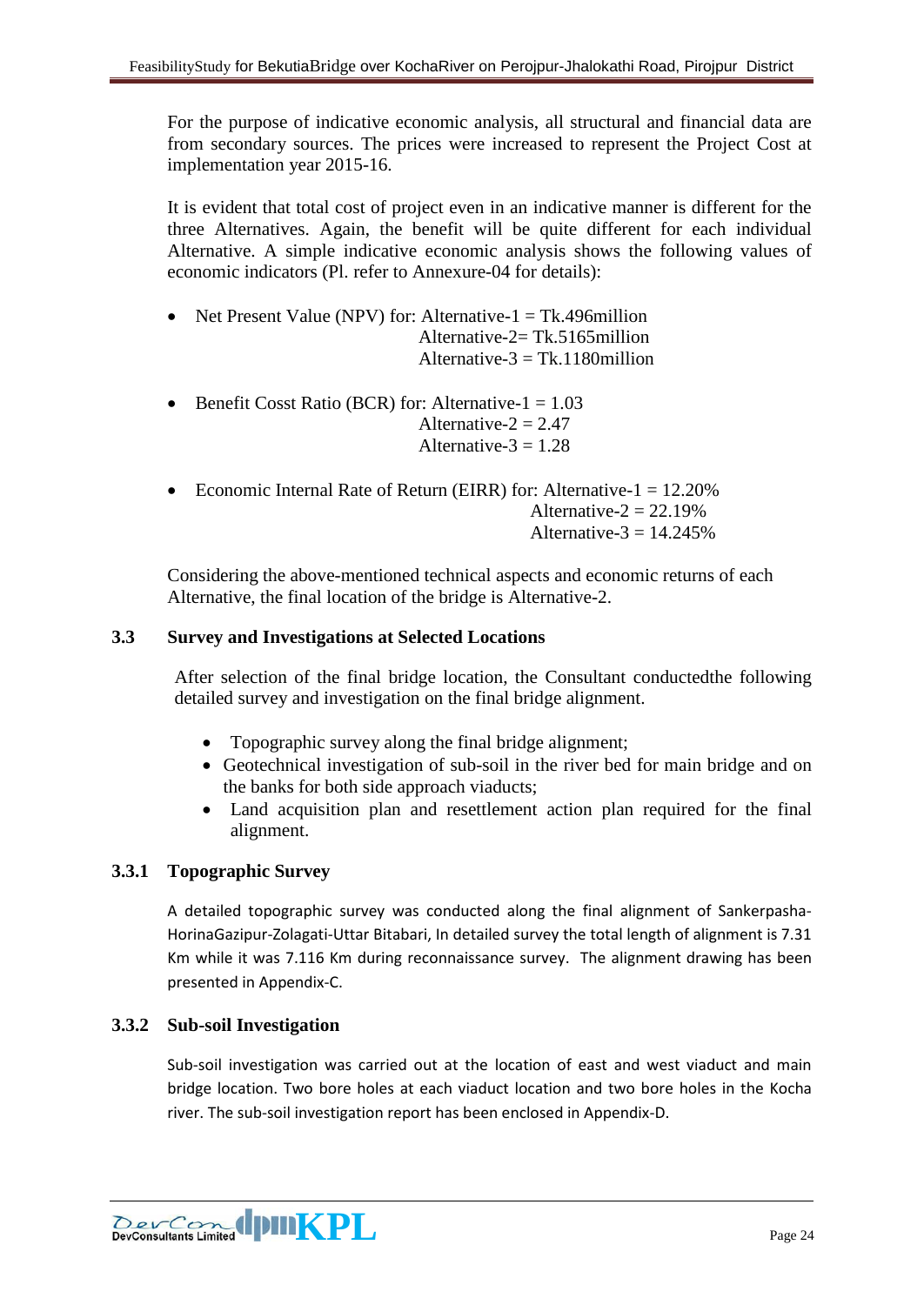For the purpose of indicative economic analysis, all structural and financial data are from secondary sources. The prices were increased to represent the Project Cost at implementation year 2015-16.

It is evident that total cost of project even in an indicative manner is different for the three Alternatives. Again, the benefit will be quite different for each individual Alternative. A simple indicative economic analysis shows the following values of economic indicators (Pl. refer to Annexure-04 for details):

- Net Present Value (NPV) for: Alternative- $1 = Tk.496$ million Alternative-2= Tk.5165million Alternative- $3 = Tk.1180$ million
- Benefit Cosst Ratio (BCR) for: Alternative- $1 = 1.03$ Alternative- $2 = 2.47$ Alternative- $3 = 1.28$
- Economic Internal Rate of Return (EIRR) for: Alternative- $1 = 12.20\%$ Alternative- $2 = 22.19\%$ Alternative- $3 = 14.245\%$

Considering the above-mentioned technical aspects and economic returns of each Alternative, the final location of the bridge is Alternative-2.

## <span id="page-23-0"></span>**3.3 Survey and Investigations at Selected Locations**

After selection of the final bridge location, the Consultant conductedthe following detailed survey and investigation on the final bridge alignment.

- Topographic survey along the final bridge alignment;
- Geotechnical investigation of sub-soil in the river bed for main bridge and on the banks for both side approach viaducts;
- Land acquisition plan and resettlement action plan required for the final alignment.

#### **3.3.1 Topographic Survey**

A detailed topographic survey was conducted along the final alignment of Sankerpasha-HorinaGazipur-Zolagati-Uttar Bitabari, In detailed survey the total length of alignment is 7.31 Km while it was 7.116 Km during reconnaissance survey. The alignment drawing has been presented in Appendix-C.

#### **3.3.2 Sub-soil Investigation**

Sub-soil investigation was carried out at the location of east and west viaduct and main bridge location. Two bore holes at each viaduct location and two bore holes in the Kocha river. The sub-soil investigation report has been enclosed in Appendix-D.

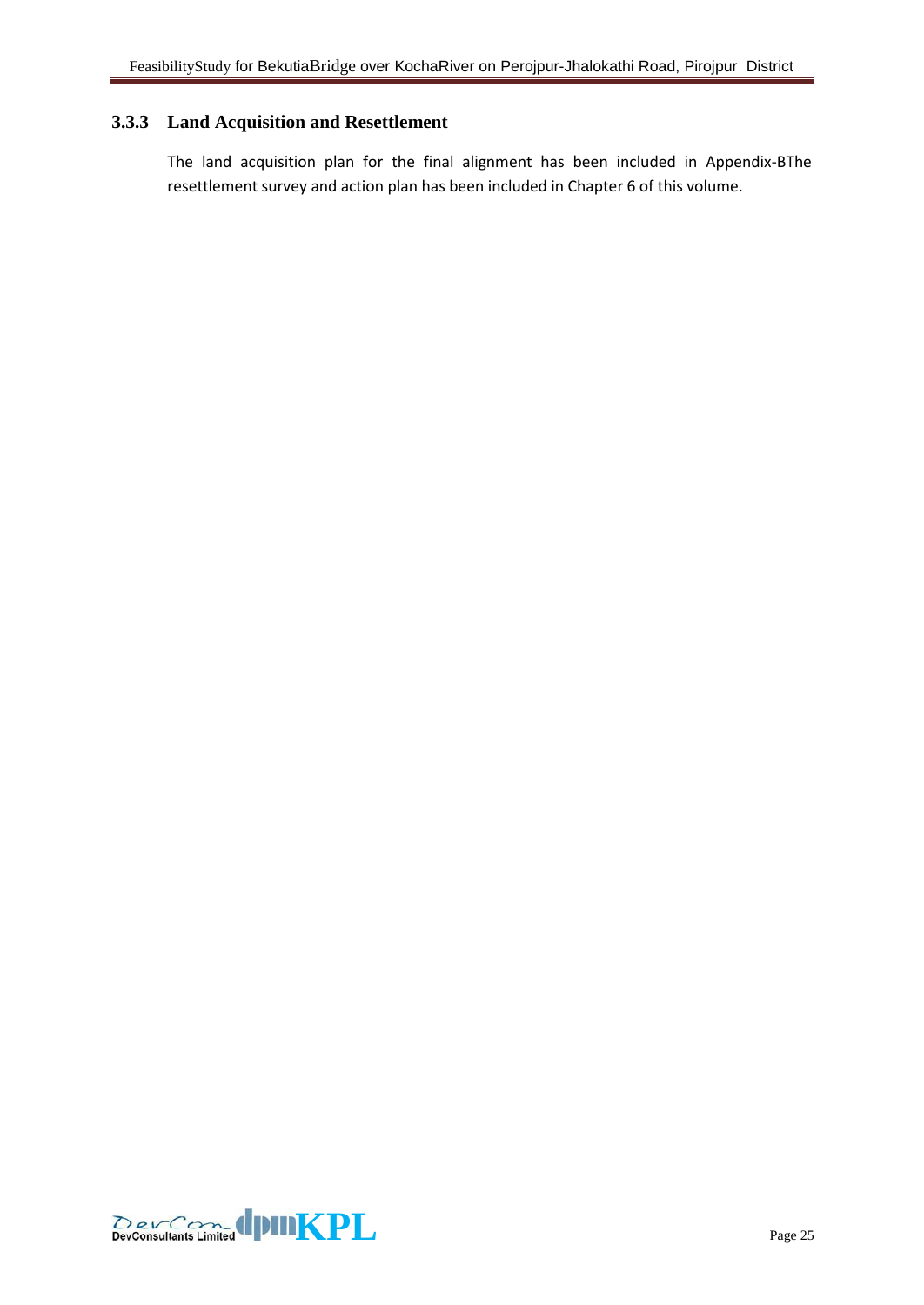# **3.3.3 Land Acquisition and Resettlement**

The land acquisition plan for the final alignment has been included in Appendix-BThe resettlement survey and action plan has been included in Chapter 6 of this volume.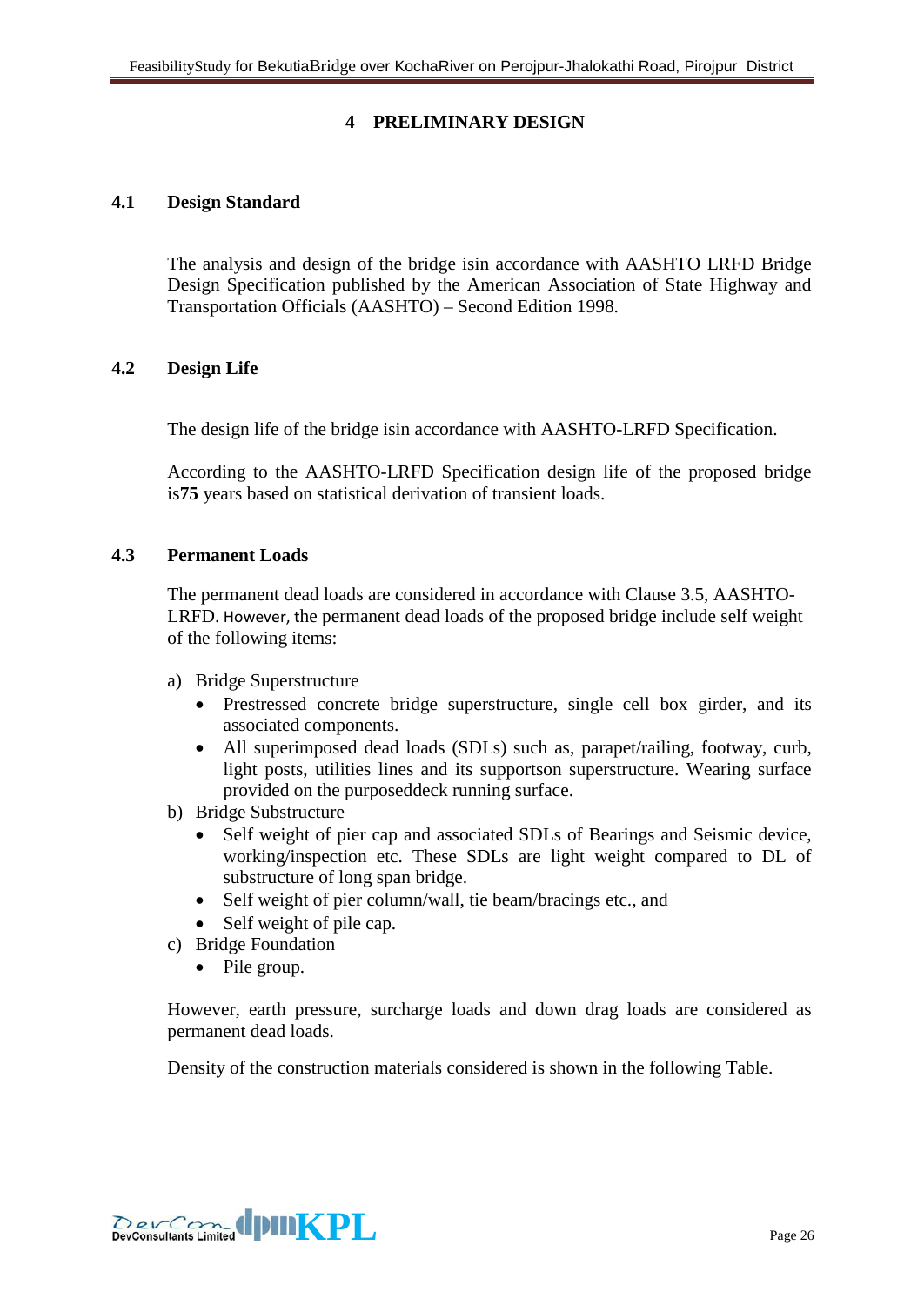# **4 PRELIMINARY DESIGN**

#### <span id="page-25-1"></span><span id="page-25-0"></span>**4.1 Design Standard**

The analysis and design of the bridge isin accordance with AASHTO LRFD Bridge Design Specification published by the American Association of State Highway and Transportation Officials (AASHTO) – Second Edition 1998.

#### <span id="page-25-2"></span>**4.2 Design Life**

The design life of the bridge isin accordance with AASHTO-LRFD Specification.

According to the AASHTO-LRFD Specification design life of the proposed bridge is**75** years based on statistical derivation of transient loads.

#### <span id="page-25-3"></span>**4.3 Permanent Loads**

The permanent dead loads are considered in accordance with Clause 3.5, AASHTO-LRFD. However, the permanent dead loads of the proposed bridge include self weight of the following items:

- a) Bridge Superstructure
	- Prestressed concrete bridge superstructure, single cell box girder, and its associated components.
	- All superimposed dead loads (SDLs) such as, parapet/railing, footway, curb, light posts, utilities lines and its supportson superstructure. Wearing surface provided on the purposeddeck running surface.
- b) Bridge Substructure
	- Self weight of pier cap and associated SDLs of Bearings and Seismic device, working/inspection etc. These SDLs are light weight compared to DL of substructure of long span bridge.
	- Self weight of pier column/wall, tie beam/bracings etc., and
	- Self weight of pile cap.
- c) Bridge Foundation
	- Pile group.

However, earth pressure, surcharge loads and down drag loads are considered as permanent dead loads.

Density of the construction materials considered is shown in the following Table.

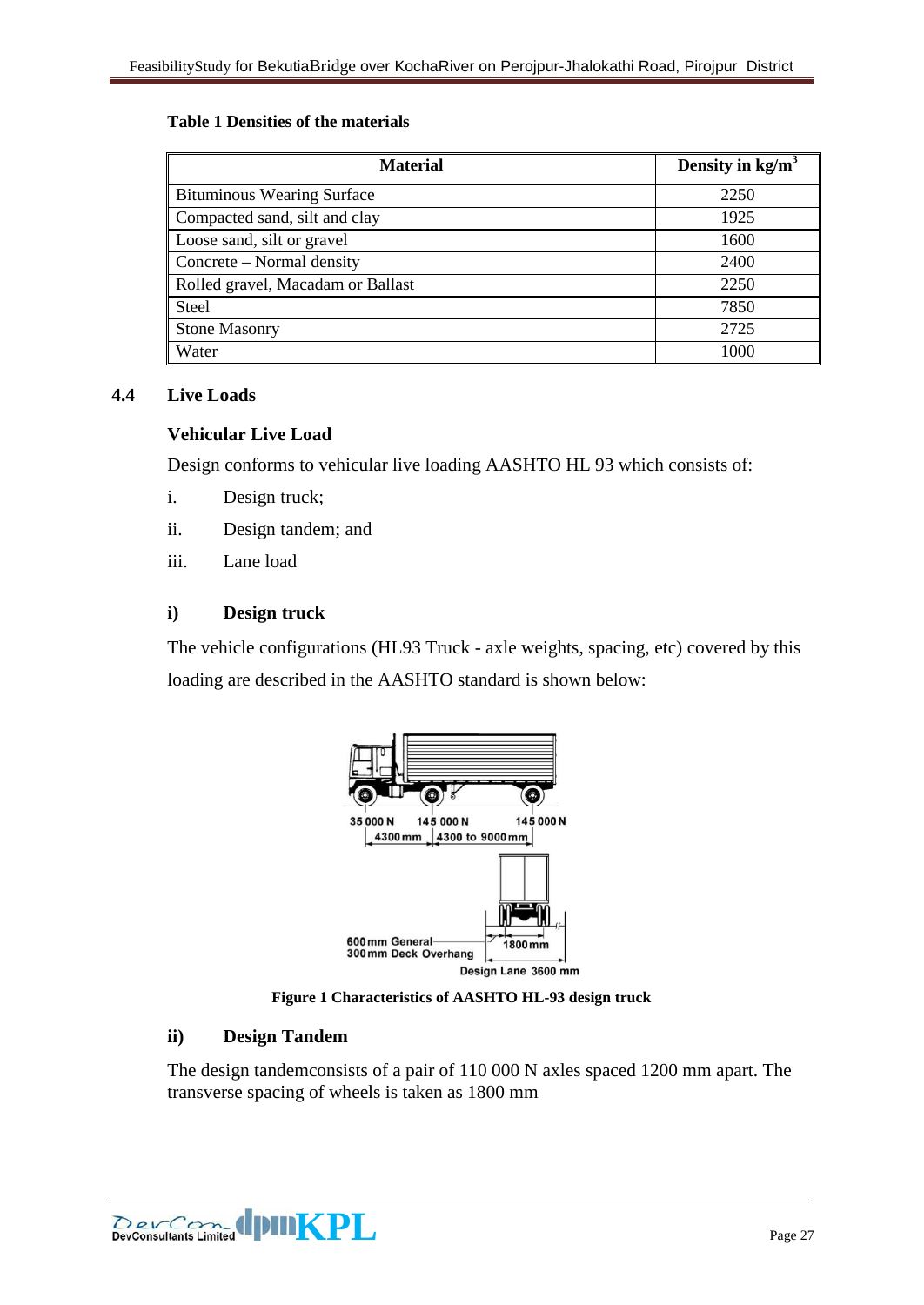#### **Table 1 Densities of the materials**

| <b>Material</b>                   | Density in $kg/m3$ |
|-----------------------------------|--------------------|
| <b>Bituminous Wearing Surface</b> | 2250               |
| Compacted sand, silt and clay     | 1925               |
| Loose sand, silt or gravel        | 1600               |
| Concrete – Normal density         | 2400               |
| Rolled gravel, Macadam or Ballast | 2250               |
| Steel                             | 7850               |
| <b>Stone Masonry</b>              | 2725               |
| Water                             | 1000               |

#### <span id="page-26-0"></span>**4.4 Live Loads**

#### **Vehicular Live Load**

Design conforms to vehicular live loading AASHTO HL 93 which consists of:

- i. Design truck;
- ii. Design tandem; and
- iii. Lane load

#### **i) Design truck**

The vehicle configurations (HL93 Truck - axle weights, spacing, etc) covered by this loading are described in the AASHTO standard is shown below:



**Figure 1 Characteristics of AASHTO HL-93 design truck**

## **ii) Design Tandem**

The design tandemconsists of a pair of 110 000 N axles spaced 1200 mm apart. The transverse spacing of wheels is taken as 1800 mm

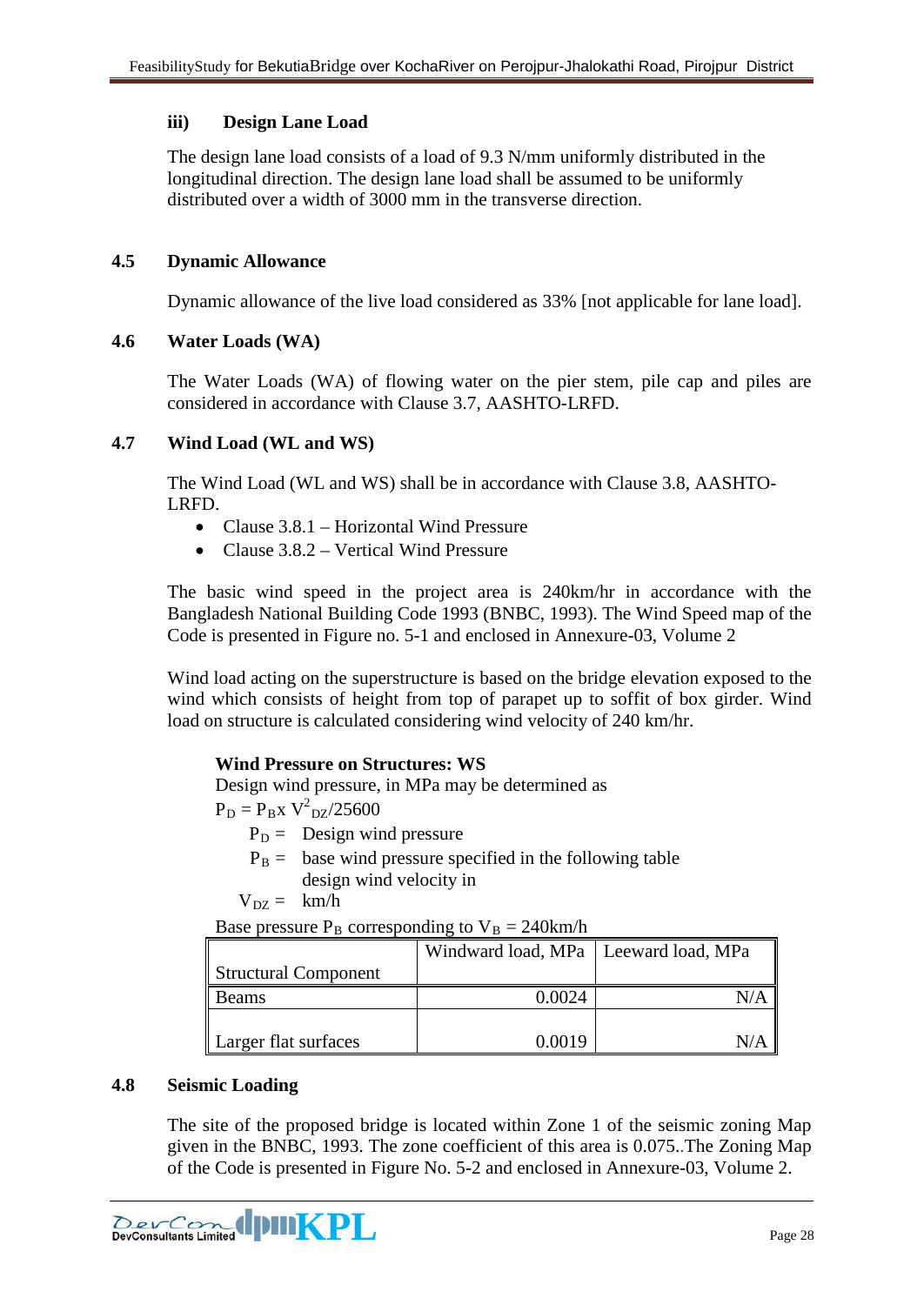# **iii) Design Lane Load**

The design lane load consists of a load of 9.3 N/mm uniformly distributed in the longitudinal direction. The design lane load shall be assumed to be uniformly distributed over a width of 3000 mm in the transverse direction.

# <span id="page-27-0"></span>**4.5 Dynamic Allowance**

Dynamic allowance of the live load considered as 33% [not applicable for lane load].

## <span id="page-27-1"></span>**4.6 Water Loads (WA)**

The Water Loads (WA) of flowing water on the pier stem, pile cap and piles are considered in accordance with Clause 3.7, AASHTO-LRFD.

## <span id="page-27-2"></span>**4.7 Wind Load (WL and WS)**

The Wind Load (WL and WS) shall be in accordance with Clause 3.8, AASHTO-LRFD.

- Clause 3.8.1 Horizontal Wind Pressure
- Clause 3.8.2 Vertical Wind Pressure

The basic wind speed in the project area is 240km/hr in accordance with the Bangladesh National Building Code 1993 (BNBC, 1993). The Wind Speed map of the Code is presented in Figure no. 5-1 and enclosed in Annexure-03, Volume 2

Wind load acting on the superstructure is based on the bridge elevation exposed to the wind which consists of height from top of parapet up to soffit of box girder. Wind load on structure is calculated considering wind velocity of 240 km/hr.

## **Wind Pressure on Structures: WS**

Design wind pressure, in MPa may be determined as

 $P_D = P_B x V^2_{DZ}/25600$ 

 $P_D =$  Design wind pressure

 $P_B$  = base wind pressure specified in the following table design wind velocity in

$$
V_{DZ} = \ km/h
$$

Base pressure  $P_B$  corresponding to  $V_B = 240$ km/h

|                      | Windward load, MPa   Leeward load, MPa |  |
|----------------------|----------------------------------------|--|
| Structural Component |                                        |  |
| <b>Beams</b>         | 0.0024                                 |  |
|                      |                                        |  |
| Larger flat surfaces | 0.0019                                 |  |

## <span id="page-27-3"></span>**4.8 Seismic Loading**

The site of the proposed bridge is located within Zone 1 of the seismic zoning Map given in the BNBC, 1993. The zone coefficient of this area is 0.075..The Zoning Map of the Code is presented in Figure No. 5-2 and enclosed in Annexure-03, Volume 2.

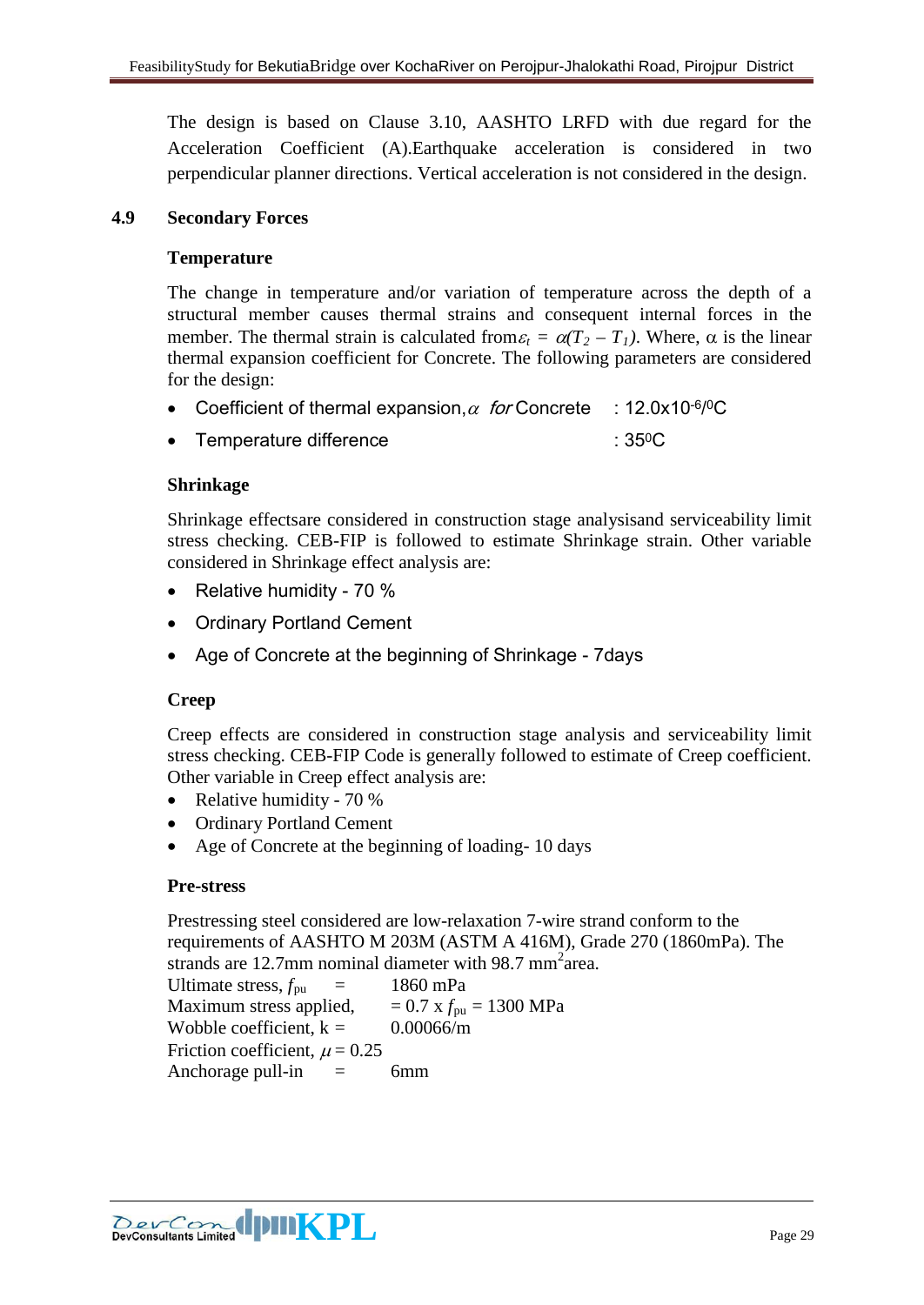The design is based on Clause 3.10, AASHTO LRFD with due regard for the Acceleration Coefficient (A).Earthquake acceleration is considered in two perpendicular planner directions. Vertical acceleration is not considered in the design.

## <span id="page-28-0"></span>**4.9 Secondary Forces**

#### **Temperature**

The change in temperature and/or variation of temperature across the depth of a structural member causes thermal strains and consequent internal forces in the member. The thermal strain is calculated from  $\varepsilon_t = \alpha(T_2 - T_1)$ . Where,  $\alpha$  is the linear thermal expansion coefficient for Concrete. The following parameters are considered for the design:

- Coefficient of thermal expansion,  $\alpha$  for Concrete : 12.0x10<sup>-6/0</sup>C
- Femperature difference : 35<sup>0</sup>C

#### **Shrinkage**

Shrinkage effectsare considered in construction stage analysisand serviceability limit stress checking. CEB-FIP is followed to estimate Shrinkage strain. Other variable considered in Shrinkage effect analysis are:

- Relative humidity 70 %
- Ordinary Portland Cement
- Age of Concrete at the beginning of Shrinkage 7days

## **Creep**

Creep effects are considered in construction stage analysis and serviceability limit stress checking. CEB-FIP Code is generally followed to estimate of Creep coefficient. Other variable in Creep effect analysis are:

- Relative humidity 70 %
- Ordinary Portland Cement
- Age of Concrete at the beginning of loading- 10 days

#### **Pre-stress**

Prestressing steel considered are low-relaxation 7-wire strand conform to the requirements of AASHTO M 203M (ASTM A 416M), Grade 270 (1860mPa). The strands are 12.7mm nominal diameter with 98.7 mm<sup>2</sup> area.

Ultimate stress,  $f_{\text{pu}}$  = 1860 mPa Maximum stress applied,  $= 0.7$  x  $f_{\text{pu}} = 1300$  MPa Wobble coefficient,  $k = 0.00066/m$ Friction coefficient,  $\mu = 0.25$ Anchorage pull-in  $=$  6mm

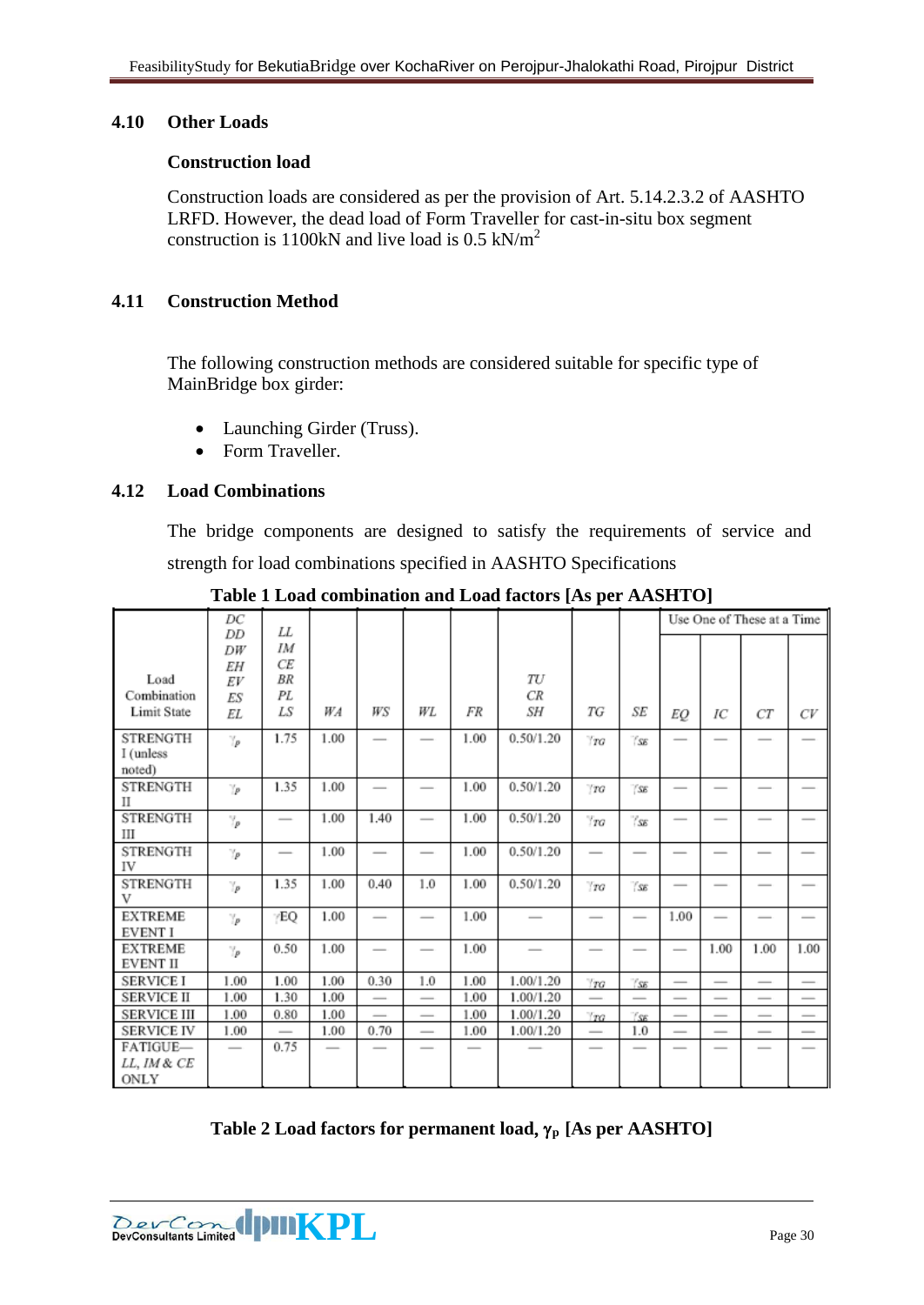#### <span id="page-29-0"></span>**4.10 Other Loads**

#### **Construction load**

Construction loads are considered as per the provision of Art. 5.14.2.3.2 of AASHTO LRFD. However, the dead load of Form Traveller for cast-in-situ box segment construction is 1100kN and live load is  $0.5$  kN/m<sup>2</sup>

## <span id="page-29-1"></span>**4.11 Construction Method**

The following construction methods are considered suitable for specific type of MainBridge box girder:

- Launching Girder (Truss).
- Form Traveller.

## <span id="page-29-2"></span>**4.12 Load Combinations**

The bridge components are designed to satisfy the requirements of service and strength for load combinations specified in AASHTO Specifications

|                                   | DC<br>DD       | LL       |      |      |     |                          |           |                 |               |      |      | Use One of These at a Time |      |
|-----------------------------------|----------------|----------|------|------|-----|--------------------------|-----------|-----------------|---------------|------|------|----------------------------|------|
|                                   | DW<br>EΗ       | IΜ<br>СE |      |      |     |                          |           |                 |               |      |      |                            |      |
| Load                              | EV             | BR       |      |      |     |                          | TU        |                 |               |      |      |                            |      |
| Combination                       | ES             | PL       |      |      |     |                          | CR        |                 |               |      |      |                            |      |
| <b>Limit State</b>                | EL             | LS       | WA   | WS   | WL  | FR                       | SΗ        | ТG              | SE            | EQ   | IC   | $_{CT}$                    | CV   |
| <b>STRENGTH</b><br>I (unless      | $\gamma_p$     | 1.75     | 1.00 |      |     | 1.00                     | 0.50/1.20 | T G             | 'SE           |      |      |                            |      |
| noted)                            |                |          |      |      |     |                          |           |                 |               |      |      |                            |      |
| <b>STRENGTH</b><br>П              | $\gamma_p$     | 1.35     | 1.00 |      |     | 1.00                     | 0.50/1.20 | T G             | 'SE           | -    | -    | -                          |      |
| <b>STRENGTH</b><br>Ш              | $\mathbb{Y}_P$ |          | 1.00 | 1.40 |     | 1.00                     | 0.50/1.20 | $T_{TG}$        | $\gamma_{SE}$ |      | -    |                            |      |
| <b>STRENGTH</b><br>IV             | $\gamma_p$     |          | 1.00 |      |     | 1.00                     | 0.50/1.20 | $\qquad \qquad$ |               |      |      | $\overline{\phantom{a}}$   |      |
| <b>STRENGTH</b><br>V              | $\mathbb{Z}_p$ | 1.35     | 1.00 | 0.40 | 1.0 | 1.00                     | 0.50/1.20 | $\pi$           | ''ss          |      |      |                            |      |
| <b>EXTREME</b><br><b>EVENT I</b>  | $\gamma_p$     | /EO      | 1.00 |      |     | 1.00                     |           |                 |               | 1.00 |      | -                          |      |
| <b>EXTREME</b><br><b>EVENT II</b> | $\mathbb{Z}_p$ | 0.50     | 1.00 |      |     | 1.00                     |           |                 | -             |      | 1.00 | 1.00                       | 1.00 |
| <b>SERVICE I</b>                  | 1.00           | 1.00     | 1.00 | 0.30 | 1.0 | 1.00                     | 1.00/1.20 | T G             | ''ss          |      |      |                            |      |
| <b>SERVICE II</b>                 | 1.00           | 1.30     | 1.00 |      |     | 1.00                     | 1.00/1.20 |                 | -             |      |      |                            |      |
| <b>SERVICE III</b>                | 1.00           | 0.80     | 1.00 |      |     | 1.00                     | 1.00/1.20 | $\pi$           | ''ss          |      |      |                            |      |
| <b>SERVICE IV</b>                 | 1.00           |          | 1.00 | 0.70 |     | 1.00                     | 1.00/1.20 |                 | 1.0           |      |      |                            |      |
| FATIGUE-                          |                | 0.75     |      |      | -   | $\overline{\phantom{a}}$ |           |                 |               |      |      |                            |      |
| LL. IM & CE                       |                |          |      |      |     |                          |           |                 |               |      |      |                            |      |
| ONLY                              |                |          |      |      |     |                          |           |                 |               |      |      |                            |      |

**Table 1 Load combination and Load factors [As per AASHTO]**

**Table 2 Load factors for permanent load**, γ**<sup>p</sup> [As per AASHTO]**

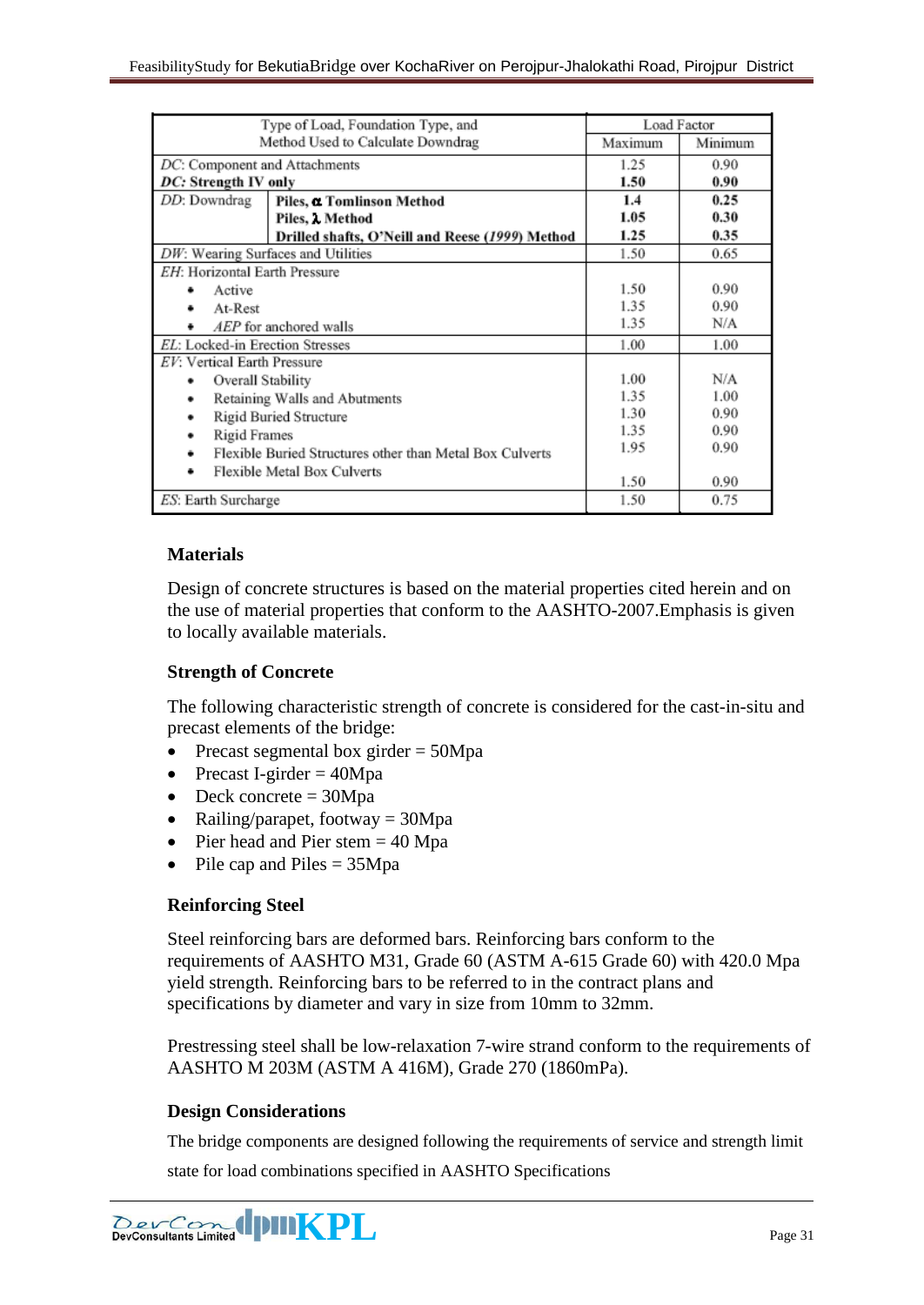| Type of Load, Foundation Type, and                            |         | Load Factor |
|---------------------------------------------------------------|---------|-------------|
| Method Used to Calculate Downdrag                             | Maximum | Minimum     |
| DC: Component and Attachments                                 | 1.25    | 0.90        |
| DC: Strength IV only                                          | 1.50    | 0.90        |
| DD: Downdrag<br>Piles, a Tomlinson Method                     | 1.4     | 0.25        |
| Piles, Method                                                 | 1.05    | 0.30        |
| Drilled shafts, O'Neill and Reese (1999) Method               | 1.25    | 0.35        |
| DW: Wearing Surfaces and Utilities                            | 1.50    | 0.65        |
| EH: Horizontal Earth Pressure                                 |         |             |
| Active                                                        | 1.50    | 0.90        |
| At-Rest                                                       | 1.35    | 0.90        |
| AEP for anchored walls<br>٠                                   | 1.35    | N/A         |
| EL: Locked-in Erection Stresses                               | 1.00    | 1.00        |
| EV: Vertical Earth Pressure                                   |         |             |
| Overall Stability<br>٠                                        | 1.00    | N/A         |
| Retaining Walls and Abutments<br>٠                            | 1.35    | 1.00        |
| Rigid Buried Structure<br>٠                                   | 1.30    | 0.90        |
| <b>Rigid Frames</b><br>٠                                      | 1.35    | 0.90        |
| Flexible Buried Structures other than Metal Box Culverts<br>٠ | 1.95    | 0.90        |
| Flexible Metal Box Culverts<br>٠                              | 1.50    | 0.90        |
| ES: Earth Surcharge                                           | 1.50    | 0.75        |
|                                                               |         |             |

#### **Materials**

Design of concrete structures is based on the material properties cited herein and on the use of material properties that conform to the AASHTO-2007.Emphasis is given to locally available materials.

#### **Strength of Concrete**

The following characteristic strength of concrete is considered for the cast-in-situ and precast elements of the bridge:

- Precast segmental box girder  $= 50Mpa$
- Precast I-girder  $= 40Mpa$
- Deck concrete  $= 30Mpa$
- Railing/parapet, footway  $= 30Mpa$
- Pier head and Pier stem  $= 40$  Mpa
- Pile cap and Piles = 35Mpa

## **Reinforcing Steel**

Steel reinforcing bars are deformed bars. Reinforcing bars conform to the requirements of AASHTO M31, Grade 60 (ASTM A-615 Grade 60) with 420.0 Mpa yield strength. Reinforcing bars to be referred to in the contract plans and specifications by diameter and vary in size from 10mm to 32mm.

Prestressing steel shall be low-relaxation 7-wire strand conform to the requirements of AASHTO M 203M (ASTM A 416M), Grade 270 (1860mPa).

#### **Design Considerations**

The bridge components are designed following the requirements of service and strength limit

state for load combinations specified in AASHTO Specifications

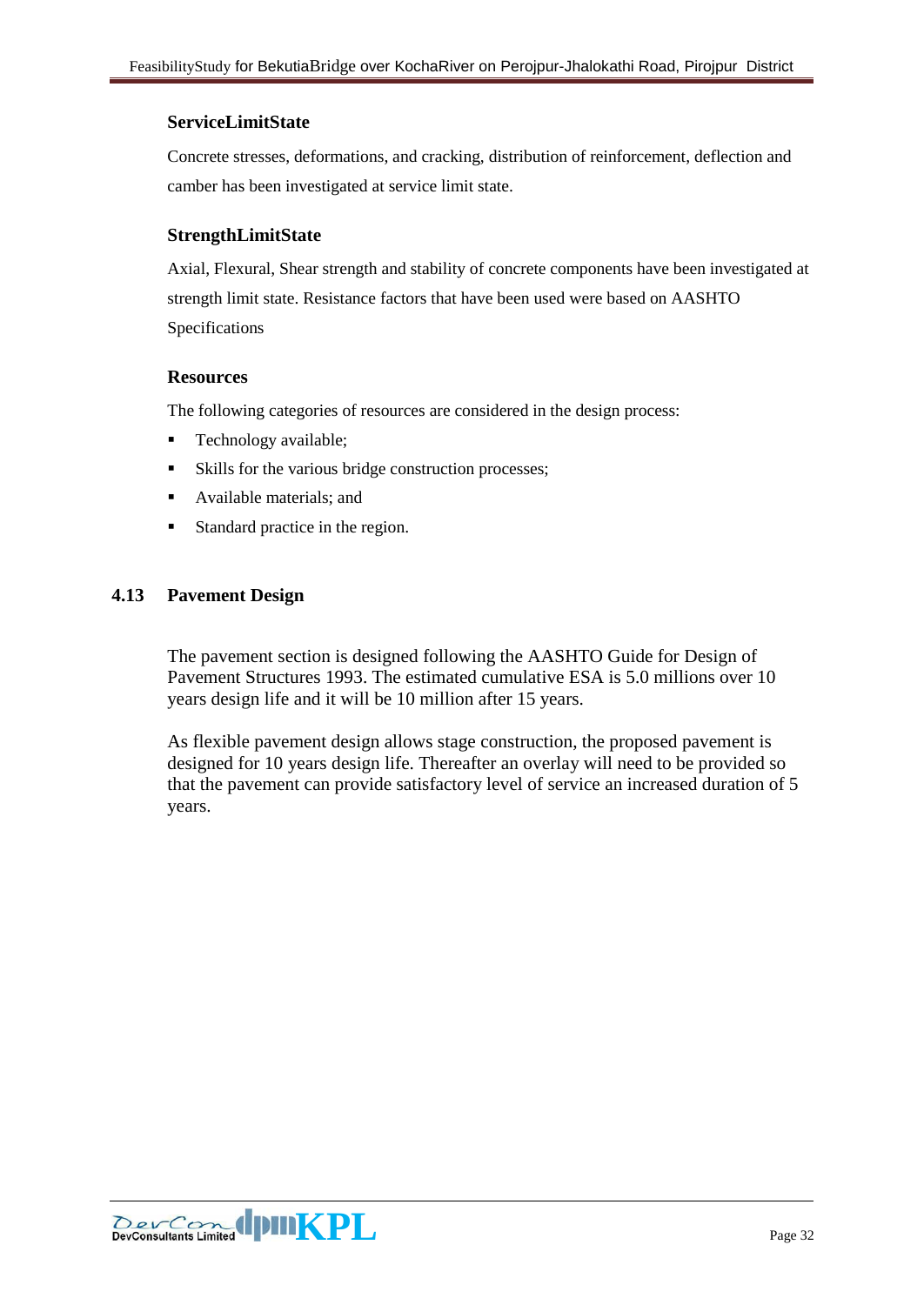#### **ServiceLimitState**

Concrete stresses, deformations, and cracking, distribution of reinforcement, deflection and camber has been investigated at service limit state.

#### **StrengthLimitState**

Axial, Flexural, Shear strength and stability of concrete components have been investigated at strength limit state. Resistance factors that have been used were based on AASHTO Specifications

#### **Resources**

The following categories of resources are considered in the design process:

- Technology available;
- Skills for the various bridge construction processes:
- **Available materials; and**
- Standard practice in the region.

#### <span id="page-31-0"></span>**4.13 Pavement Design**

The pavement section is designed following the AASHTO Guide for Design of Pavement Structures 1993. The estimated cumulative ESA is 5.0 millions over 10 years design life and it will be 10 million after 15 years.

As flexible pavement design allows stage construction, the proposed pavement is designed for 10 years design life. Thereafter an overlay will need to be provided so that the pavement can provide satisfactory level of service an increased duration of 5 years.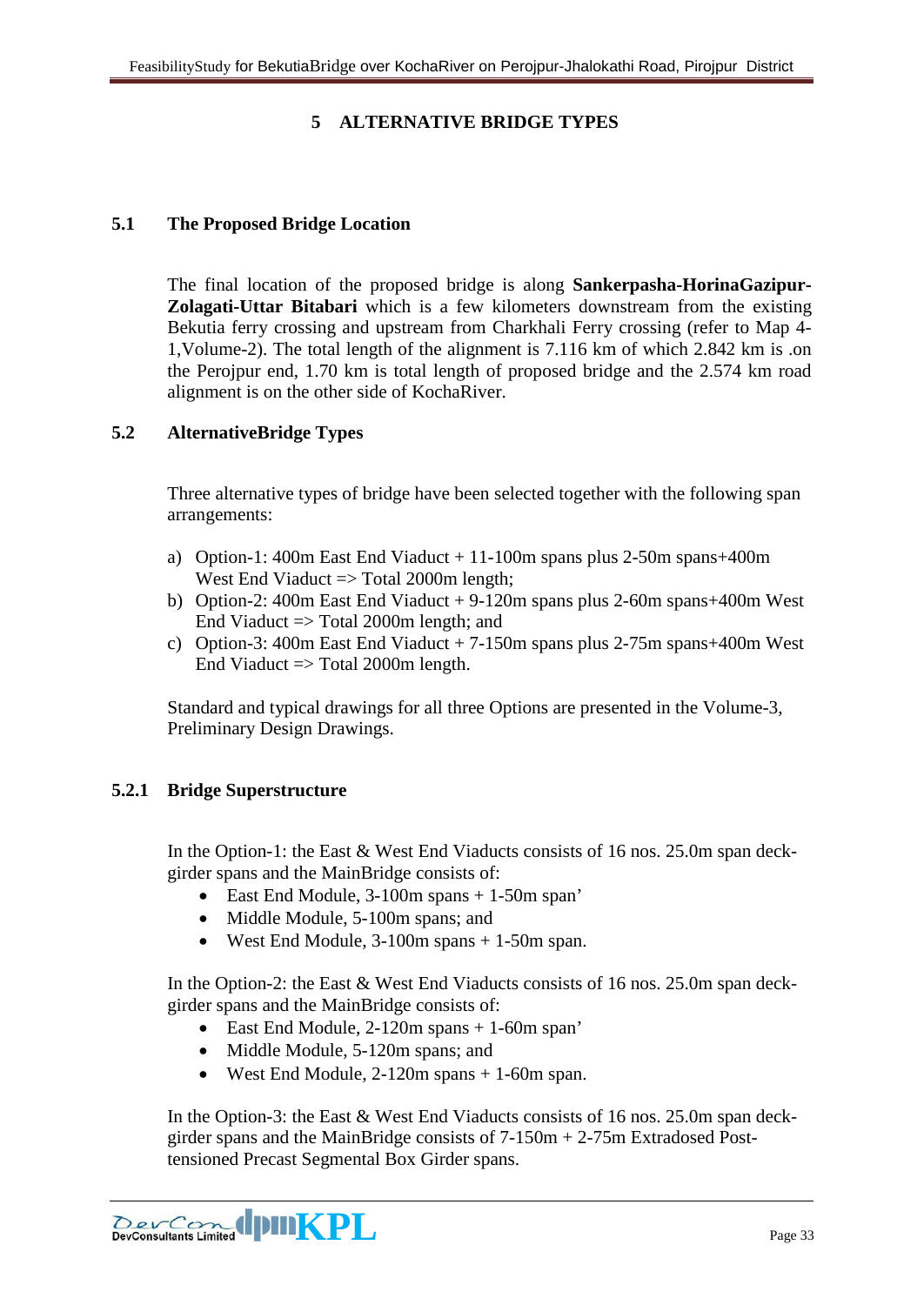# **5 ALTERNATIVE BRIDGE TYPES**

#### <span id="page-32-1"></span><span id="page-32-0"></span>**5.1 The Proposed Bridge Location**

The final location of the proposed bridge is along **Sankerpasha-HorinaGazipur-Zolagati-Uttar Bitabari** which is a few kilometers downstream from the existing Bekutia ferry crossing and upstream from Charkhali Ferry crossing (refer to Map 4- 1,Volume-2). The total length of the alignment is 7.116 km of which 2.842 km is .on the Perojpur end, 1.70 km is total length of proposed bridge and the 2.574 km road alignment is on the other side of KochaRiver.

#### <span id="page-32-2"></span>**5.2 AlternativeBridge Types**

Three alternative types of bridge have been selected together with the following span arrangements:

- a) Option-1: 400m East End Viaduct + 11-100m spans plus 2-50m spans+400m West End Viaduct => Total 2000m length;
- b) Option-2: 400m East End Viaduct + 9-120m spans plus 2-60m spans+400m West End Viaduct => Total 2000m length; and
- c) Option-3: 400m East End Viaduct + 7-150m spans plus 2-75m spans+400m West End Viaduct  $\Rightarrow$  Total 2000m length.

Standard and typical drawings for all three Options are presented in the Volume-3, Preliminary Design Drawings.

#### <span id="page-32-3"></span>**5.2.1 Bridge Superstructure**

In the Option-1: the East & West End Viaducts consists of 16 nos. 25.0m span deckgirder spans and the MainBridge consists of:

- East End Module, 3-100m spans + 1-50m span'
- Middle Module, 5-100m spans; and
- West End Module,  $3-100m$  spans  $+1-50m$  span.

In the Option-2: the East & West End Viaducts consists of 16 nos. 25.0m span deckgirder spans and the MainBridge consists of:

- East End Module, 2-120m spans + 1-60m span'
- Middle Module, 5-120m spans; and
- West End Module, 2-120m spans + 1-60m span.

In the Option-3: the East & West End Viaducts consists of 16 nos. 25.0m span deckgirder spans and the MainBridge consists of 7-150m + 2-75m Extradosed Posttensioned Precast Segmental Box Girder spans.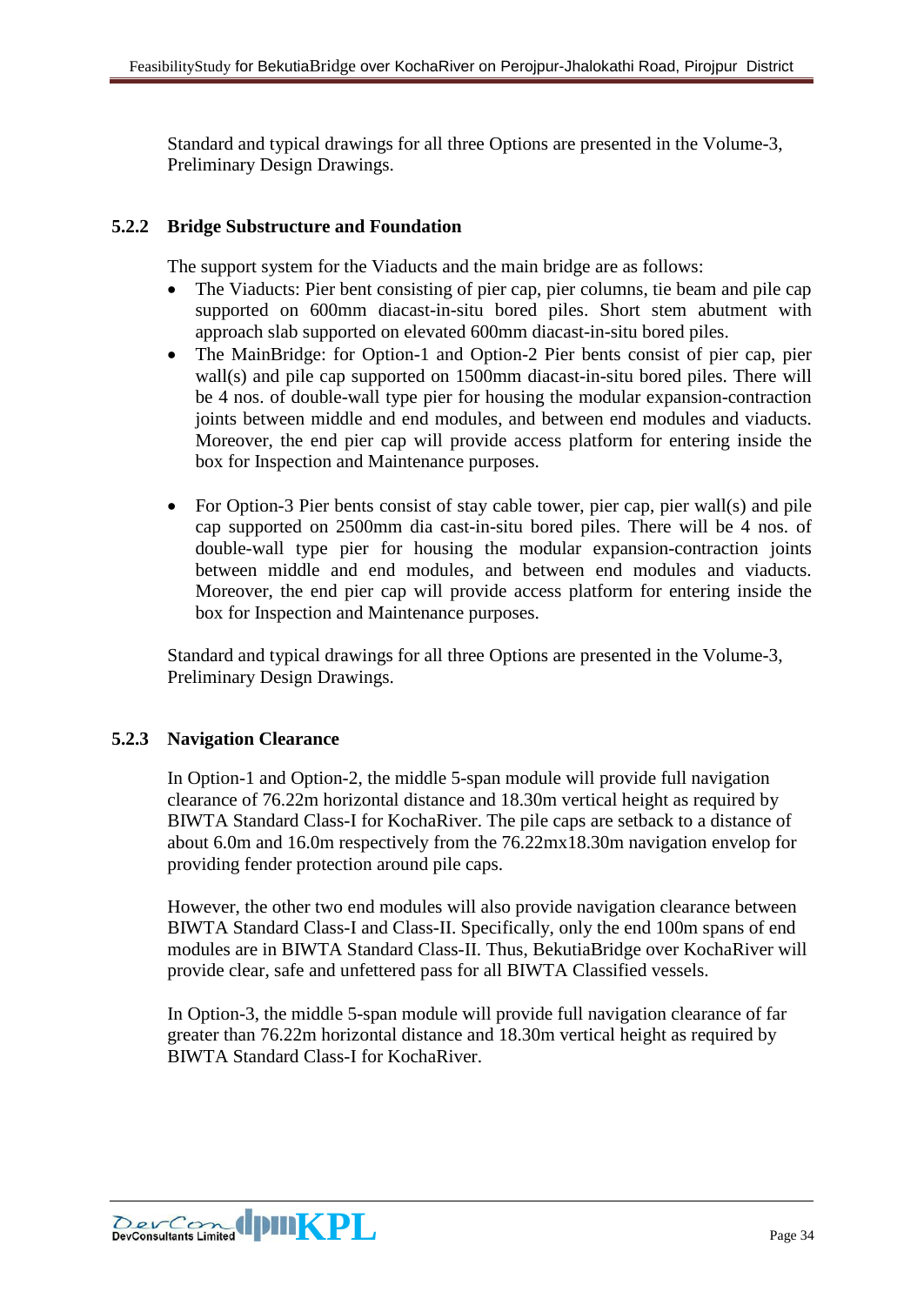Standard and typical drawings for all three Options are presented in the Volume-3, Preliminary Design Drawings.

# <span id="page-33-0"></span>**5.2.2 Bridge Substructure and Foundation**

The support system for the Viaducts and the main bridge are as follows:

- The Viaducts: Pier bent consisting of pier cap, pier columns, tie beam and pile cap supported on 600mm diacast-in-situ bored piles. Short stem abutment with approach slab supported on elevated 600mm diacast-in-situ bored piles.
- The MainBridge: for Option-1 and Option-2 Pier bents consist of pier cap, pier wall(s) and pile cap supported on 1500mm diacast-in-situ bored piles. There will be 4 nos. of double-wall type pier for housing the modular expansion-contraction joints between middle and end modules, and between end modules and viaducts. Moreover, the end pier cap will provide access platform for entering inside the box for Inspection and Maintenance purposes.
- For Option-3 Pier bents consist of stay cable tower, pier cap, pier wall(s) and pile cap supported on 2500mm dia cast-in-situ bored piles. There will be 4 nos. of double-wall type pier for housing the modular expansion-contraction joints between middle and end modules, and between end modules and viaducts. Moreover, the end pier cap will provide access platform for entering inside the box for Inspection and Maintenance purposes.

Standard and typical drawings for all three Options are presented in the Volume-3, Preliminary Design Drawings.

## <span id="page-33-1"></span>**5.2.3 Navigation Clearance**

In Option-1 and Option-2, the middle 5-span module will provide full navigation clearance of 76.22m horizontal distance and 18.30m vertical height as required by BIWTA Standard Class-I for KochaRiver. The pile caps are setback to a distance of about 6.0m and 16.0m respectively from the 76.22mx18.30m navigation envelop for providing fender protection around pile caps.

However, the other two end modules will also provide navigation clearance between BIWTA Standard Class-I and Class-II. Specifically, only the end 100m spans of end modules are in BIWTA Standard Class-II. Thus, BekutiaBridge over KochaRiver will provide clear, safe and unfettered pass for all BIWTA Classified vessels.

In Option-3, the middle 5-span module will provide full navigation clearance of far greater than 76.22m horizontal distance and 18.30m vertical height as required by BIWTA Standard Class-I for KochaRiver.

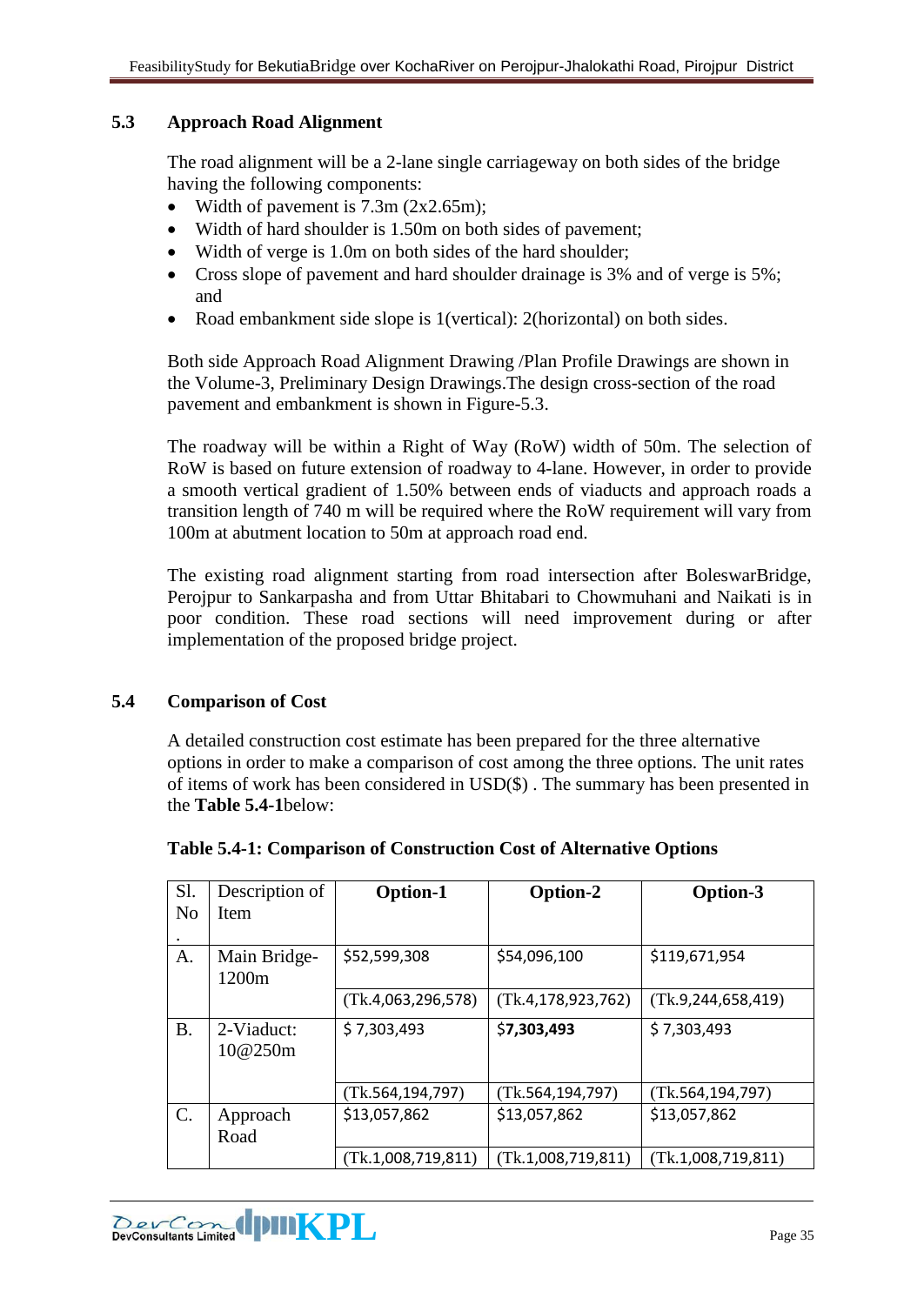## <span id="page-34-0"></span>**5.3 Approach Road Alignment**

The road alignment will be a 2-lane single carriageway on both sides of the bridge having the following components:

- Width of pavement is 7.3m (2x2.65m);
- Width of hard shoulder is 1.50m on both sides of pavement;
- Width of verge is 1.0m on both sides of the hard shoulder;
- Cross slope of pavement and hard shoulder drainage is 3% and of verge is 5%; and
- Road embankment side slope is 1(vertical): 2(horizontal) on both sides.

Both side Approach Road Alignment Drawing /Plan Profile Drawings are shown in the Volume-3, Preliminary Design Drawings.The design cross-section of the road pavement and embankment is shown in Figure-5.3.

The roadway will be within a Right of Way (RoW) width of 50m. The selection of RoW is based on future extension of roadway to 4-lane. However, in order to provide a smooth vertical gradient of 1.50% between ends of viaducts and approach roads a transition length of 740 m will be required where the RoW requirement will vary from 100m at abutment location to 50m at approach road end.

The existing road alignment starting from road intersection after BoleswarBridge, Perojpur to Sankarpasha and from Uttar Bhitabari to Chowmuhani and Naikati is in poor condition. These road sections will need improvement during or after implementation of the proposed bridge project.

## <span id="page-34-1"></span>**5.4 Comparison of Cost**

A detailed construction cost estimate has been prepared for the three alternative options in order to make a comparison of cost among the three options. The unit rates of items of work has been considered in USD(\$) . The summary has been presented in the **Table 5.4-1**below:

| Sl.            | Description of                    | Option-1           | Option-2              | Option-3              |
|----------------|-----------------------------------|--------------------|-----------------------|-----------------------|
| N <sub>0</sub> | Item                              |                    |                       |                       |
|                |                                   |                    |                       |                       |
| A.             | Main Bridge-<br>1200 <sub>m</sub> | \$52,599,308       | \$54,096,100          | \$119,671,954         |
|                |                                   | (Tk.4,063,296,578) | (Tk.4, 178, 923, 762) | (Tk.9, 244, 658, 419) |
| <b>B.</b>      | 2-Viaduct:<br>10@250m             | \$7,303,493        | \$7,303,493           | \$7,303,493           |
|                |                                   | (Tk.564, 194, 797) | (Tk.564, 194, 797)    | (Tk.564, 194, 797)    |
| $\mathbf{C}$ . | Approach<br>Road                  | \$13,057,862       | \$13,057,862          | \$13,057,862          |
|                |                                   | (Tk.1,008,719,811) | (Tk.1,008,719,811)    | (Tk.1,008,719,811)    |

| Table 5.4-1: Comparison of Construction Cost of Alternative Options |  |  |
|---------------------------------------------------------------------|--|--|
|                                                                     |  |  |

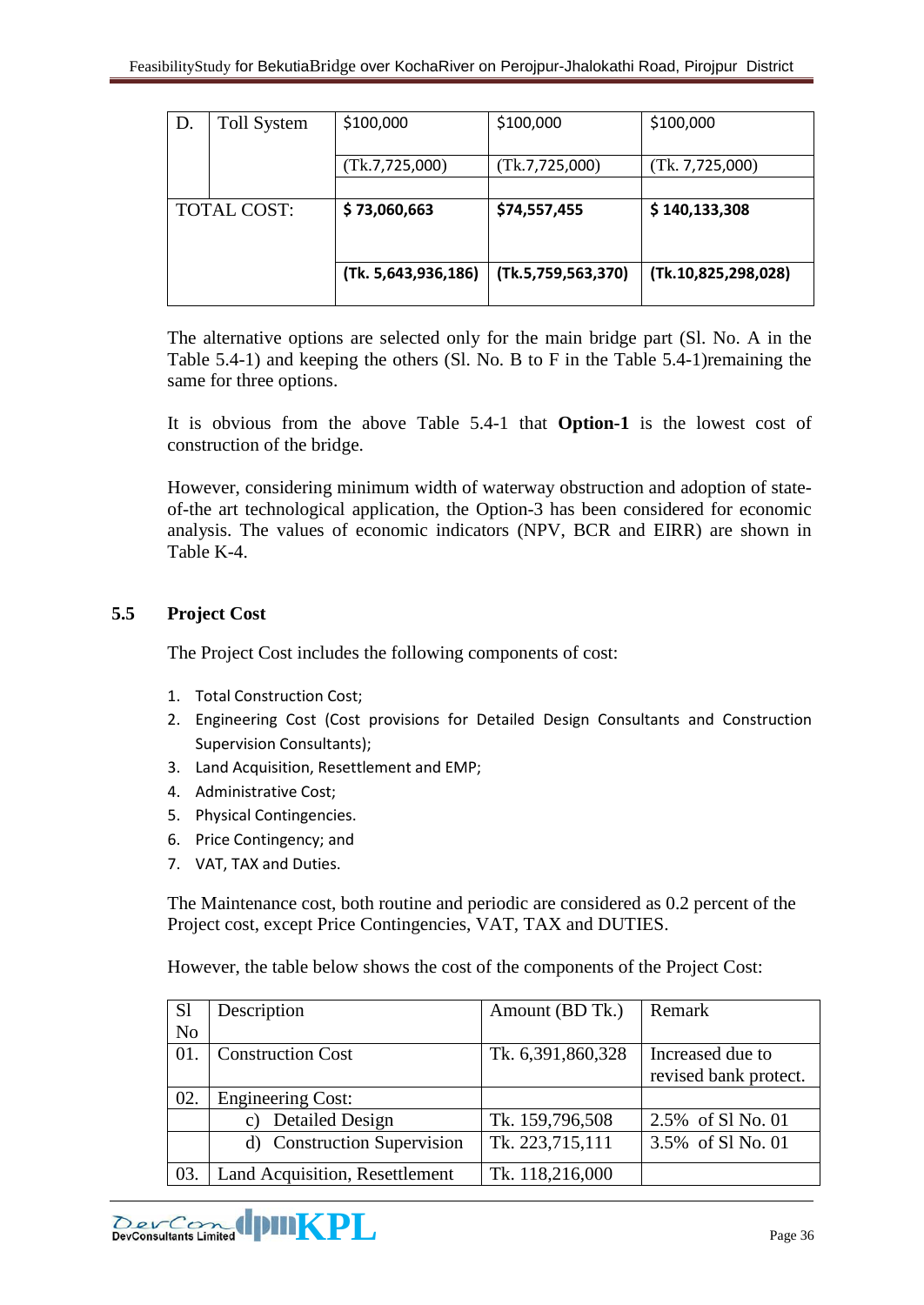| D.                 | <b>Toll System</b><br>\$100,000 |                     | \$100,000          | \$100,000           |
|--------------------|---------------------------------|---------------------|--------------------|---------------------|
|                    |                                 | (Tk.7, 725, 000)    | (Tk.7, 725, 000)   | (Tk. 7, 725, 000)   |
|                    |                                 |                     |                    |                     |
| <b>TOTAL COST:</b> |                                 | \$73,060,663        | \$74,557,455       | \$140,133,308       |
|                    |                                 | (Tk. 5,643,936,186) | (Tk.5,759,563,370) | (Tk.10,825,298,028) |

The alternative options are selected only for the main bridge part (Sl. No. A in the Table 5.4-1) and keeping the others (Sl. No. B to F in the Table 5.4-1)remaining the same for three options.

It is obvious from the above Table 5.4-1 that **Option-1** is the lowest cost of construction of the bridge.

However, considering minimum width of waterway obstruction and adoption of stateof-the art technological application, the Option-3 has been considered for economic analysis. The values of economic indicators (NPV, BCR and EIRR) are shown in Table K-4.

## <span id="page-35-0"></span>**5.5 Project Cost**

The Project Cost includes the following components of cost:

- 1. Total Construction Cost;
- 2. Engineering Cost (Cost provisions for Detailed Design Consultants and Construction Supervision Consultants);
- 3. Land Acquisition, Resettlement and EMP;
- 4. Administrative Cost;
- 5. Physical Contingencies.
- 6. Price Contingency; and
- 7. VAT, TAX and Duties.

The Maintenance cost, both routine and periodic are considered as 0.2 percent of the Project cost, except Price Contingencies, VAT, TAX and DUTIES.

However, the table below shows the cost of the components of the Project Cost:

| S <sub>1</sub> | Description                               | Amount (BD Tk.)   | Remark                |
|----------------|-------------------------------------------|-------------------|-----------------------|
| N <sub>o</sub> |                                           |                   |                       |
| 01.            | <b>Construction Cost</b>                  | Tk. 6,391,860,328 | Increased due to      |
|                |                                           |                   | revised bank protect. |
| 02.            | <b>Engineering Cost:</b>                  |                   |                       |
|                | <b>Detailed Design</b><br>$\mathcal{C}$ ) | Tk. 159,796,508   | 2.5% of Sl No. 01     |
|                | d) Construction Supervision               | Tk. 223,715,111   | 3.5% of S1 No. 01     |
| 03.            | Land Acquisition, Resettlement            | Tk. 118,216,000   |                       |

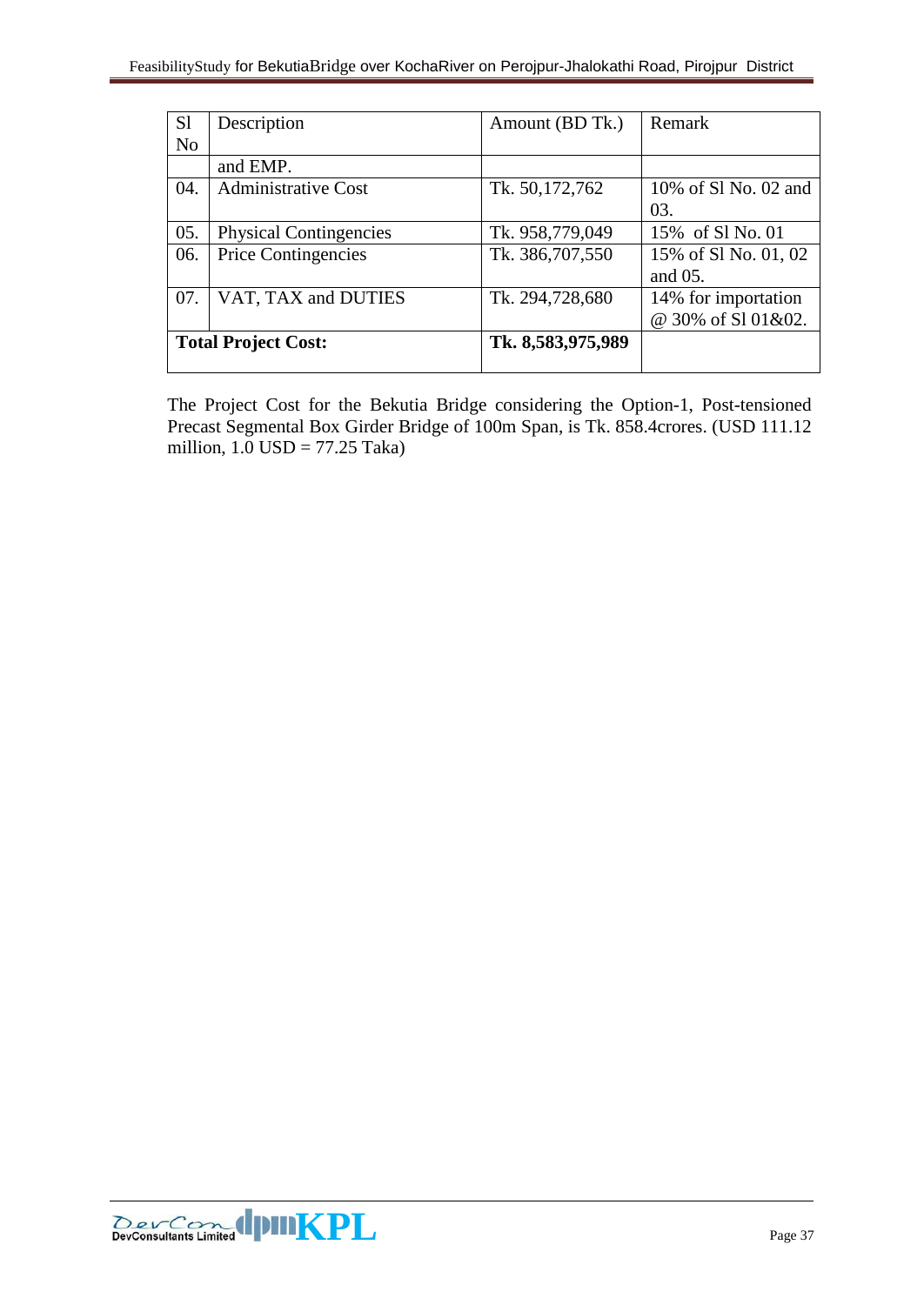| S <sub>1</sub>             | Description                   | Amount (BD Tk.)   | Remark               |
|----------------------------|-------------------------------|-------------------|----------------------|
| N <sub>0</sub>             |                               |                   |                      |
|                            | and EMP.                      |                   |                      |
| 04.                        | <b>Administrative Cost</b>    | Tk. 50,172,762    | 10% of S1 No. 02 and |
|                            |                               |                   | 03.                  |
| 05.                        | <b>Physical Contingencies</b> | Tk. 958,779,049   | 15% of S1 No. 01     |
| 06.                        | <b>Price Contingencies</b>    | Tk. 386,707,550   | 15% of S1 No. 01, 02 |
|                            |                               |                   | and 05.              |
| 07.                        | VAT, TAX and DUTIES           | Tk. 294,728,680   | 14% for importation  |
|                            |                               |                   | @ 30% of S101&02.    |
| <b>Total Project Cost:</b> |                               | Tk. 8,583,975,989 |                      |
|                            |                               |                   |                      |

The Project Cost for the Bekutia Bridge considering the Option-1, Post-tensioned Precast Segmental Box Girder Bridge of 100m Span, is Tk. 858.4crores. (USD 111.12 million, 1.0 USD = 77.25 Taka)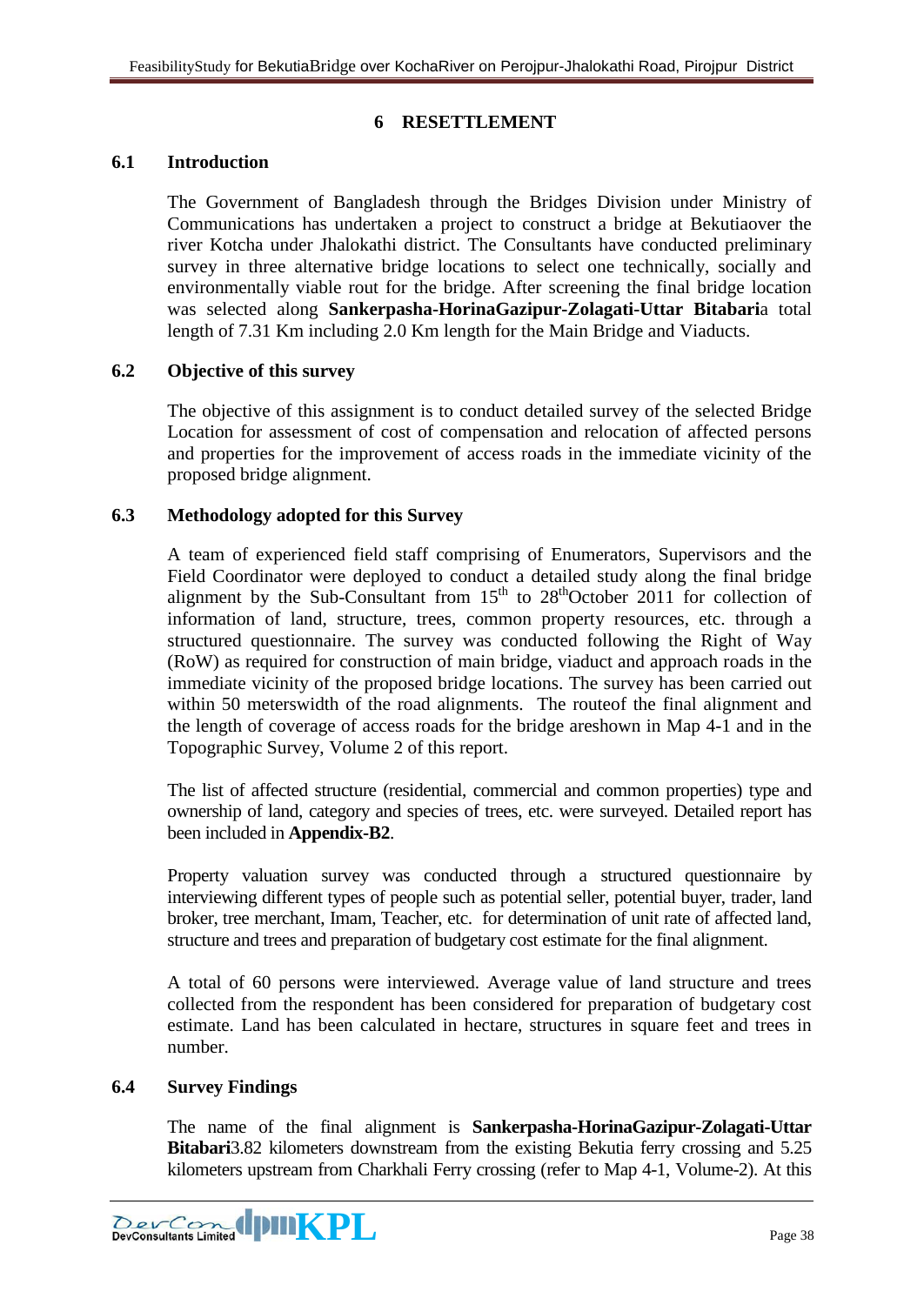# **6 RESETTLEMENT**

#### <span id="page-37-1"></span><span id="page-37-0"></span>**6.1 Introduction**

The Government of Bangladesh through the Bridges Division under Ministry of Communications has undertaken a project to construct a bridge at Bekutiaover the river Kotcha under Jhalokathi district. The Consultants have conducted preliminary survey in three alternative bridge locations to select one technically, socially and environmentally viable rout for the bridge. After screening the final bridge location was selected along **Sankerpasha-HorinaGazipur-Zolagati-Uttar Bitabari**a total length of 7.31 Km including 2.0 Km length for the Main Bridge and Viaducts.

## <span id="page-37-2"></span>**6.2 Objective of this survey**

The objective of this assignment is to conduct detailed survey of the selected Bridge Location for assessment of cost of compensation and relocation of affected persons and properties for the improvement of access roads in the immediate vicinity of the proposed bridge alignment.

## <span id="page-37-3"></span>**6.3 Methodology adopted for this Survey**

A team of experienced field staff comprising of Enumerators, Supervisors and the Field Coordinator were deployed to conduct a detailed study along the final bridge alignment by the Sub-Consultant from  $15<sup>th</sup>$  to  $28<sup>th</sup>$ October 2011 for collection of information of land, structure, trees, common property resources, etc. through a structured questionnaire. The survey was conducted following the Right of Way (RoW) as required for construction of main bridge, viaduct and approach roads in the immediate vicinity of the proposed bridge locations. The survey has been carried out within 50 meters width of the road alignments. The route of the final alignment and the length of coverage of access roads for the bridge areshown in Map 4-1 and in the Topographic Survey, Volume 2 of this report.

The list of affected structure (residential, commercial and common properties) type and ownership of land, category and species of trees, etc. were surveyed. Detailed report has been included in **Appendix-B2**.

Property valuation survey was conducted through a structured questionnaire by interviewing different types of people such as potential seller, potential buyer, trader, land broker, tree merchant, Imam, Teacher, etc. for determination of unit rate of affected land, structure and trees and preparation of budgetary cost estimate for the final alignment.

A total of 60 persons were interviewed. Average value of land structure and trees collected from the respondent has been considered for preparation of budgetary cost estimate. Land has been calculated in hectare, structures in square feet and trees in number.

#### <span id="page-37-4"></span>**6.4 Survey Findings**

The name of the final alignment is **Sankerpasha-HorinaGazipur-Zolagati-Uttar Bitabari**3.82 kilometers downstream from the existing Bekutia ferry crossing and 5.25 kilometers upstream from Charkhali Ferry crossing (refer to Map 4-1, Volume-2). At this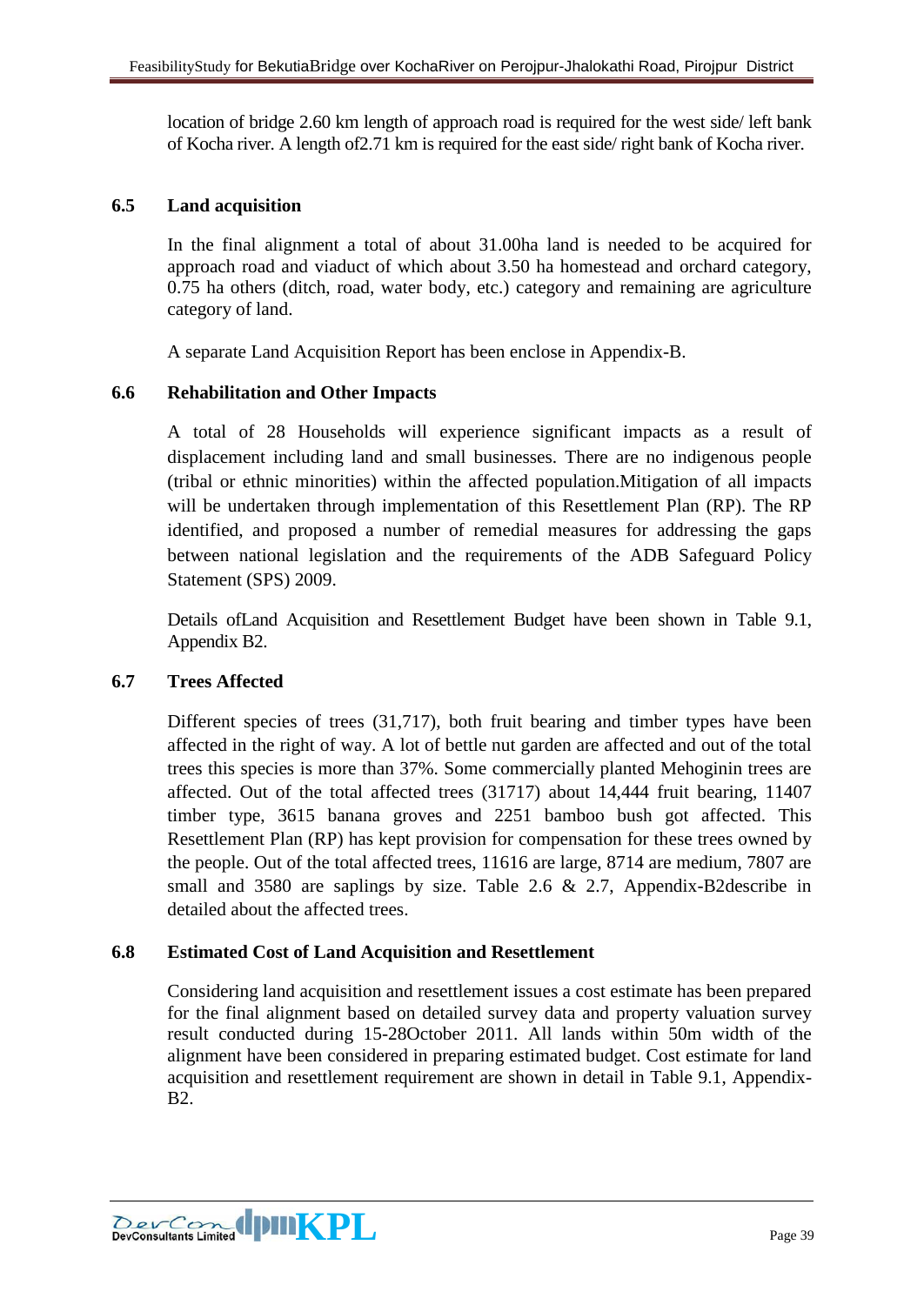location of bridge 2.60 km length of approach road is required for the west side/ left bank of Kocha river. A length of2.71 km is required for the east side/ right bank of Kocha river.

## <span id="page-38-0"></span>**6.5 Land acquisition**

In the final alignment a total of about 31.00ha land is needed to be acquired for approach road and viaduct of which about 3.50 ha homestead and orchard category, 0.75 ha others (ditch, road, water body, etc.) category and remaining are agriculture category of land.

A separate Land Acquisition Report has been enclose in Appendix-B.

# <span id="page-38-1"></span>**6.6 Rehabilitation and Other Impacts**

A total of 28 Households will experience significant impacts as a result of displacement including land and small businesses. There are no indigenous people (tribal or ethnic minorities) within the affected population.Mitigation of all impacts will be undertaken through implementation of this Resettlement Plan (RP). The RP identified, and proposed a number of remedial measures for addressing the gaps between national legislation and the requirements of the ADB Safeguard Policy Statement (SPS) 2009.

Details ofLand Acquisition and Resettlement Budget have been shown in Table 9.1, Appendix B2.

## <span id="page-38-2"></span>**6.7 Trees Affected**

Different species of trees (31,717), both fruit bearing and timber types have been affected in the right of way. A lot of bettle nut garden are affected and out of the total trees this species is more than 37%. Some commercially planted Mehoginin trees are affected. Out of the total affected trees (31717) about 14,444 fruit bearing, 11407 timber type, 3615 banana groves and 2251 bamboo bush got affected. This Resettlement Plan (RP) has kept provision for compensation for these trees owned by the people. Out of the total affected trees, 11616 are large, 8714 are medium, 7807 are small and 3580 are saplings by size. Table 2.6 & 2.7, Appendix-B2describe in detailed about the affected trees.

## <span id="page-38-3"></span>**6.8 Estimated Cost of Land Acquisition and Resettlement**

Considering land acquisition and resettlement issues a cost estimate has been prepared for the final alignment based on detailed survey data and property valuation survey result conducted during 15-28October 2011. All lands within 50m width of the alignment have been considered in preparing estimated budget. Cost estimate for land acquisition and resettlement requirement are shown in detail in Table 9.1, Appendix-B2.

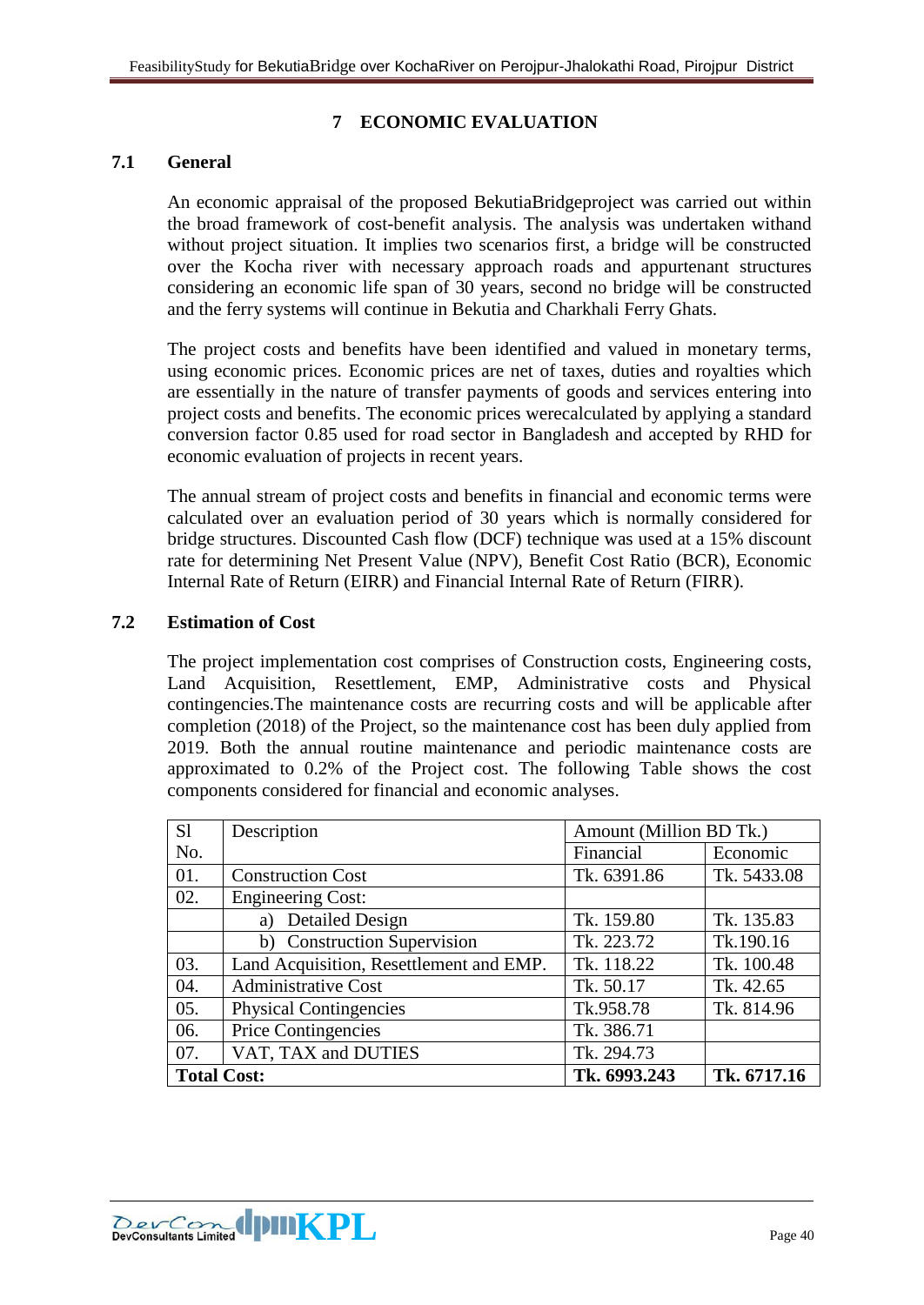# **7 ECONOMIC EVALUATION**

#### <span id="page-39-1"></span><span id="page-39-0"></span>**7.1 General**

An economic appraisal of the proposed BekutiaBridgeproject was carried out within the broad framework of cost-benefit analysis. The analysis was undertaken withand without project situation. It implies two scenarios first, a bridge will be constructed over the Kocha river with necessary approach roads and appurtenant structures considering an economic life span of 30 years, second no bridge will be constructed and the ferry systems will continue in Bekutia and Charkhali Ferry Ghats.

The project costs and benefits have been identified and valued in monetary terms, using economic prices. Economic prices are net of taxes, duties and royalties which are essentially in the nature of transfer payments of goods and services entering into project costs and benefits. The economic prices werecalculated by applying a standard conversion factor 0.85 used for road sector in Bangladesh and accepted by RHD for economic evaluation of projects in recent years.

The annual stream of project costs and benefits in financial and economic terms were calculated over an evaluation period of 30 years which is normally considered for bridge structures. Discounted Cash flow (DCF) technique was used at a 15% discount rate for determining Net Present Value (NPV), Benefit Cost Ratio (BCR), Economic Internal Rate of Return (EIRR) and Financial Internal Rate of Return (FIRR).

#### <span id="page-39-2"></span>**7.2 Estimation of Cost**

The project implementation cost comprises of Construction costs, Engineering costs, Land Acquisition, Resettlement, EMP, Administrative costs and Physical contingencies.The maintenance costs are recurring costs and will be applicable after completion (2018) of the Project, so the maintenance cost has been duly applied from 2019. Both the annual routine maintenance and periodic maintenance costs are approximated to 0.2% of the Project cost. The following Table shows the cost components considered for financial and economic analyses.

| S <sub>1</sub>     | Description                             | Amount (Million BD Tk.) |             |
|--------------------|-----------------------------------------|-------------------------|-------------|
| No.                |                                         | Financial               | Economic    |
| 01.                | <b>Construction Cost</b>                | Tk. 6391.86             | Tk. 5433.08 |
| 02.                | <b>Engineering Cost:</b>                |                         |             |
|                    | <b>Detailed Design</b><br>a)            | Tk. 159.80              | Tk. 135.83  |
|                    | b) Construction Supervision             | Tk. 223.72              | Tk.190.16   |
| 03.                | Land Acquisition, Resettlement and EMP. | Tk. 118.22              | Tk. 100.48  |
| 04.                | <b>Administrative Cost</b>              | Tk. 50.17               | Tk. 42.65   |
| 05.                | <b>Physical Contingencies</b>           | Tk.958.78               | Tk. 814.96  |
| 06.                | <b>Price Contingencies</b>              | Tk. 386.71              |             |
| 07.                | VAT, TAX and DUTIES                     | Tk. 294.73              |             |
| <b>Total Cost:</b> |                                         | Tk. 6993.243            | Tk. 6717.16 |

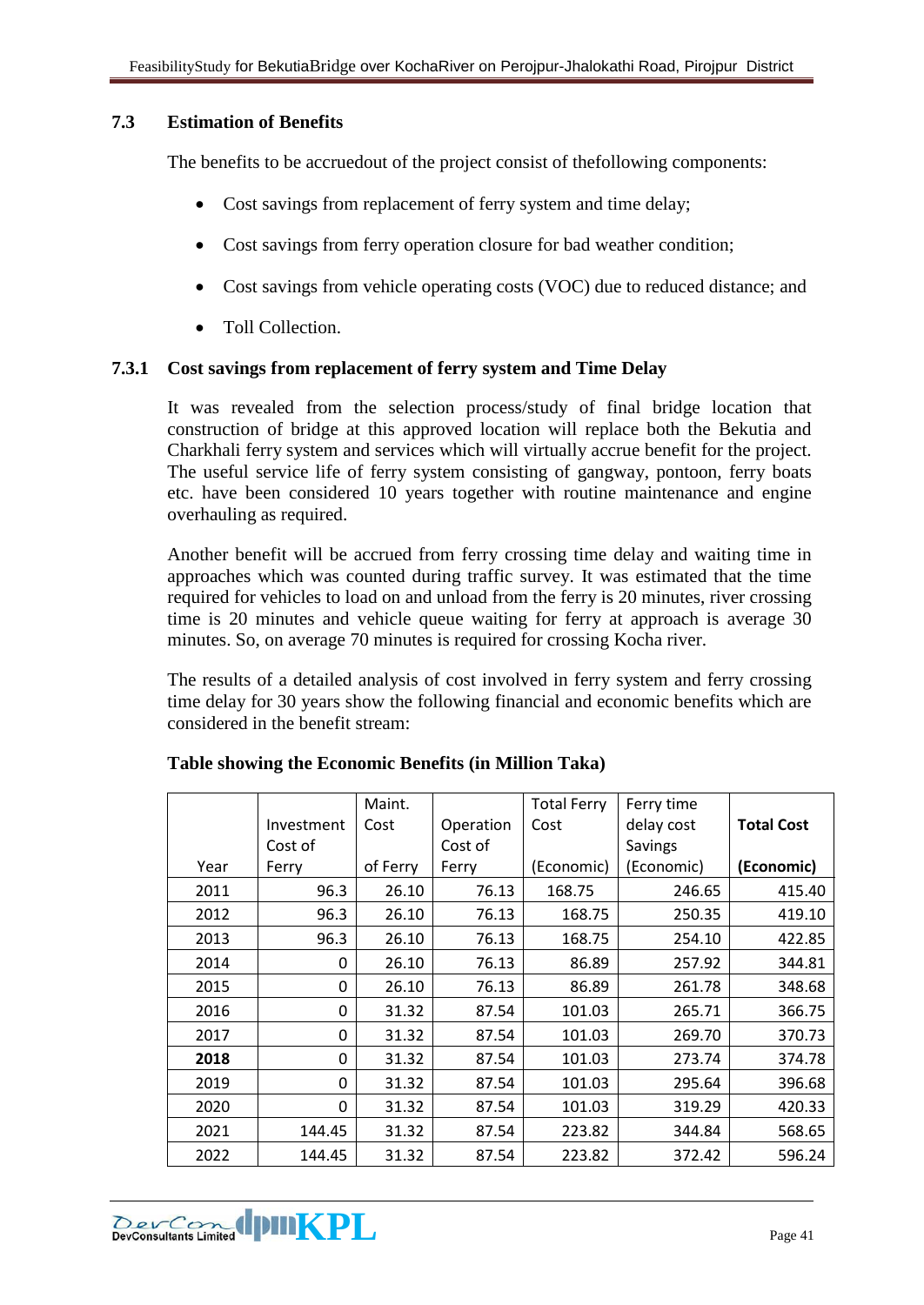#### <span id="page-40-0"></span>**7.3 Estimation of Benefits**

The benefits to be accruedout of the project consist of thefollowing components:

- Cost savings from replacement of ferry system and time delay;
- Cost savings from ferry operation closure for bad weather condition;
- Cost savings from vehicle operating costs (VOC) due to reduced distance; and
- Toll Collection.

#### <span id="page-40-1"></span>**7.3.1 Cost savings from replacement of ferry system and Time Delay**

It was revealed from the selection process/study of final bridge location that construction of bridge at this approved location will replace both the Bekutia and Charkhali ferry system and services which will virtually accrue benefit for the project. The useful service life of ferry system consisting of gangway, pontoon, ferry boats etc. have been considered 10 years together with routine maintenance and engine overhauling as required.

Another benefit will be accrued from ferry crossing time delay and waiting time in approaches which was counted during traffic survey. It was estimated that the time required for vehicles to load on and unload from the ferry is 20 minutes, river crossing time is 20 minutes and vehicle queue waiting for ferry at approach is average 30 minutes. So, on average 70 minutes is required for crossing Kocha river.

The results of a detailed analysis of cost involved in ferry system and ferry crossing time delay for 30 years show the following financial and economic benefits which are considered in the benefit stream:

|      |            | Maint.   |           | <b>Total Ferry</b> | Ferry time |                   |
|------|------------|----------|-----------|--------------------|------------|-------------------|
|      | Investment | Cost     | Operation | Cost               | delay cost | <b>Total Cost</b> |
|      | Cost of    |          | Cost of   |                    | Savings    |                   |
| Year | Ferry      | of Ferry | Ferry     | (Economic)         | (Economic) | (Economic)        |
| 2011 | 96.3       | 26.10    | 76.13     | 168.75             | 246.65     | 415.40            |
| 2012 | 96.3       | 26.10    | 76.13     | 168.75             | 250.35     | 419.10            |
| 2013 | 96.3       | 26.10    | 76.13     | 168.75             | 254.10     | 422.85            |
| 2014 | 0          | 26.10    | 76.13     | 86.89              | 257.92     | 344.81            |
| 2015 | 0          | 26.10    | 76.13     | 86.89              | 261.78     | 348.68            |
| 2016 | 0          | 31.32    | 87.54     | 101.03             | 265.71     | 366.75            |
| 2017 | 0          | 31.32    | 87.54     | 101.03             | 269.70     | 370.73            |
| 2018 | 0          | 31.32    | 87.54     | 101.03             | 273.74     | 374.78            |
| 2019 | 0          | 31.32    | 87.54     | 101.03             | 295.64     | 396.68            |
| 2020 | 0          | 31.32    | 87.54     | 101.03             | 319.29     | 420.33            |
| 2021 | 144.45     | 31.32    | 87.54     | 223.82             | 344.84     | 568.65            |
| 2022 | 144.45     | 31.32    | 87.54     | 223.82             | 372.42     | 596.24            |

## **Table showing the Economic Benefits (in Million Taka)**

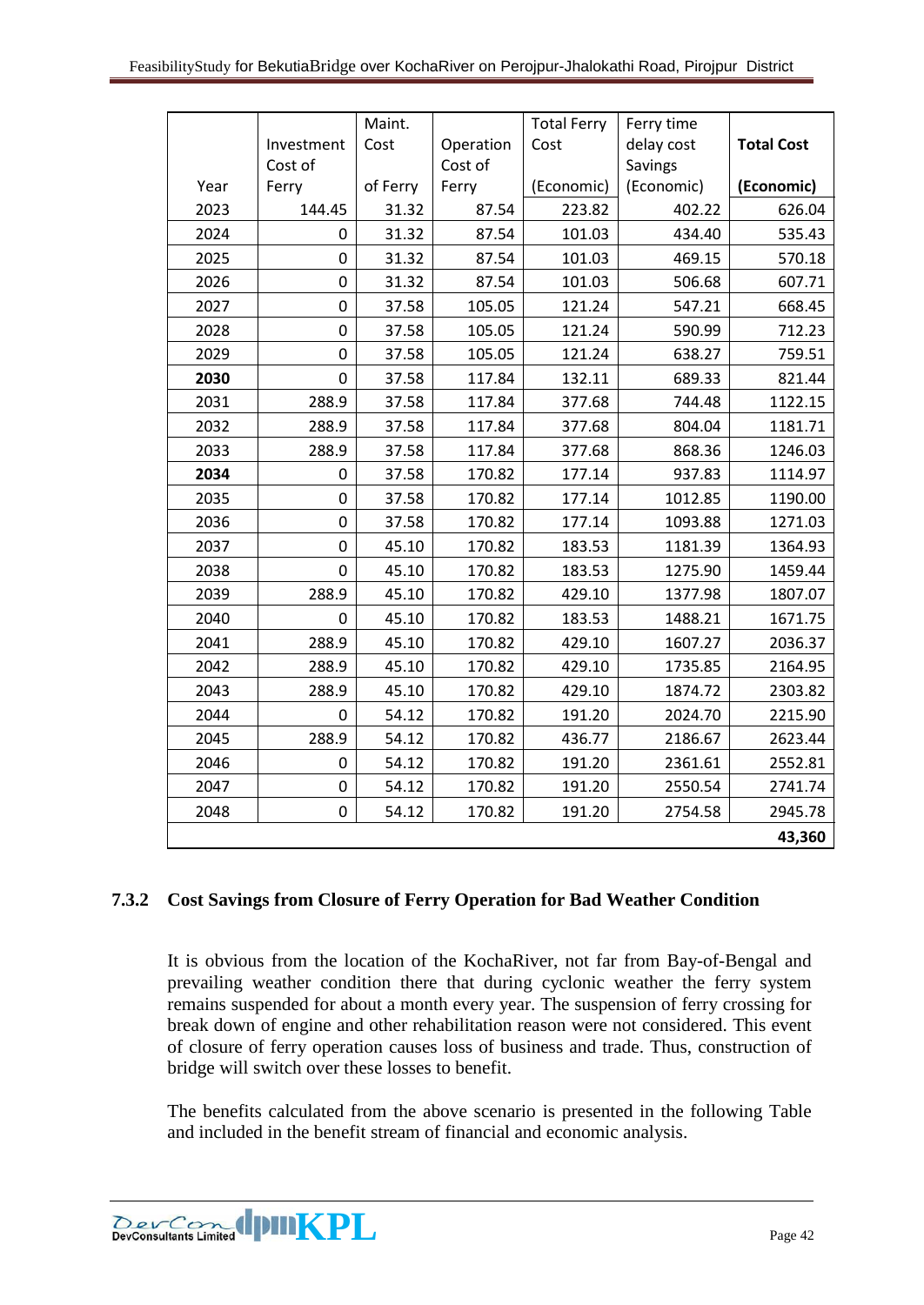|      |            | Maint.   |           | <b>Total Ferry</b> | Ferry time |                   |
|------|------------|----------|-----------|--------------------|------------|-------------------|
|      | Investment | Cost     | Operation | Cost               | delay cost | <b>Total Cost</b> |
|      | Cost of    |          | Cost of   |                    | Savings    |                   |
| Year | Ferry      | of Ferry | Ferry     | (Economic)         | (Economic) | (Economic)        |
| 2023 | 144.45     | 31.32    | 87.54     | 223.82             | 402.22     | 626.04            |
| 2024 | 0          | 31.32    | 87.54     | 101.03             | 434.40     | 535.43            |
| 2025 | 0          | 31.32    | 87.54     | 101.03             | 469.15     | 570.18            |
| 2026 | 0          | 31.32    | 87.54     | 101.03             | 506.68     | 607.71            |
| 2027 | 0          | 37.58    | 105.05    | 121.24             | 547.21     | 668.45            |
| 2028 | 0          | 37.58    | 105.05    | 121.24             | 590.99     | 712.23            |
| 2029 | 0          | 37.58    | 105.05    | 121.24             | 638.27     | 759.51            |
| 2030 | 0          | 37.58    | 117.84    | 132.11             | 689.33     | 821.44            |
| 2031 | 288.9      | 37.58    | 117.84    | 377.68             | 744.48     | 1122.15           |
| 2032 | 288.9      | 37.58    | 117.84    | 377.68             | 804.04     | 1181.71           |
| 2033 | 288.9      | 37.58    | 117.84    | 377.68             | 868.36     | 1246.03           |
| 2034 | 0          | 37.58    | 170.82    | 177.14             | 937.83     | 1114.97           |
| 2035 | 0          | 37.58    | 170.82    | 177.14             | 1012.85    | 1190.00           |
| 2036 | 0          | 37.58    | 170.82    | 177.14             | 1093.88    | 1271.03           |
| 2037 | 0          | 45.10    | 170.82    | 183.53             | 1181.39    | 1364.93           |
| 2038 | 0          | 45.10    | 170.82    | 183.53             | 1275.90    | 1459.44           |
| 2039 | 288.9      | 45.10    | 170.82    | 429.10             | 1377.98    | 1807.07           |
| 2040 | 0          | 45.10    | 170.82    | 183.53             | 1488.21    | 1671.75           |
| 2041 | 288.9      | 45.10    | 170.82    | 429.10             | 1607.27    | 2036.37           |
| 2042 | 288.9      | 45.10    | 170.82    | 429.10             | 1735.85    | 2164.95           |
| 2043 | 288.9      | 45.10    | 170.82    | 429.10             | 1874.72    | 2303.82           |
| 2044 | 0          | 54.12    | 170.82    | 191.20             | 2024.70    | 2215.90           |
| 2045 | 288.9      | 54.12    | 170.82    | 436.77             | 2186.67    | 2623.44           |
| 2046 | 0          | 54.12    | 170.82    | 191.20             | 2361.61    | 2552.81           |
| 2047 | 0          | 54.12    | 170.82    | 191.20             | 2550.54    | 2741.74           |
| 2048 | 0          | 54.12    | 170.82    | 191.20             | 2754.58    | 2945.78           |
|      |            |          |           |                    |            | 43,360            |

# <span id="page-41-0"></span>**7.3.2 Cost Savings from Closure of Ferry Operation for Bad Weather Condition**

It is obvious from the location of the KochaRiver, not far from Bay-of-Bengal and prevailing weather condition there that during cyclonic weather the ferry system remains suspended for about a month every year. The suspension of ferry crossing for break down of engine and other rehabilitation reason were not considered. This event of closure of ferry operation causes loss of business and trade. Thus, construction of bridge will switch over these losses to benefit.

The benefits calculated from the above scenario is presented in the following Table and included in the benefit stream of financial and economic analysis.

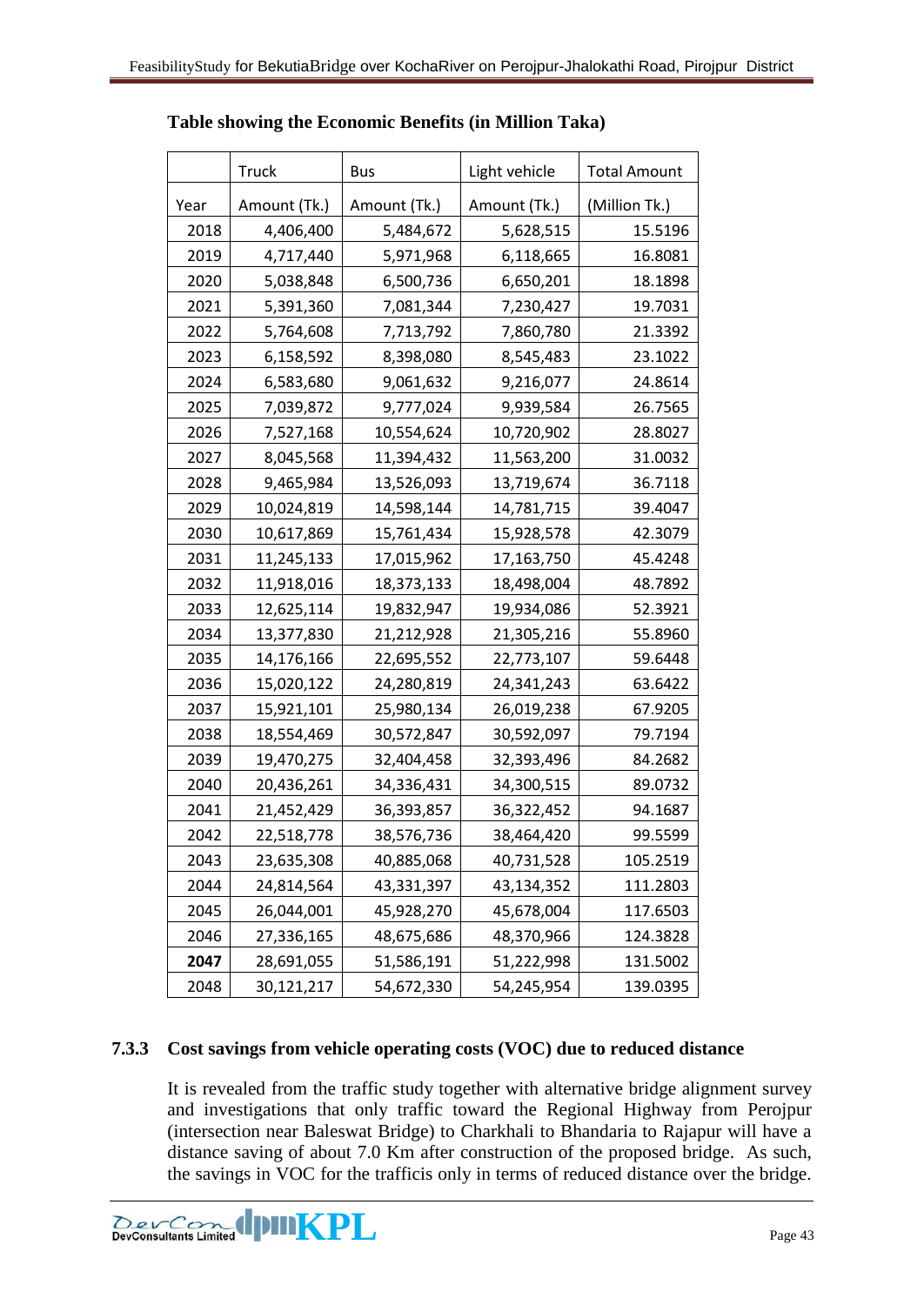|      | Truck        | <b>Bus</b>   | Light vehicle | <b>Total Amount</b> |
|------|--------------|--------------|---------------|---------------------|
| Year | Amount (Tk.) | Amount (Tk.) | Amount (Tk.)  | (Million Tk.)       |
| 2018 | 4,406,400    | 5,484,672    | 5,628,515     | 15.5196             |
| 2019 | 4,717,440    | 5,971,968    | 6,118,665     | 16.8081             |
| 2020 | 5,038,848    | 6,500,736    | 6,650,201     | 18.1898             |
| 2021 | 5,391,360    | 7,081,344    | 7,230,427     | 19.7031             |
| 2022 | 5,764,608    | 7,713,792    | 7,860,780     | 21.3392             |
| 2023 | 6,158,592    | 8,398,080    | 8,545,483     | 23.1022             |
| 2024 | 6,583,680    | 9,061,632    | 9,216,077     | 24.8614             |
| 2025 | 7,039,872    | 9,777,024    | 9,939,584     | 26.7565             |
| 2026 | 7,527,168    | 10,554,624   | 10,720,902    | 28.8027             |
| 2027 | 8,045,568    | 11,394,432   | 11,563,200    | 31.0032             |
| 2028 | 9,465,984    | 13,526,093   | 13,719,674    | 36.7118             |
| 2029 | 10,024,819   | 14,598,144   | 14,781,715    | 39.4047             |
| 2030 | 10,617,869   | 15,761,434   | 15,928,578    | 42.3079             |
| 2031 | 11,245,133   | 17,015,962   | 17,163,750    | 45.4248             |
| 2032 | 11,918,016   | 18,373,133   | 18,498,004    | 48.7892             |
| 2033 | 12,625,114   | 19,832,947   | 19,934,086    | 52.3921             |
| 2034 | 13,377,830   | 21,212,928   | 21,305,216    | 55.8960             |
| 2035 | 14,176,166   | 22,695,552   | 22,773,107    | 59.6448             |
| 2036 | 15,020,122   | 24,280,819   | 24,341,243    | 63.6422             |
| 2037 | 15,921,101   | 25,980,134   | 26,019,238    | 67.9205             |
| 2038 | 18,554,469   | 30,572,847   | 30,592,097    | 79.7194             |
| 2039 | 19,470,275   | 32,404,458   | 32,393,496    | 84.2682             |
| 2040 | 20,436,261   | 34,336,431   | 34,300,515    | 89.0732             |
| 2041 | 21,452,429   | 36,393,857   | 36,322,452    | 94.1687             |
| 2042 | 22,518,778   | 38,576,736   | 38,464,420    | 99.5599             |
| 2043 | 23,635,308   | 40,885,068   | 40,731,528    | 105.2519            |
| 2044 | 24,814,564   | 43,331,397   | 43,134,352    | 111.2803            |
| 2045 | 26,044,001   | 45,928,270   | 45,678,004    | 117.6503            |
| 2046 | 27,336,165   | 48,675,686   | 48,370,966    | 124.3828            |
| 2047 | 28,691,055   | 51,586,191   | 51,222,998    | 131.5002            |
| 2048 | 30,121,217   | 54,672,330   | 54,245,954    | 139.0395            |

#### **Table showing the Economic Benefits (in Million Taka)**

## <span id="page-42-0"></span>**7.3.3 Cost savings from vehicle operating costs (VOC) due to reduced distance**

It is revealed from the traffic study together with alternative bridge alignment survey and investigations that only traffic toward the Regional Highway from Perojpur (intersection near Baleswat Bridge) to Charkhali to Bhandaria to Rajapur will have a distance saving of about 7.0 Km after construction of the proposed bridge. As such, the savings in VOC for the trafficis only in terms of reduced distance over the bridge.

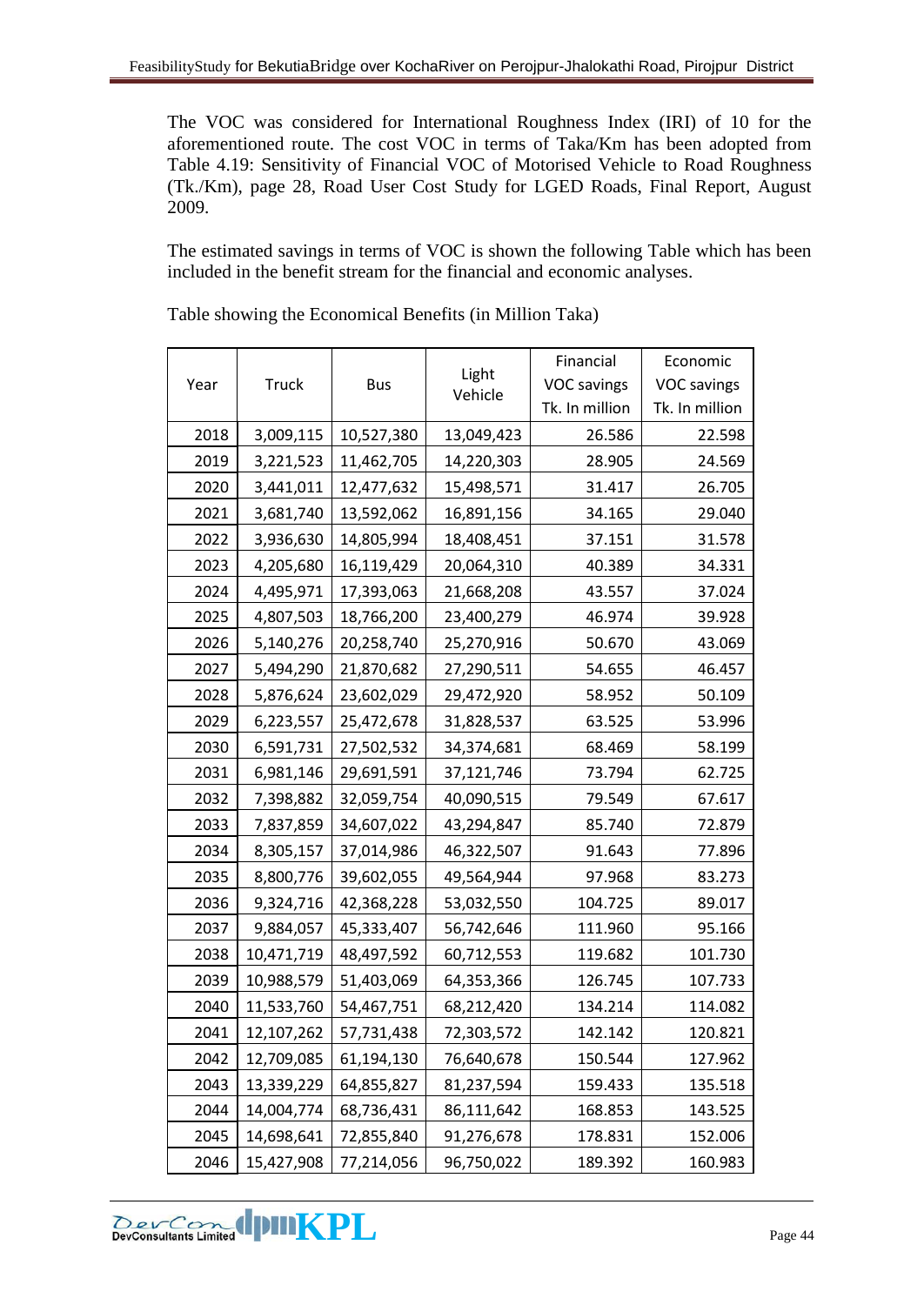The VOC was considered for International Roughness Index (IRI) of 10 for the aforementioned route. The cost VOC in terms of Taka/Km has been adopted from Table 4.19: Sensitivity of Financial VOC of Motorised Vehicle to Road Roughness (Tk./Km), page 28, Road User Cost Study for LGED Roads, Final Report, August 2009.

The estimated savings in terms of VOC is shown the following Table which has been included in the benefit stream for the financial and economic analyses.

|      |              |            |                  | Financial          | Economic           |
|------|--------------|------------|------------------|--------------------|--------------------|
| Year | <b>Truck</b> | <b>Bus</b> | Light<br>Vehicle | <b>VOC</b> savings | <b>VOC</b> savings |
|      |              |            |                  | Tk. In million     | Tk. In million     |
| 2018 | 3,009,115    | 10,527,380 | 13,049,423       | 26.586             | 22.598             |
| 2019 | 3,221,523    | 11,462,705 | 14,220,303       | 28.905             | 24.569             |
| 2020 | 3,441,011    | 12,477,632 | 15,498,571       | 31.417             | 26.705             |
| 2021 | 3,681,740    | 13,592,062 | 16,891,156       | 34.165             | 29.040             |
| 2022 | 3,936,630    | 14,805,994 | 18,408,451       | 37.151             | 31.578             |
| 2023 | 4,205,680    | 16,119,429 | 20,064,310       | 40.389             | 34.331             |
| 2024 | 4,495,971    | 17,393,063 | 21,668,208       | 43.557             | 37.024             |
| 2025 | 4,807,503    | 18,766,200 | 23,400,279       | 46.974             | 39.928             |
| 2026 | 5,140,276    | 20,258,740 | 25,270,916       | 50.670             | 43.069             |
| 2027 | 5,494,290    | 21,870,682 | 27,290,511       | 54.655             | 46.457             |
| 2028 | 5,876,624    | 23,602,029 | 29,472,920       | 58.952             | 50.109             |
| 2029 | 6,223,557    | 25,472,678 | 31,828,537       | 63.525             | 53.996             |
| 2030 | 6,591,731    | 27,502,532 | 34,374,681       | 68.469             | 58.199             |
| 2031 | 6,981,146    | 29,691,591 | 37,121,746       | 73.794             | 62.725             |
| 2032 | 7,398,882    | 32,059,754 | 40,090,515       | 79.549             | 67.617             |
| 2033 | 7,837,859    | 34,607,022 | 43,294,847       | 85.740             | 72.879             |
| 2034 | 8,305,157    | 37,014,986 | 46,322,507       | 91.643             | 77.896             |
| 2035 | 8,800,776    | 39,602,055 | 49,564,944       | 97.968             | 83.273             |
| 2036 | 9,324,716    | 42,368,228 | 53,032,550       | 104.725            | 89.017             |
| 2037 | 9,884,057    | 45,333,407 | 56,742,646       | 111.960            | 95.166             |
| 2038 | 10,471,719   | 48,497,592 | 60,712,553       | 119.682            | 101.730            |
| 2039 | 10,988,579   | 51,403,069 | 64,353,366       | 126.745            | 107.733            |
| 2040 | 11,533,760   | 54,467,751 | 68,212,420       | 134.214            | 114.082            |
| 2041 | 12,107,262   | 57,731,438 | 72,303,572       | 142.142            | 120.821            |
| 2042 | 12,709,085   | 61,194,130 | 76,640,678       | 150.544            | 127.962            |
| 2043 | 13,339,229   | 64,855,827 | 81,237,594       | 159.433            | 135.518            |
| 2044 | 14,004,774   | 68,736,431 | 86,111,642       | 168.853            | 143.525            |
| 2045 | 14,698,641   | 72,855,840 | 91,276,678       | 178.831            | 152.006            |
| 2046 | 15,427,908   | 77,214,056 | 96,750,022       | 189.392            | 160.983            |

Table showing the Economical Benefits (in Million Taka)

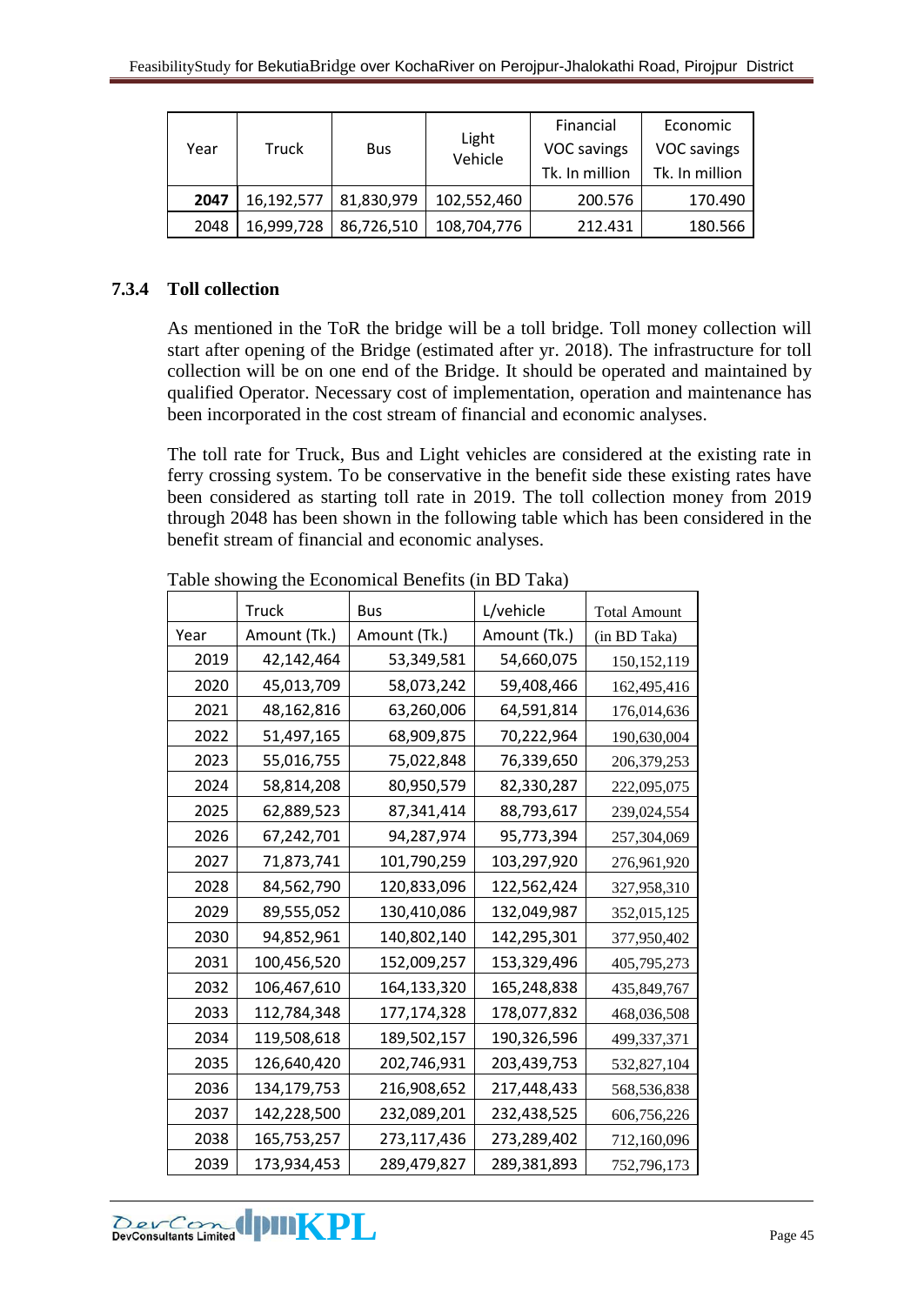| Year | Truck      | <b>Bus</b> | Light<br>Vehicle | Financial<br>VOC savings | Economic<br>VOC savings |
|------|------------|------------|------------------|--------------------------|-------------------------|
|      |            |            |                  | Tk. In million           | Tk. In million          |
| 2047 | 16,192,577 | 81,830,979 | 102,552,460      | 200.576                  | 170.490                 |
| 2048 | 16,999,728 | 86,726,510 | 108,704,776      | 212.431                  | 180.566                 |

# <span id="page-44-0"></span>**7.3.4 Toll collection**

As mentioned in the ToR the bridge will be a toll bridge. Toll money collection will start after opening of the Bridge (estimated after yr. 2018). The infrastructure for toll collection will be on one end of the Bridge. It should be operated and maintained by qualified Operator. Necessary cost of implementation, operation and maintenance has been incorporated in the cost stream of financial and economic analyses.

The toll rate for Truck, Bus and Light vehicles are considered at the existing rate in ferry crossing system. To be conservative in the benefit side these existing rates have been considered as starting toll rate in 2019. The toll collection money from 2019 through 2048 has been shown in the following table which has been considered in the benefit stream of financial and economic analyses.

|      | Truck        | Bus           | L/vehicle    | <b>Total Amount</b> |
|------|--------------|---------------|--------------|---------------------|
| Year | Amount (Tk.) | Amount (Tk.)  | Amount (Tk.) | (in BD Taka)        |
| 2019 | 42,142,464   | 53,349,581    | 54,660,075   | 150, 152, 119       |
| 2020 | 45,013,709   | 58,073,242    | 59,408,466   | 162,495,416         |
| 2021 | 48,162,816   | 63,260,006    | 64,591,814   | 176,014,636         |
| 2022 | 51,497,165   | 68,909,875    | 70,222,964   | 190,630,004         |
| 2023 | 55,016,755   | 75,022,848    | 76,339,650   | 206,379,253         |
| 2024 | 58,814,208   | 80,950,579    | 82,330,287   | 222,095,075         |
| 2025 | 62,889,523   | 87,341,414    | 88,793,617   | 239,024,554         |
| 2026 | 67,242,701   | 94,287,974    | 95,773,394   | 257,304,069         |
| 2027 | 71,873,741   | 101,790,259   | 103,297,920  | 276,961,920         |
| 2028 | 84,562,790   | 120,833,096   | 122,562,424  | 327,958,310         |
| 2029 | 89,555,052   | 130,410,086   | 132,049,987  | 352,015,125         |
| 2030 | 94,852,961   | 140,802,140   | 142,295,301  | 377,950,402         |
| 2031 | 100,456,520  | 152,009,257   | 153,329,496  | 405,795,273         |
| 2032 | 106,467,610  | 164,133,320   | 165,248,838  | 435,849,767         |
| 2033 | 112,784,348  | 177, 174, 328 | 178,077,832  | 468,036,508         |
| 2034 | 119,508,618  | 189,502,157   | 190,326,596  | 499,337,371         |
| 2035 | 126,640,420  | 202,746,931   | 203,439,753  | 532,827,104         |
| 2036 | 134,179,753  | 216,908,652   | 217,448,433  | 568,536,838         |
| 2037 | 142,228,500  | 232,089,201   | 232,438,525  | 606,756,226         |
| 2038 | 165,753,257  | 273,117,436   | 273,289,402  | 712,160,096         |
| 2039 | 173,934,453  | 289,479,827   | 289,381,893  | 752,796,173         |

Table showing the Economical Benefits (in BD Taka)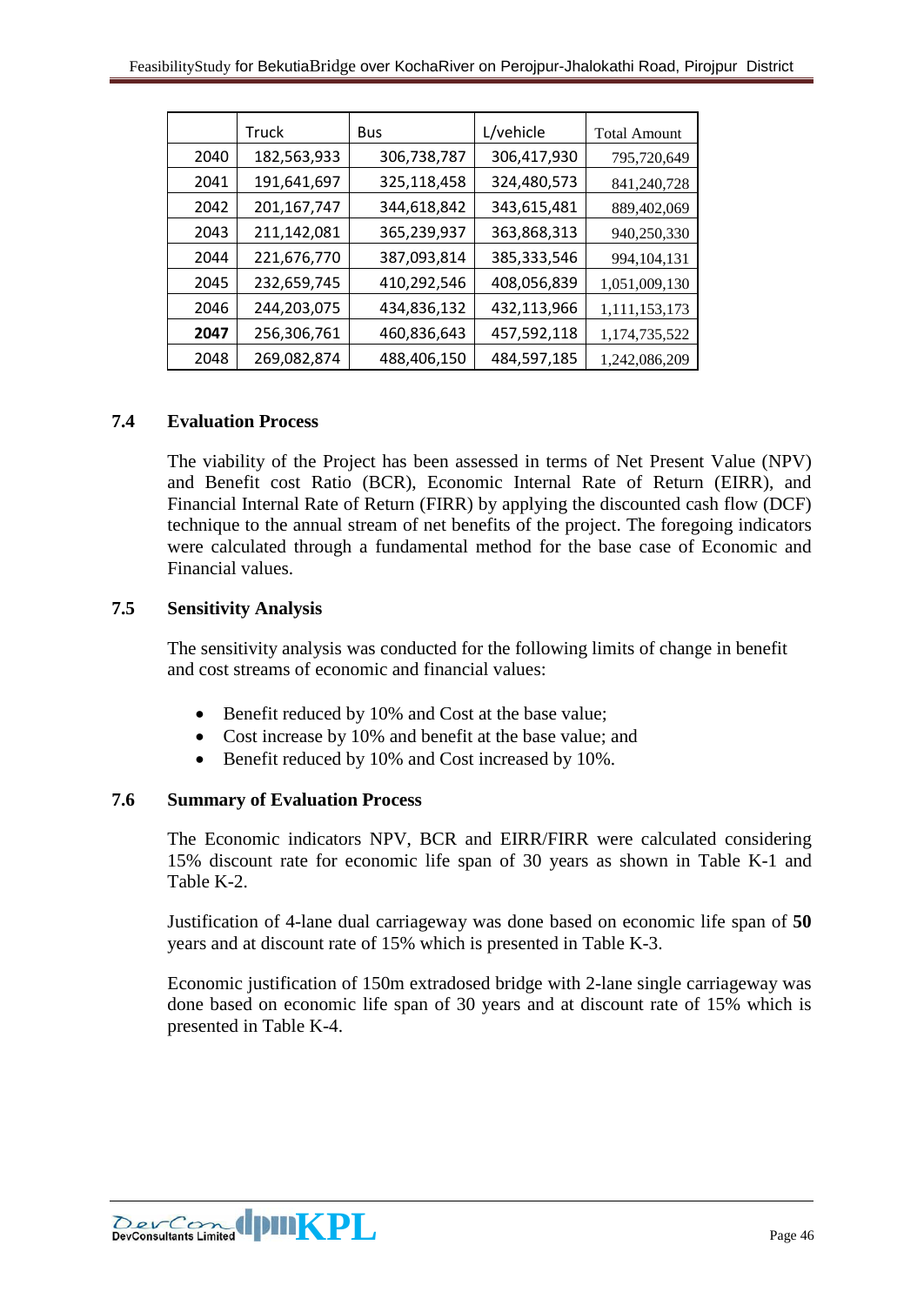|      | Truck         | <b>Bus</b>  | L/vehicle   | <b>Total Amount</b> |
|------|---------------|-------------|-------------|---------------------|
| 2040 | 182,563,933   | 306,738,787 | 306,417,930 | 795,720,649         |
| 2041 | 191,641,697   | 325,118,458 | 324,480,573 | 841,240,728         |
| 2042 | 201, 167, 747 | 344,618,842 | 343,615,481 | 889,402,069         |
| 2043 | 211,142,081   | 365,239,937 | 363,868,313 | 940,250,330         |
| 2044 | 221,676,770   | 387,093,814 | 385,333,546 | 994, 104, 131       |
| 2045 | 232,659,745   | 410,292,546 | 408,056,839 | 1,051,009,130       |
| 2046 | 244,203,075   | 434,836,132 | 432,113,966 | 1,111,153,173       |
| 2047 | 256,306,761   | 460,836,643 | 457,592,118 | 1,174,735,522       |
| 2048 | 269,082,874   | 488,406,150 | 484,597,185 | 1,242,086,209       |

## <span id="page-45-0"></span>**7.4 Evaluation Process**

The viability of the Project has been assessed in terms of Net Present Value (NPV) and Benefit cost Ratio (BCR), Economic Internal Rate of Return (EIRR), and Financial Internal Rate of Return (FIRR) by applying the discounted cash flow (DCF) technique to the annual stream of net benefits of the project. The foregoing indicators were calculated through a fundamental method for the base case of Economic and Financial values.

## <span id="page-45-1"></span>**7.5 Sensitivity Analysis**

The sensitivity analysis was conducted for the following limits of change in benefit and cost streams of economic and financial values:

- Benefit reduced by 10% and Cost at the base value;
- Cost increase by 10% and benefit at the base value; and
- Benefit reduced by 10% and Cost increased by 10%.

## <span id="page-45-2"></span>**7.6 Summary of Evaluation Process**

The Economic indicators NPV, BCR and EIRR/FIRR were calculated considering 15% discount rate for economic life span of 30 years as shown in Table K-1 and Table K-2.

Justification of 4-lane dual carriageway was done based on economic life span of **50** years and at discount rate of 15% which is presented in Table K-3.

Economic justification of 150m extradosed bridge with 2-lane single carriageway was done based on economic life span of 30 years and at discount rate of 15% which is presented in Table K-4.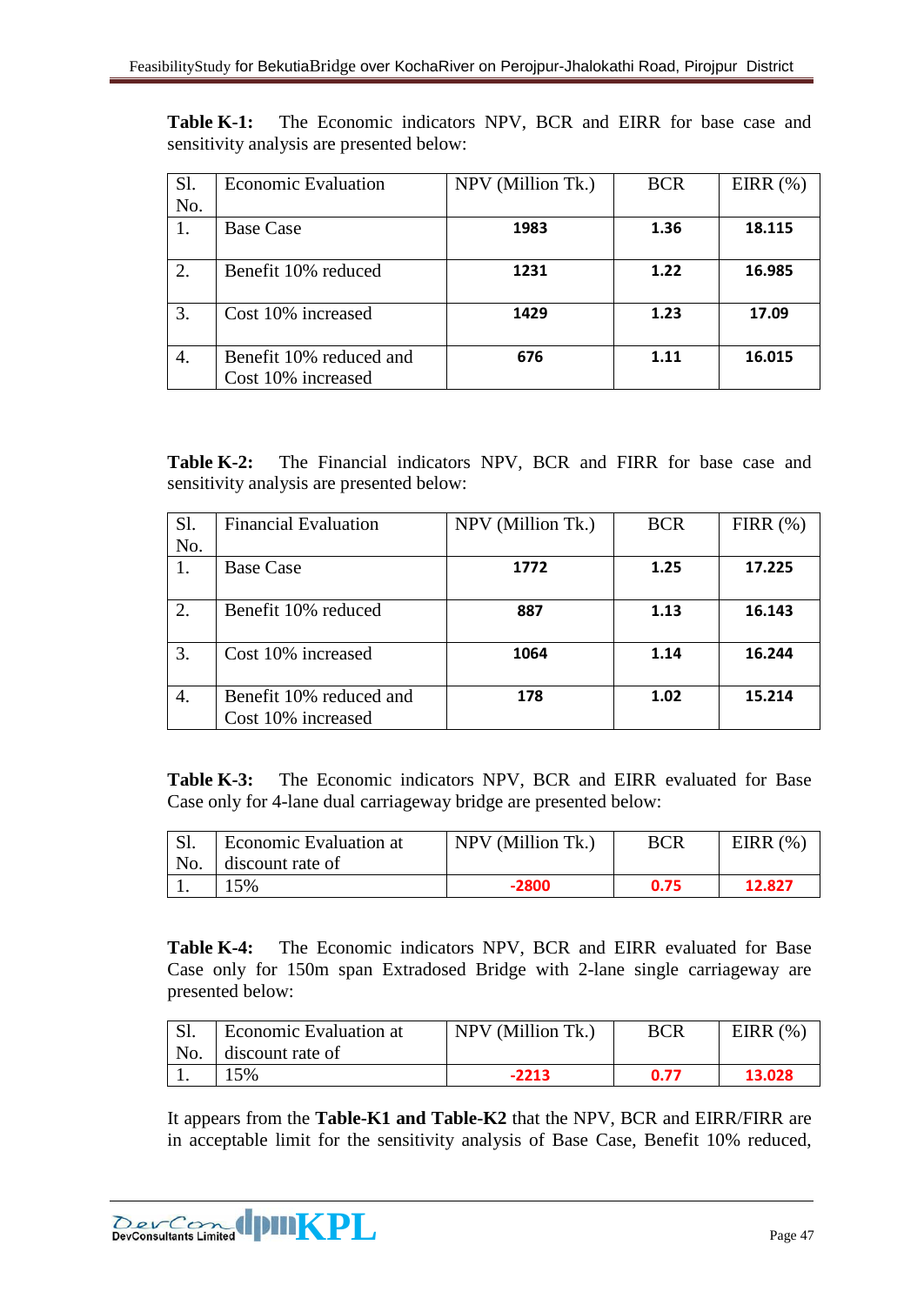**Table K-1:** The Economic indicators NPV, BCR and EIRR for base case and sensitivity analysis are presented below:

| S1. | <b>Economic Evaluation</b>                    | NPV (Million Tk.) | <b>BCR</b> | EIRR $(\%)$ |
|-----|-----------------------------------------------|-------------------|------------|-------------|
| No. |                                               |                   |            |             |
| 1.  | <b>Base Case</b>                              | 1983              | 1.36       | 18.115      |
| 2.  | Benefit 10% reduced                           | 1231              | 1.22       | 16.985      |
| 3.  | Cost 10% increased                            | 1429              | 1.23       | 17.09       |
| 4.  | Benefit 10% reduced and<br>Cost 10% increased | 676               | 1.11       | 16.015      |

**Table K-2:** The Financial indicators NPV, BCR and FIRR for base case and sensitivity analysis are presented below:

| Sl. | <b>Financial Evaluation</b>                   | NPV (Million Tk.) | <b>BCR</b> | FIRR $(\%)$ |
|-----|-----------------------------------------------|-------------------|------------|-------------|
| No. |                                               |                   |            |             |
| 1.  | <b>Base Case</b>                              | 1772              | 1.25       | 17.225      |
| 2.  | Benefit 10% reduced                           | 887               | 1.13       | 16.143      |
| 3.  | Cost 10% increased                            | 1064              | 1.14       | 16.244      |
| 4.  | Benefit 10% reduced and<br>Cost 10% increased | 178               | 1.02       | 15.214      |

**Table K-3:** The Economic indicators NPV, BCR and EIRR evaluated for Base Case only for 4-lane dual carriageway bridge are presented below:

| Sl. | <b>Economic Evaluation at</b> | NPV (Million Tk.) | BCR  | EIRR $(% )$ |
|-----|-------------------------------|-------------------|------|-------------|
| No. | discount rate of              |                   |      |             |
|     | 5%                            | $-2800$           | 0.75 | 12.827      |

**Table K-4:** The Economic indicators NPV, BCR and EIRR evaluated for Base Case only for 150m span Extradosed Bridge with 2-lane single carriageway are presented below:

| <b>Sl.</b> | Economic Evaluation at | NPV (Million Tk.) | <b>BCR</b> | EIRR $(\%)$ |
|------------|------------------------|-------------------|------------|-------------|
|            | No. discount rate of   |                   |            |             |
|            | 15%                    | $-2213$           | 0.77       | 13.028      |

It appears from the **Table-K1 and Table-K2** that the NPV, BCR and EIRR/FIRR are in acceptable limit for the sensitivity analysis of Base Case, Benefit 10% reduced,

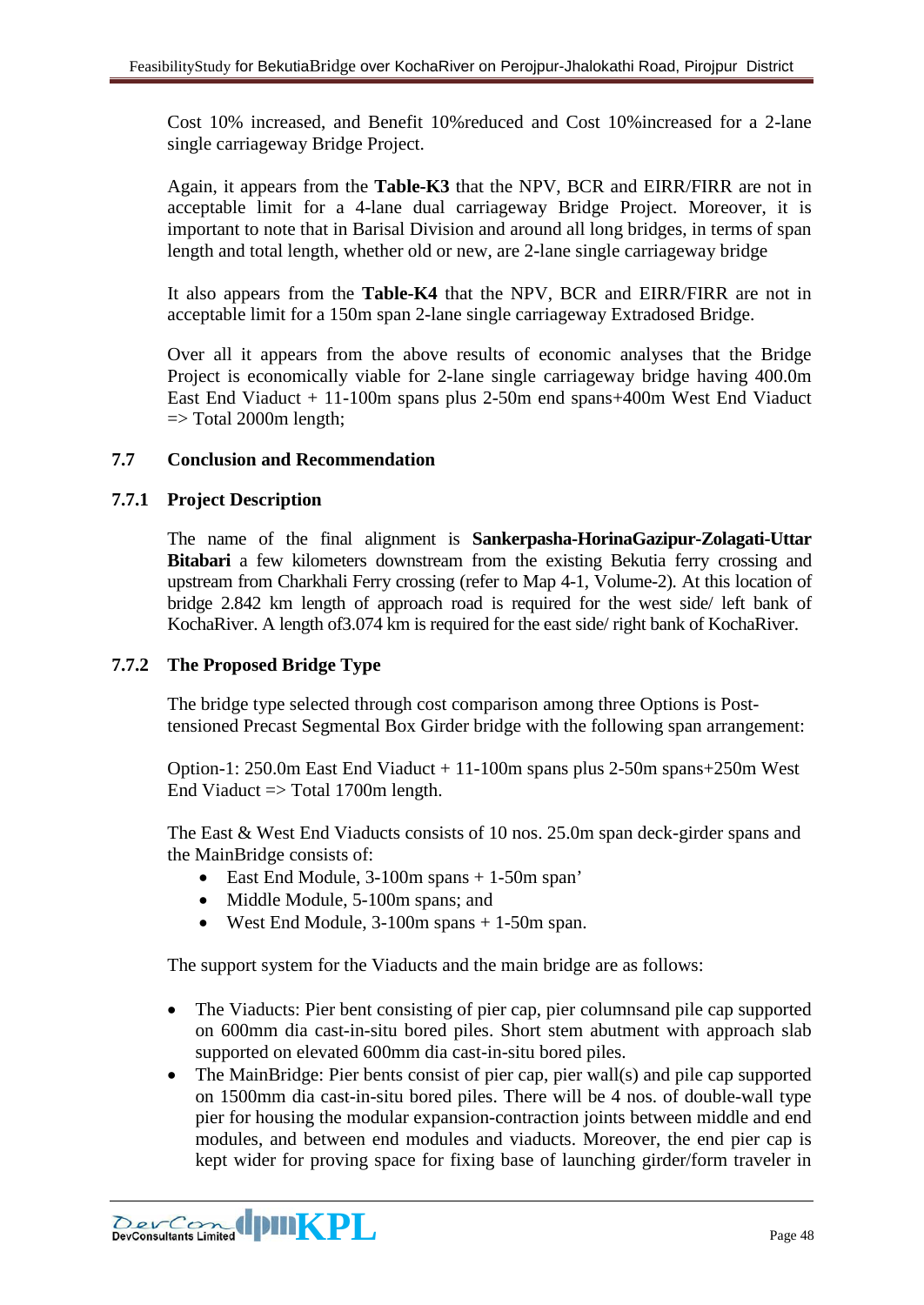Cost 10% increased, and Benefit 10%reduced and Cost 10%increased for a 2-lane single carriageway Bridge Project.

Again, it appears from the **Table-K3** that the NPV, BCR and EIRR/FIRR are not in acceptable limit for a 4-lane dual carriageway Bridge Project. Moreover, it is important to note that in Barisal Division and around all long bridges, in terms of span length and total length, whether old or new, are 2-lane single carriageway bridge

It also appears from the **Table-K4** that the NPV, BCR and EIRR/FIRR are not in acceptable limit for a 150m span 2-lane single carriageway Extradosed Bridge.

Over all it appears from the above results of economic analyses that the Bridge Project is economically viable for 2-lane single carriageway bridge having 400.0m East End Viaduct + 11-100m spans plus 2-50m end spans+400m West End Viaduct  $\Rightarrow$  Total 2000m length;

## <span id="page-47-0"></span>**7.7 Conclusion and Recommendation**

## <span id="page-47-1"></span>**7.7.1 Project Description**

The name of the final alignment is **Sankerpasha-HorinaGazipur-Zolagati-Uttar Bitabari** a few kilometers downstream from the existing Bekutia ferry crossing and upstream from Charkhali Ferry crossing (refer to Map 4-1, Volume-2). At this location of bridge 2.842 km length of approach road is required for the west side/ left bank of KochaRiver. A length of3.074 km is required for the east side/ right bank of KochaRiver.

## <span id="page-47-2"></span>**7.7.2 The Proposed Bridge Type**

The bridge type selected through cost comparison among three Options is Posttensioned Precast Segmental Box Girder bridge with the following span arrangement:

Option-1: 250.0m East End Viaduct + 11-100m spans plus 2-50m spans+250m West End Viaduct  $\Rightarrow$  Total 1700m length.

The East & West End Viaducts consists of 10 nos. 25.0m span deck-girder spans and the MainBridge consists of:

- East End Module, 3-100m spans + 1-50m span'
- Middle Module, 5-100m spans; and
- West End Module, 3-100m spans + 1-50m span.

The support system for the Viaducts and the main bridge are as follows:

- The Viaducts: Pier bent consisting of pier cap, pier columnsand pile cap supported on 600mm dia cast-in-situ bored piles. Short stem abutment with approach slab supported on elevated 600mm dia cast-in-situ bored piles.
- The MainBridge: Pier bents consist of pier cap, pier wall(s) and pile cap supported on 1500mm dia cast-in-situ bored piles. There will be 4 nos. of double-wall type pier for housing the modular expansion-contraction joints between middle and end modules, and between end modules and viaducts. Moreover, the end pier cap is kept wider for proving space for fixing base of launching girder/form traveler in

**Example 1911 KPL** Page 48